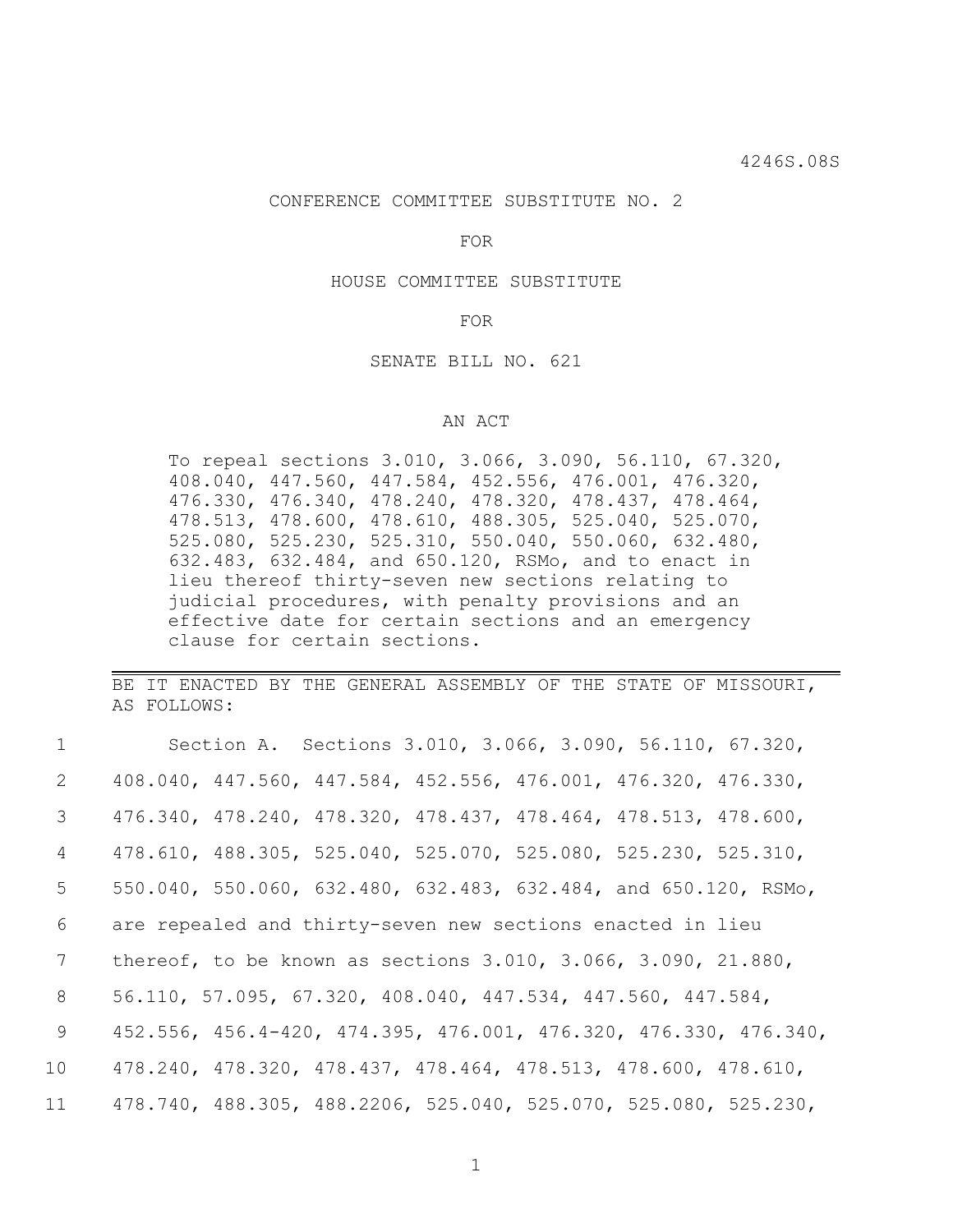### CONFERENCE COMMITTEE SUBSTITUTE NO. 2

FOR

HOUSE COMMITTEE SUBSTITUTE

### FOR

## SENATE BILL NO. 621

# AN ACT

To repeal sections 3.010, 3.066, 3.090, 56.110, 67.320, 408.040, 447.560, 447.584, 452.556, 476.001, 476.320, 476.330, 476.340, 478.240, 478.320, 478.437, 478.464, 478.513, 478.600, 478.610, 488.305, 525.040, 525.070, 525.080, 525.230, 525.310, 550.040, 550.060, 632.480, 632.483, 632.484, and 650.120, RSMo, and to enact in lieu thereof thirty-seven new sections relating to judicial procedures, with penalty provisions and an effective date for certain sections and an emergency clause for certain sections.

BE IT ENACTED BY THE GENERAL ASSEMBLY OF THE STATE OF MISSOURI, AS FOLLOWS:

| $\mathcal{I}$ | Section A. Sections 3.010, 3.066, 3.090, 56.110, 67.320,                  |
|---------------|---------------------------------------------------------------------------|
| 2             | 408.040, 447.560, 447.584, 452.556, 476.001, 476.320, 476.330,            |
| 3             | 476.340, 478.240, 478.320, 478.437, 478.464, 478.513, 478.600,            |
| 4             | 478.610, 488.305, 525.040, 525.070, 525.080, 525.230, 525.310,            |
| 5             | 550.040, 550.060, 632.480, 632.483, 632.484, and 650.120, RSMo,           |
| 6             | are repealed and thirty-seven new sections enacted in lieu                |
| 7             | thereof, to be known as sections $3.010$ , $3.066$ , $3.090$ , $21.880$ , |
| 8             | 56.110, 57.095, 67.320, 408.040, 447.534, 447.560, 447.584,               |
| 9             | 452.556, 456.4-420, 474.395, 476.001, 476.320, 476.330, 476.340,          |
| 10            | 478.240, 478.320, 478.437, 478.464, 478.513, 478.600, 478.610,            |
| 11            | 478.740, 488.305, 488.2206, 525.040, 525.070, 525.080, 525.230,           |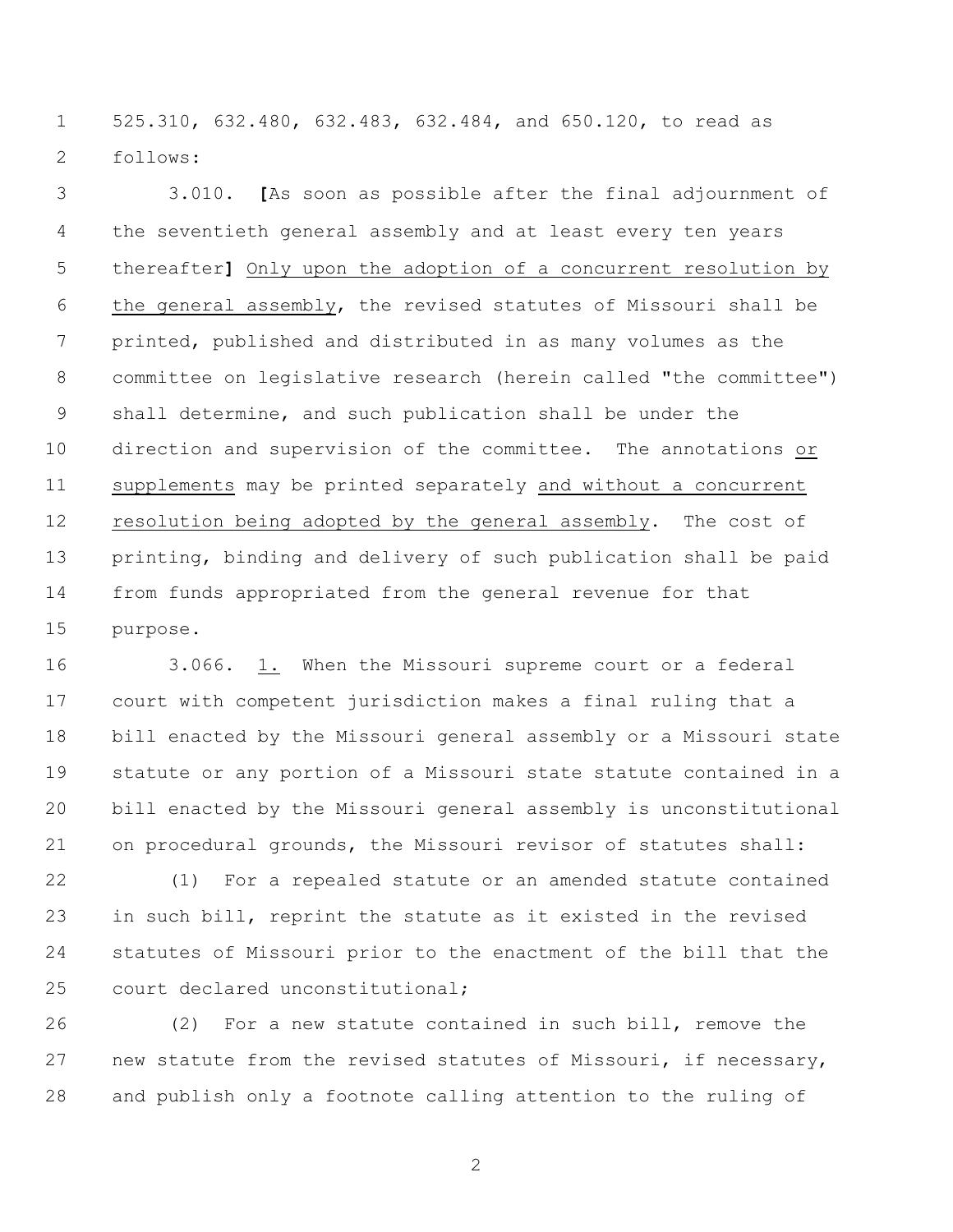525.310, 632.480, 632.483, 632.484, and 650.120, to read as follows:

 3.010. **[**As soon as possible after the final adjournment of the seventieth general assembly and at least every ten years thereafter**]** Only upon the adoption of a concurrent resolution by the general assembly, the revised statutes of Missouri shall be printed, published and distributed in as many volumes as the committee on legislative research (herein called "the committee") shall determine, and such publication shall be under the direction and supervision of the committee. The annotations or supplements may be printed separately and without a concurrent resolution being adopted by the general assembly. The cost of printing, binding and delivery of such publication shall be paid from funds appropriated from the general revenue for that purpose.

 3.066. 1. When the Missouri supreme court or a federal court with competent jurisdiction makes a final ruling that a bill enacted by the Missouri general assembly or a Missouri state statute or any portion of a Missouri state statute contained in a bill enacted by the Missouri general assembly is unconstitutional on procedural grounds, the Missouri revisor of statutes shall:

 (1) For a repealed statute or an amended statute contained in such bill, reprint the statute as it existed in the revised statutes of Missouri prior to the enactment of the bill that the court declared unconstitutional;

 (2) For a new statute contained in such bill, remove the new statute from the revised statutes of Missouri, if necessary, and publish only a footnote calling attention to the ruling of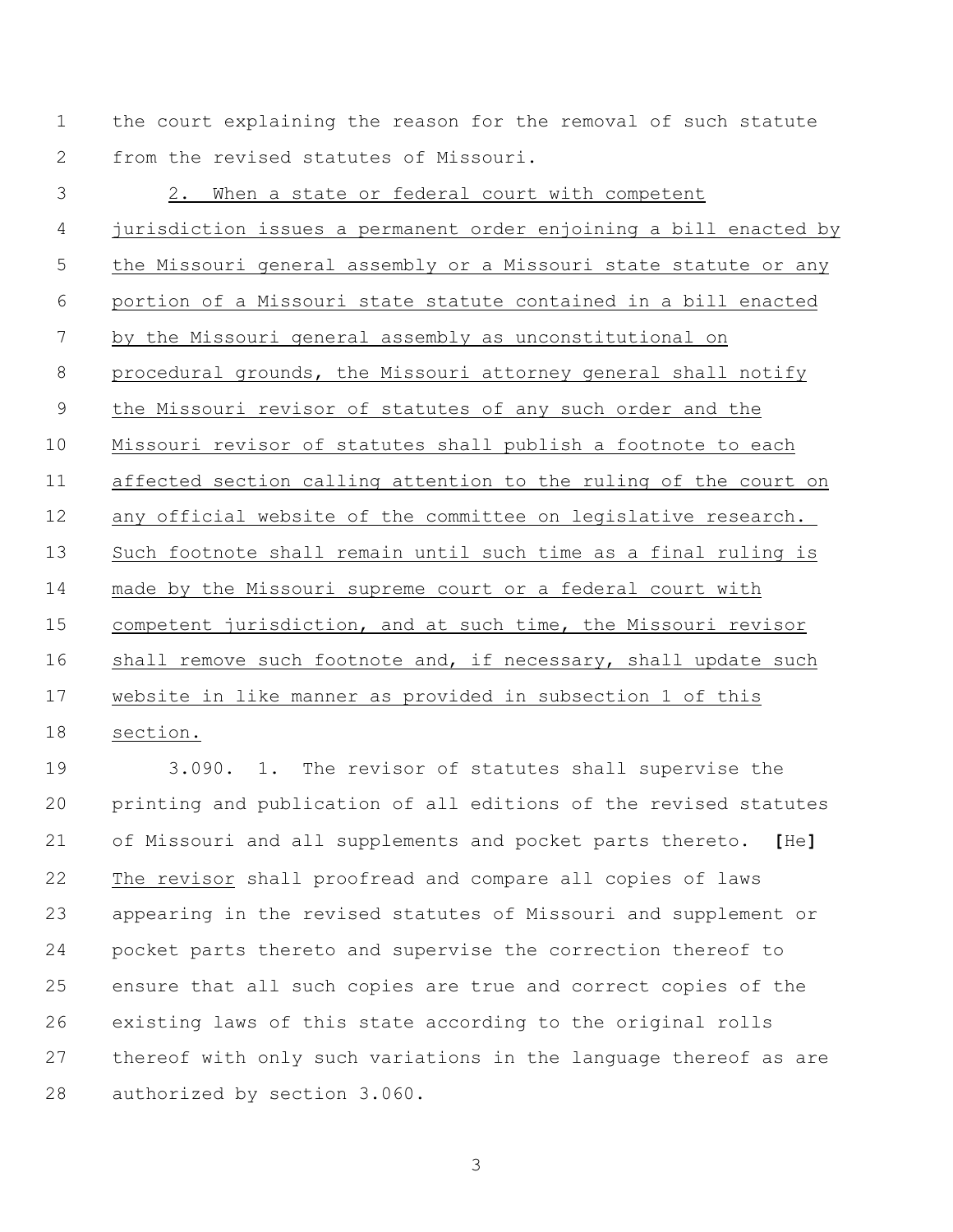the court explaining the reason for the removal of such statute from the revised statutes of Missouri.

 2. When a state or federal court with competent jurisdiction issues a permanent order enjoining a bill enacted by the Missouri general assembly or a Missouri state statute or any portion of a Missouri state statute contained in a bill enacted by the Missouri general assembly as unconstitutional on procedural grounds, the Missouri attorney general shall notify the Missouri revisor of statutes of any such order and the Missouri revisor of statutes shall publish a footnote to each affected section calling attention to the ruling of the court on any official website of the committee on legislative research. Such footnote shall remain until such time as a final ruling is made by the Missouri supreme court or a federal court with competent jurisdiction, and at such time, the Missouri revisor 16 shall remove such footnote and, if necessary, shall update such website in like manner as provided in subsection 1 of this section.

 3.090. 1. The revisor of statutes shall supervise the printing and publication of all editions of the revised statutes of Missouri and all supplements and pocket parts thereto. **[**He**]** The revisor shall proofread and compare all copies of laws appearing in the revised statutes of Missouri and supplement or pocket parts thereto and supervise the correction thereof to ensure that all such copies are true and correct copies of the existing laws of this state according to the original rolls thereof with only such variations in the language thereof as are authorized by section 3.060.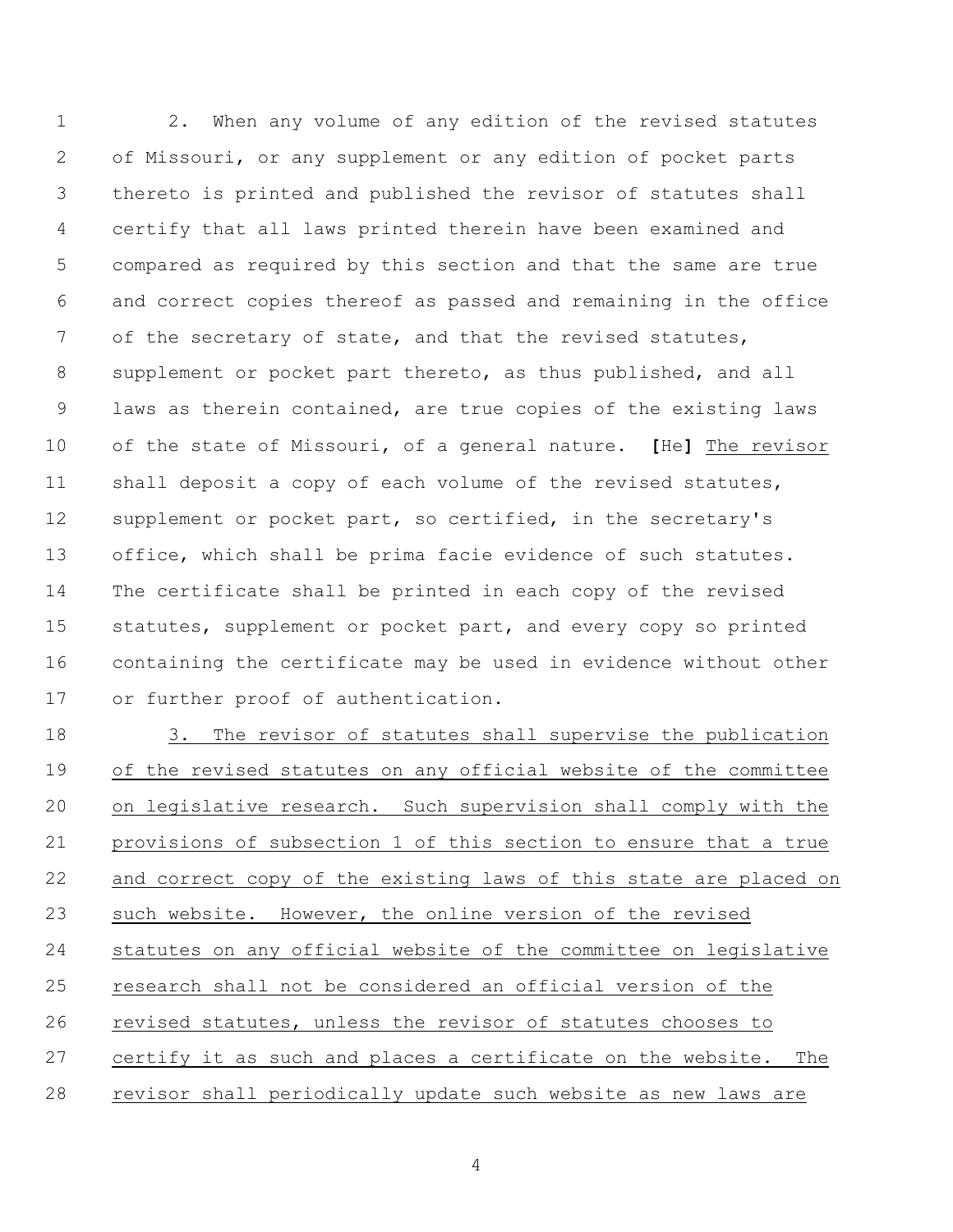2. When any volume of any edition of the revised statutes of Missouri, or any supplement or any edition of pocket parts thereto is printed and published the revisor of statutes shall certify that all laws printed therein have been examined and compared as required by this section and that the same are true and correct copies thereof as passed and remaining in the office of the secretary of state, and that the revised statutes, supplement or pocket part thereto, as thus published, and all laws as therein contained, are true copies of the existing laws of the state of Missouri, of a general nature. **[**He**]** The revisor shall deposit a copy of each volume of the revised statutes, supplement or pocket part, so certified, in the secretary's office, which shall be prima facie evidence of such statutes. The certificate shall be printed in each copy of the revised statutes, supplement or pocket part, and every copy so printed containing the certificate may be used in evidence without other or further proof of authentication.

 3. The revisor of statutes shall supervise the publication of the revised statutes on any official website of the committee on legislative research. Such supervision shall comply with the provisions of subsection 1 of this section to ensure that a true and correct copy of the existing laws of this state are placed on such website. However, the online version of the revised statutes on any official website of the committee on legislative research shall not be considered an official version of the revised statutes, unless the revisor of statutes chooses to certify it as such and places a certificate on the website. The revisor shall periodically update such website as new laws are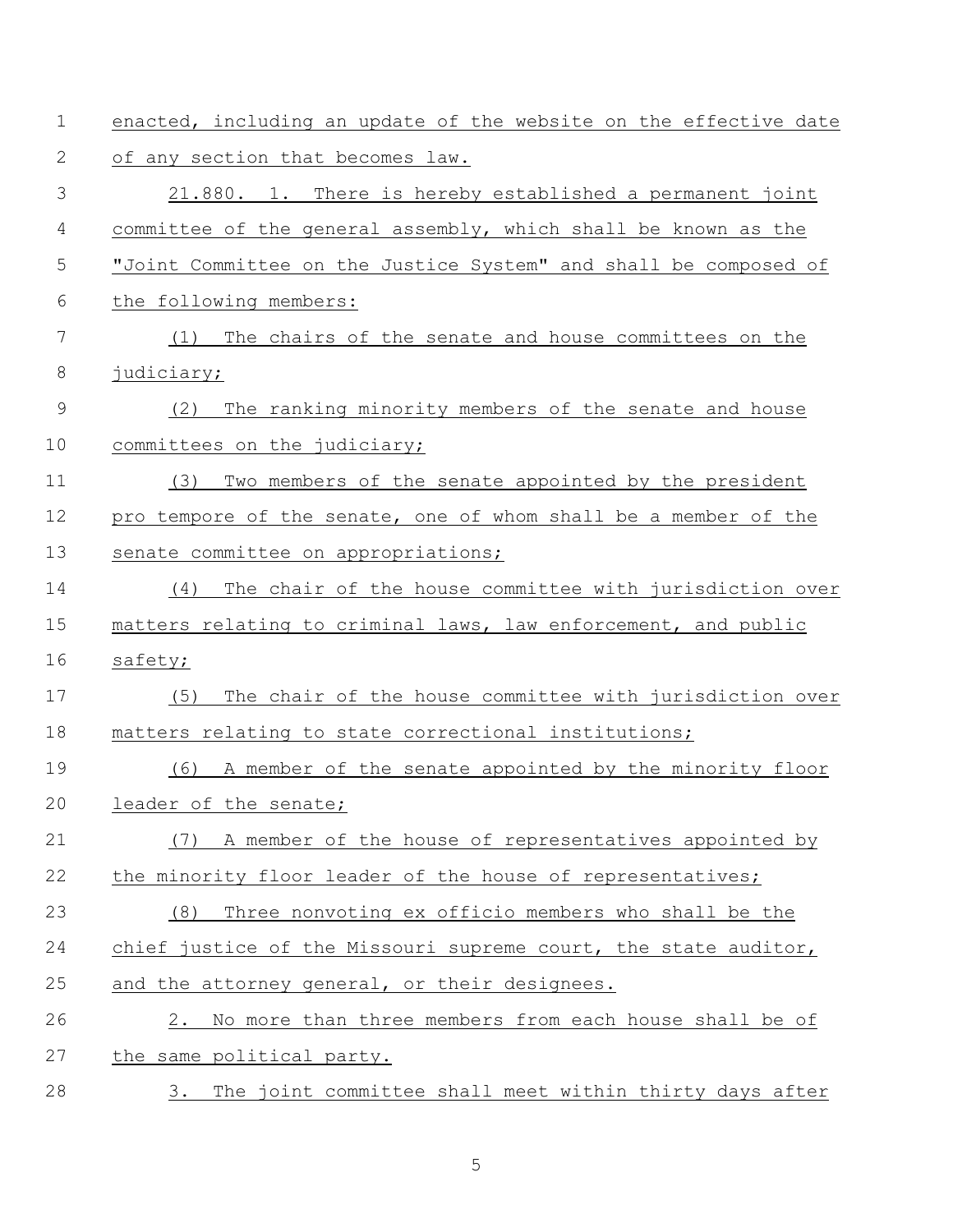| $\mathbf 1$    | enacted, including an update of the website on the effective date |  |  |
|----------------|-------------------------------------------------------------------|--|--|
| $\mathbf{2}$   | of any section that becomes law.                                  |  |  |
| 3              | 21.880. 1. There is hereby established a permanent joint          |  |  |
| $\overline{4}$ | committee of the general assembly, which shall be known as the    |  |  |
| 5              | "Joint Committee on the Justice System" and shall be composed of  |  |  |
| 6              | the following members:                                            |  |  |
| $\overline{7}$ | The chairs of the senate and house committees on the<br>(1)       |  |  |
| $8\,$          | judiciary;                                                        |  |  |
| $\mathsf 9$    | The ranking minority members of the senate and house<br>(2)       |  |  |
| 10             | committees on the judiciary;                                      |  |  |
| 11             | (3)<br>Two members of the senate appointed by the president       |  |  |
| 12             | pro tempore of the senate, one of whom shall be a member of the   |  |  |
| 13             | senate committee on appropriations;                               |  |  |
| 14             | The chair of the house committee with jurisdiction over<br>(4)    |  |  |
| 15             | matters relating to criminal laws, law enforcement, and public    |  |  |
| 16             | safety;                                                           |  |  |
| 17             | The chair of the house committee with jurisdiction over<br>(5)    |  |  |
| 18             | matters relating to state correctional institutions;              |  |  |
| 19             | A member of the senate appointed by the minority floor<br>(6)     |  |  |
| 20             | leader of the senate;                                             |  |  |
| 21             | A member of the house of representatives appointed by<br>(7)      |  |  |
| 22             | the minority floor leader of the house of representatives;        |  |  |
| 23             | Three nonvoting ex officio members who shall be the<br>(8)        |  |  |
| 24             | chief justice of the Missouri supreme court, the state auditor,   |  |  |
| 25             | and the attorney general, or their designees.                     |  |  |
| 26             | No more than three members from each house shall be of<br>2.      |  |  |
| 27             | the same political party.                                         |  |  |
| 28             | The joint committee shall meet within thirty days after<br>3.     |  |  |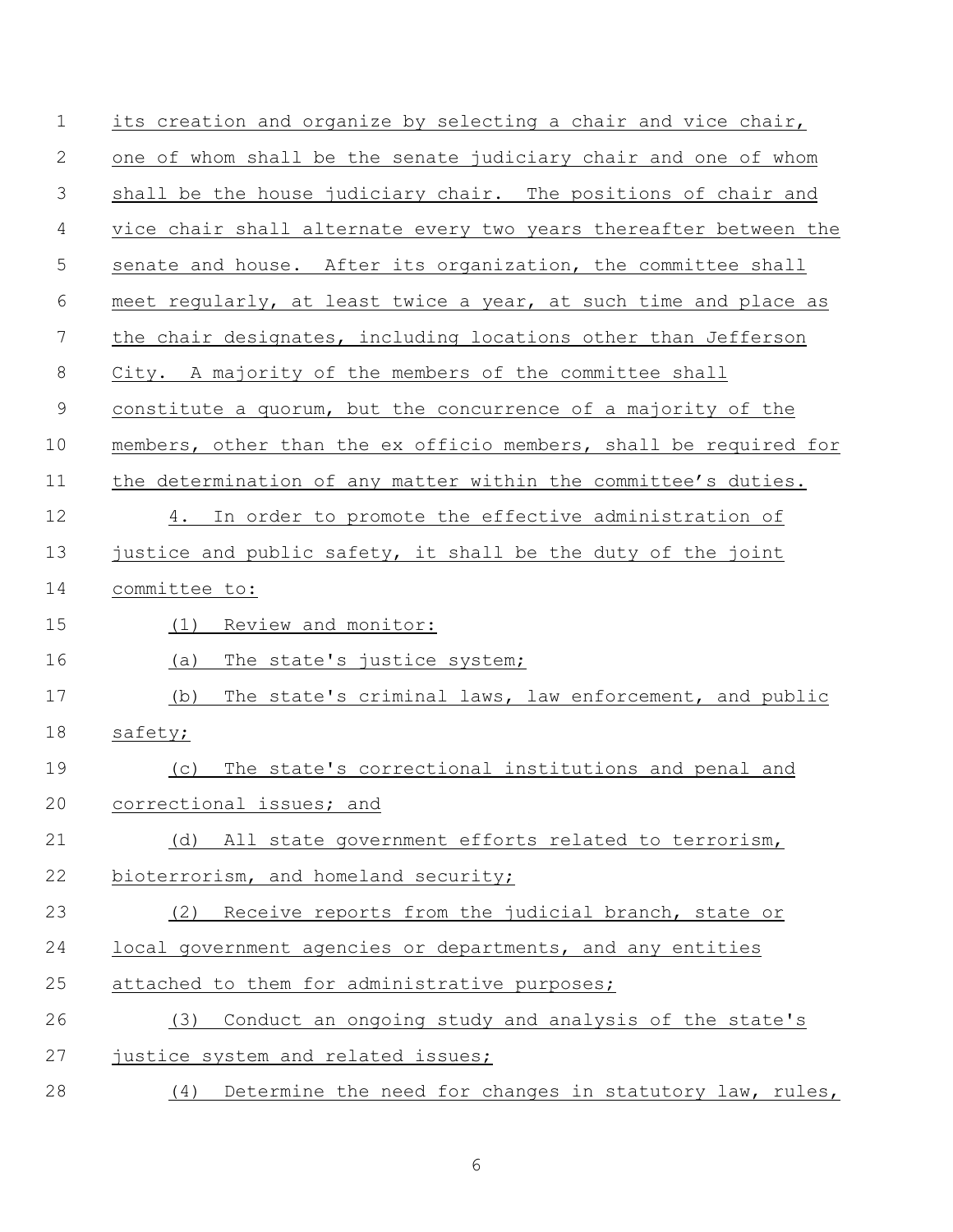| $\mathbf 1$ | its creation and organize by selecting a chair and vice chair,    |  |  |  |  |
|-------------|-------------------------------------------------------------------|--|--|--|--|
| 2           | one of whom shall be the senate judiciary chair and one of whom   |  |  |  |  |
| 3           | shall be the house judiciary chair. The positions of chair and    |  |  |  |  |
| 4           | vice chair shall alternate every two years thereafter between the |  |  |  |  |
| 5           | senate and house. After its organization, the committee shall     |  |  |  |  |
| 6           | meet regularly, at least twice a year, at such time and place as  |  |  |  |  |
| 7           | the chair designates, including locations other than Jefferson    |  |  |  |  |
| 8           | City. A majority of the members of the committee shall            |  |  |  |  |
| $\mathsf 9$ | constitute a quorum, but the concurrence of a majority of the     |  |  |  |  |
| 10          | members, other than the ex officio members, shall be required for |  |  |  |  |
| 11          | the determination of any matter within the committee's duties.    |  |  |  |  |
| 12          | 4. In order to promote the effective administration of            |  |  |  |  |
| 13          | justice and public safety, it shall be the duty of the joint      |  |  |  |  |
| 14          | committee to:                                                     |  |  |  |  |
| 15          | (1) Review and monitor:                                           |  |  |  |  |
| 16          | (a)<br>The state's justice system;                                |  |  |  |  |
| 17          | The state's criminal laws, law enforcement, and public<br>(b)     |  |  |  |  |
| 18          | safety;                                                           |  |  |  |  |
| 19          | The state's correctional institutions and penal and<br>(C)        |  |  |  |  |
| 20          | correctional issues; and                                          |  |  |  |  |
| 21          | (d) All state government efforts related to terrorism,            |  |  |  |  |
| 22          | bioterrorism, and homeland security;                              |  |  |  |  |
| 23          | (2)<br>Receive reports from the judicial branch, state or         |  |  |  |  |
| 24          | local government agencies or departments, and any entities        |  |  |  |  |
| 25          | attached to them for administrative purposes;                     |  |  |  |  |
| 26          | Conduct an ongoing study and analysis of the state's<br>(3)       |  |  |  |  |
| 27          | justice system and related issues;                                |  |  |  |  |
| 28          | Determine the need for changes in statutory law, rules,<br>(4)    |  |  |  |  |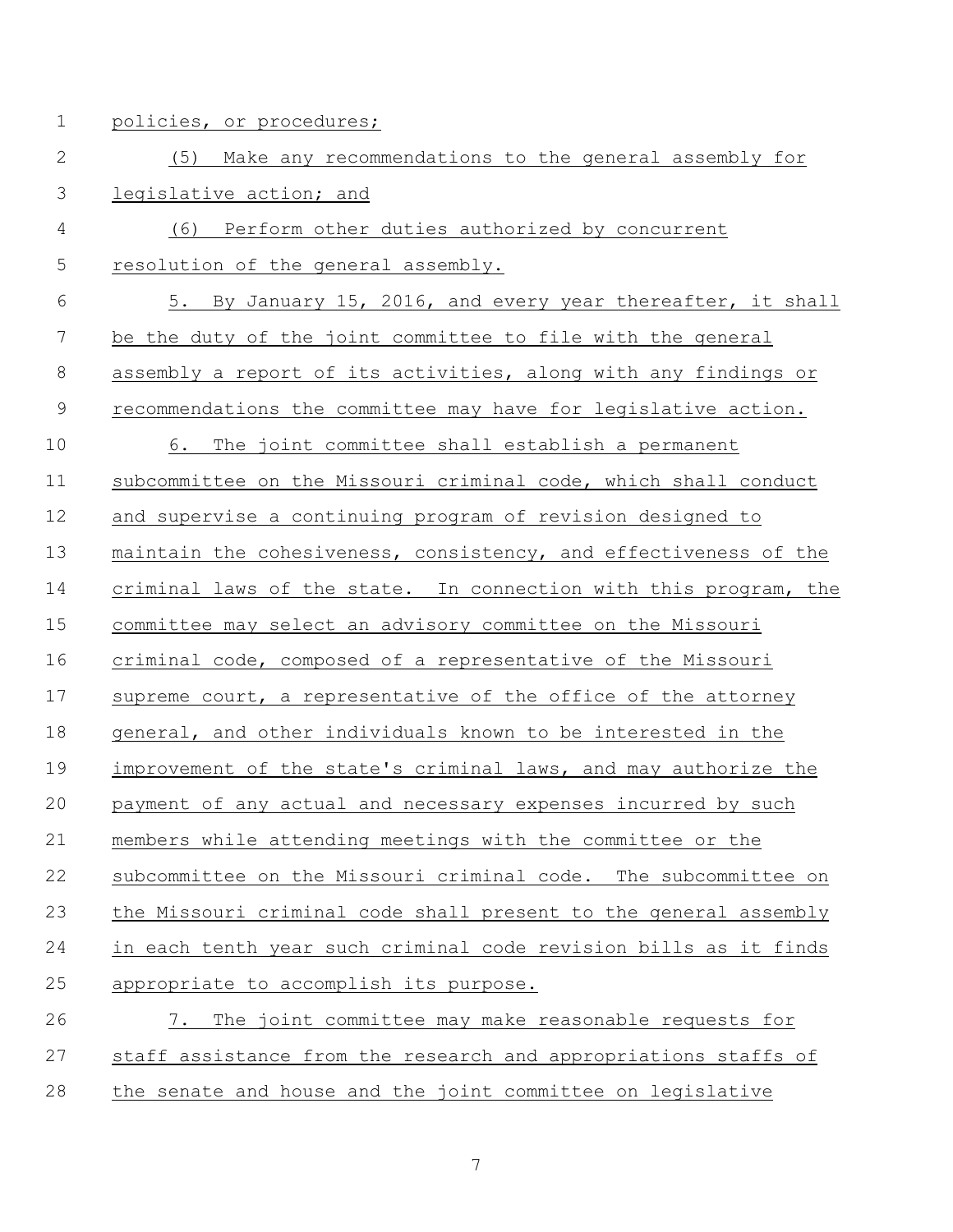1 policies, or procedures;

| $\mathbf{2}$   | Make any recommendations to the general assembly for<br>(5)      |
|----------------|------------------------------------------------------------------|
| 3              | legislative action; and                                          |
| 4              | Perform other duties authorized by concurrent<br>(6)             |
| 5              | resolution of the general assembly.                              |
| 6              | 5. By January 15, 2016, and every year thereafter, it shall      |
| 7              | be the duty of the joint committee to file with the general      |
| 8              | assembly a report of its activities, along with any findings or  |
| $\overline{9}$ | recommendations the committee may have for legislative action.   |
| 10             | 6. The joint committee shall establish a permanent               |
| 11             | subcommittee on the Missouri criminal code, which shall conduct  |
| 12             | and supervise a continuing program of revision designed to       |
| 13             | maintain the cohesiveness, consistency, and effectiveness of the |
| 14             | criminal laws of the state. In connection with this program, the |
| 15             | committee may select an advisory committee on the Missouri       |
| 16             | criminal code, composed of a representative of the Missouri      |
| 17             | supreme court, a representative of the office of the attorney    |
| 18             | general, and other individuals known to be interested in the     |
| 19             | improvement of the state's criminal laws, and may authorize the  |
| 20             | payment of any actual and necessary expenses incurred by such    |
| 21             | members while attending meetings with the committee or the       |
| 22             | subcommittee on the Missouri criminal code. The subcommittee on  |
| 23             | the Missouri criminal code shall present to the general assembly |
| 24             | in each tenth year such criminal code revision bills as it finds |
| 25             | appropriate to accomplish its purpose.                           |
| 26             | The joint committee may make reasonable requests for<br>7.       |
|                |                                                                  |

27 staff assistance from the research and appropriations staffs of 28 the senate and house and the joint committee on legislative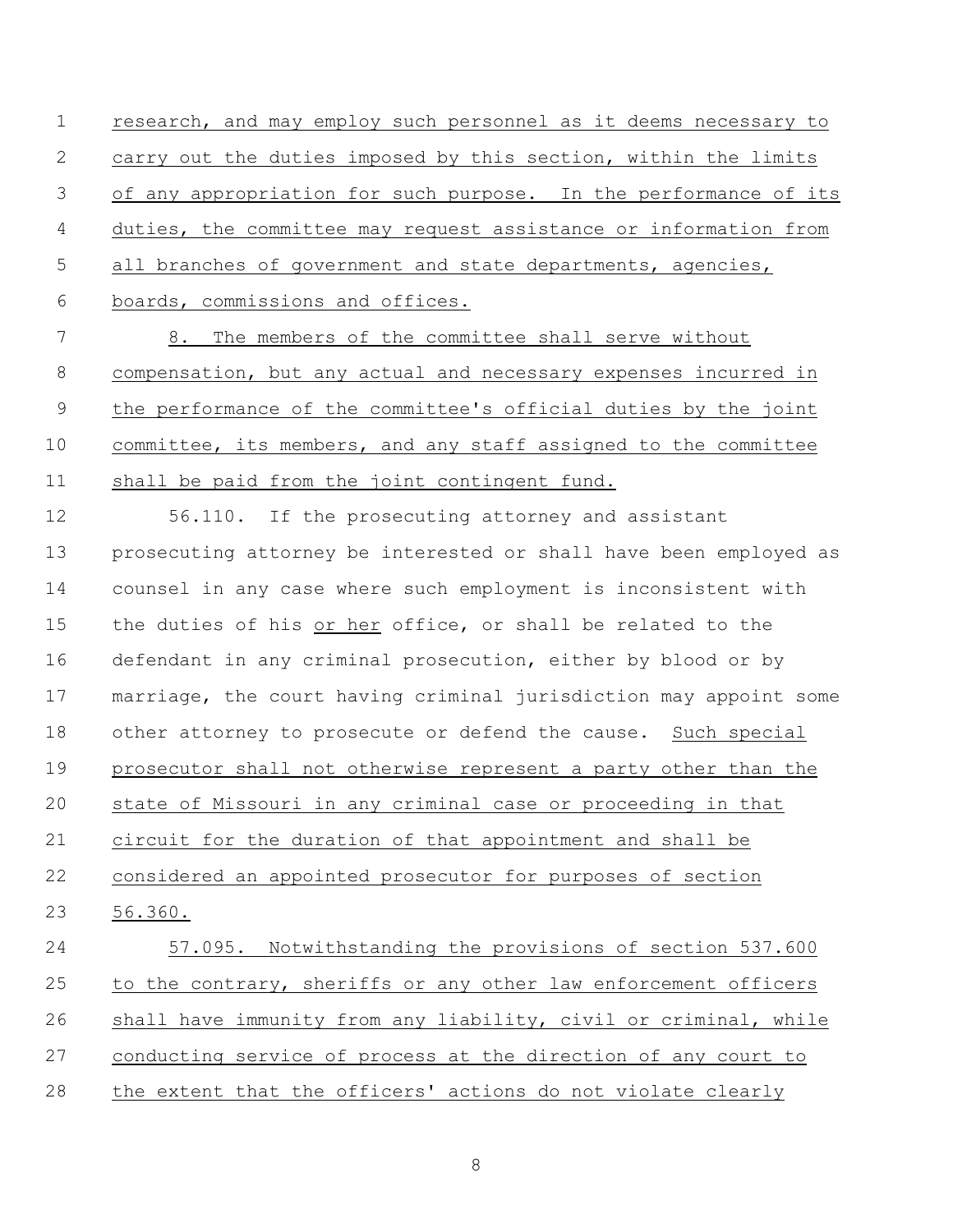research, and may employ such personnel as it deems necessary to carry out the duties imposed by this section, within the limits of any appropriation for such purpose. In the performance of its duties, the committee may request assistance or information from 5 all branches of government and state departments, agencies, boards, commissions and offices.

 8. The members of the committee shall serve without compensation, but any actual and necessary expenses incurred in the performance of the committee's official duties by the joint committee, its members, and any staff assigned to the committee shall be paid from the joint contingent fund.

 56.110. If the prosecuting attorney and assistant prosecuting attorney be interested or shall have been employed as counsel in any case where such employment is inconsistent with the duties of his or her office, or shall be related to the defendant in any criminal prosecution, either by blood or by marriage, the court having criminal jurisdiction may appoint some other attorney to prosecute or defend the cause. Such special prosecutor shall not otherwise represent a party other than the state of Missouri in any criminal case or proceeding in that circuit for the duration of that appointment and shall be considered an appointed prosecutor for purposes of section 56.360. 57.095. Notwithstanding the provisions of section 537.600 to the contrary, sheriffs or any other law enforcement officers shall have immunity from any liability, civil or criminal, while

conducting service of process at the direction of any court to

the extent that the officers' actions do not violate clearly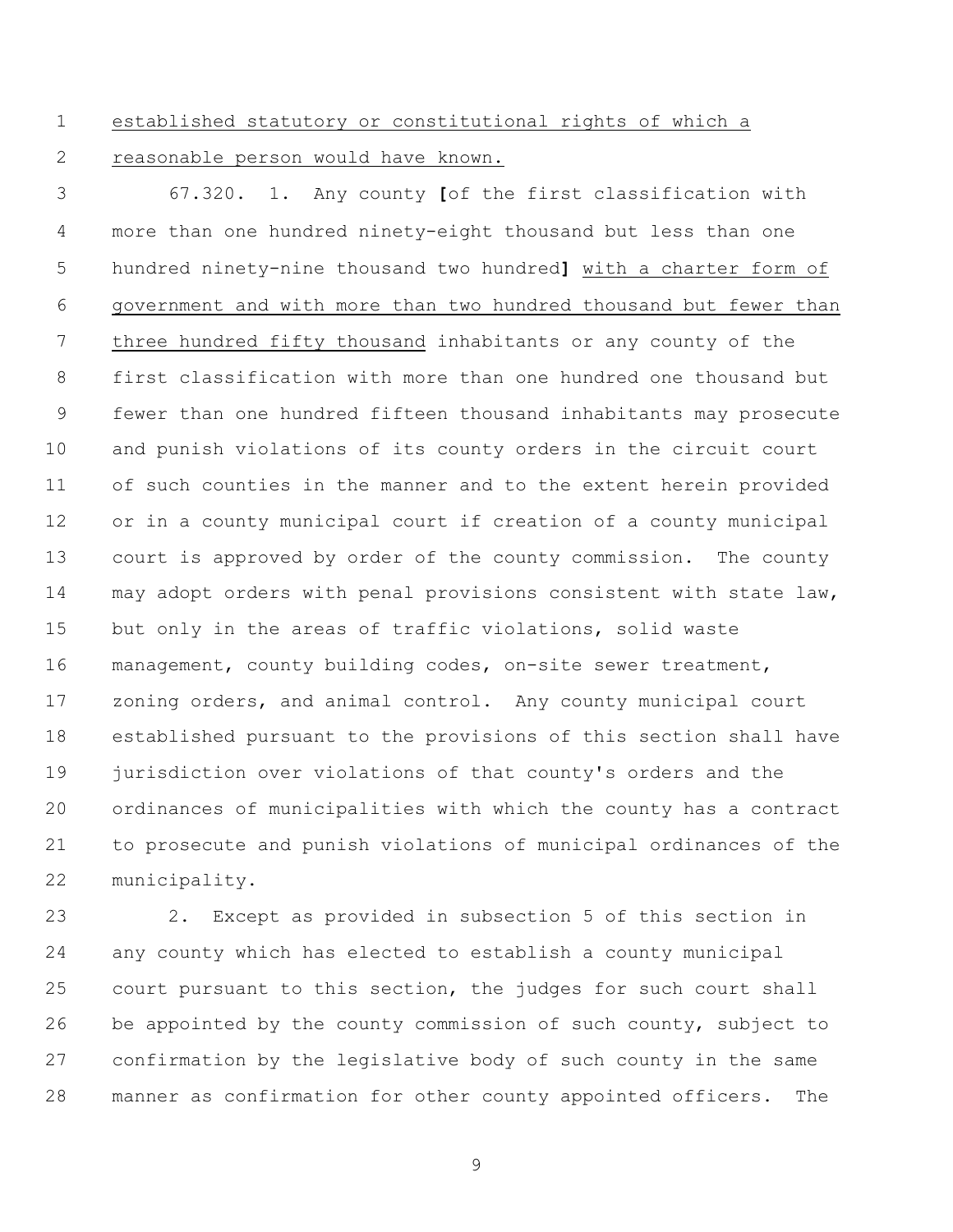established statutory or constitutional rights of which a

reasonable person would have known.

 67.320. 1. Any county **[**of the first classification with more than one hundred ninety-eight thousand but less than one hundred ninety-nine thousand two hundred**]** with a charter form of government and with more than two hundred thousand but fewer than three hundred fifty thousand inhabitants or any county of the first classification with more than one hundred one thousand but fewer than one hundred fifteen thousand inhabitants may prosecute and punish violations of its county orders in the circuit court of such counties in the manner and to the extent herein provided or in a county municipal court if creation of a county municipal court is approved by order of the county commission. The county may adopt orders with penal provisions consistent with state law, but only in the areas of traffic violations, solid waste management, county building codes, on-site sewer treatment, zoning orders, and animal control. Any county municipal court established pursuant to the provisions of this section shall have jurisdiction over violations of that county's orders and the ordinances of municipalities with which the county has a contract to prosecute and punish violations of municipal ordinances of the municipality.

 2. Except as provided in subsection 5 of this section in any county which has elected to establish a county municipal court pursuant to this section, the judges for such court shall be appointed by the county commission of such county, subject to confirmation by the legislative body of such county in the same manner as confirmation for other county appointed officers. The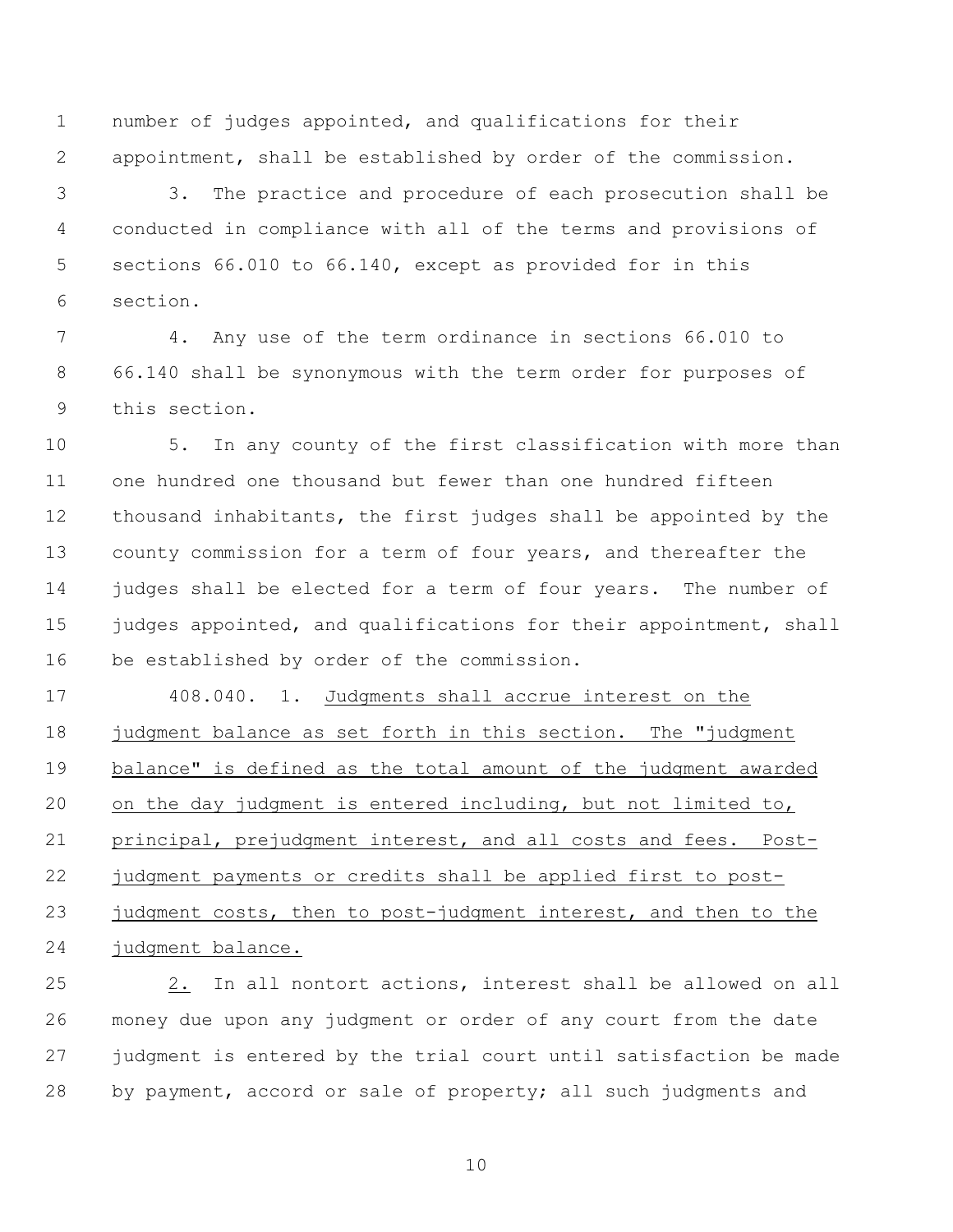number of judges appointed, and qualifications for their appointment, shall be established by order of the commission.

 3. The practice and procedure of each prosecution shall be conducted in compliance with all of the terms and provisions of sections 66.010 to 66.140, except as provided for in this section.

 4. Any use of the term ordinance in sections 66.010 to 66.140 shall be synonymous with the term order for purposes of this section.

 5. In any county of the first classification with more than one hundred one thousand but fewer than one hundred fifteen thousand inhabitants, the first judges shall be appointed by the county commission for a term of four years, and thereafter the judges shall be elected for a term of four years. The number of 15 judges appointed, and qualifications for their appointment, shall be established by order of the commission.

 408.040. 1. Judgments shall accrue interest on the 18 judgment balance as set forth in this section. The "judgment balance" is defined as the total amount of the judgment awarded on the day judgment is entered including, but not limited to, principal, prejudgment interest, and all costs and fees. Post- judgment payments or credits shall be applied first to post-23 judgment costs, then to post-judgment interest, and then to the judgment balance.

 2. In all nontort actions, interest shall be allowed on all money due upon any judgment or order of any court from the date judgment is entered by the trial court until satisfaction be made by payment, accord or sale of property; all such judgments and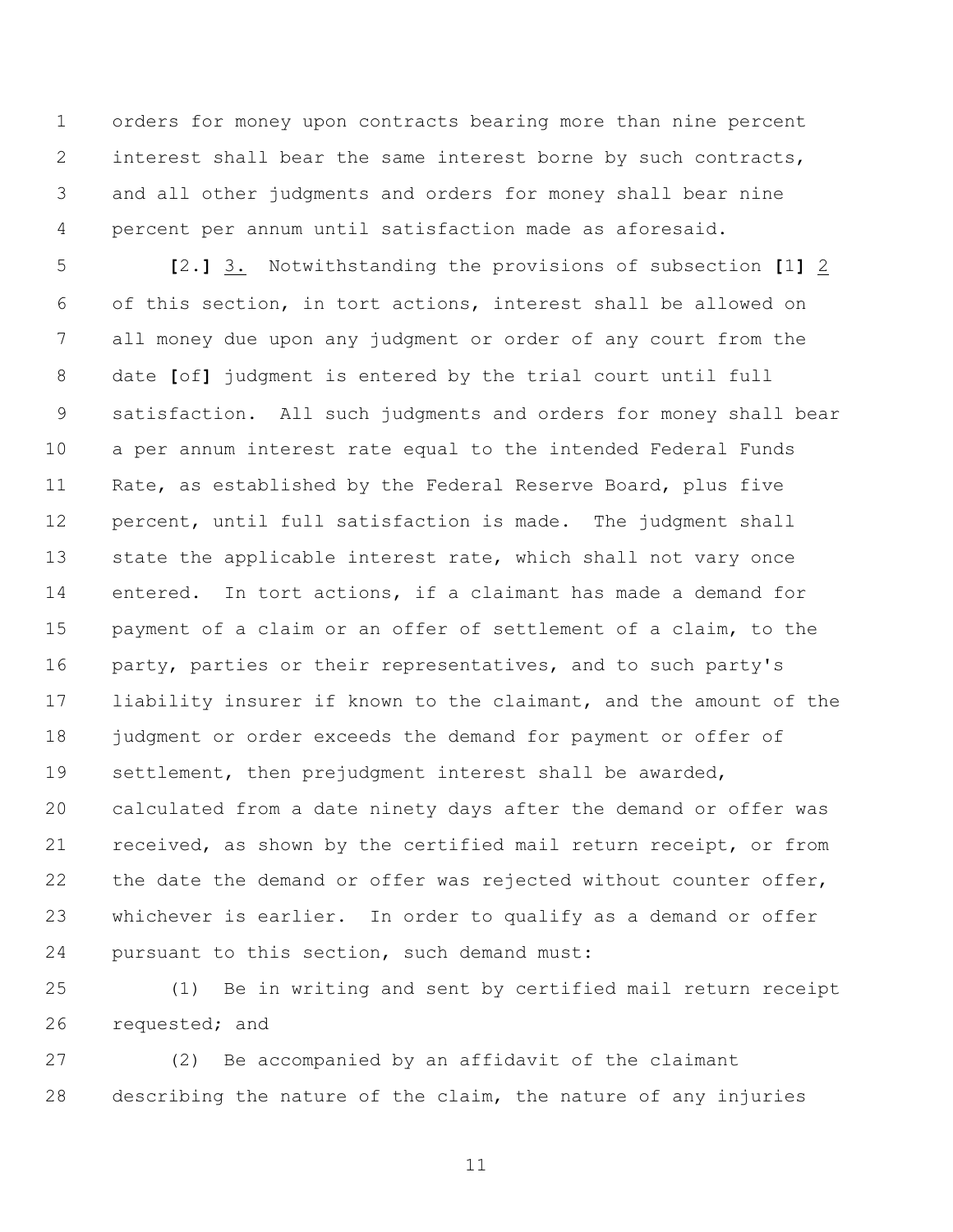orders for money upon contracts bearing more than nine percent interest shall bear the same interest borne by such contracts, and all other judgments and orders for money shall bear nine percent per annum until satisfaction made as aforesaid.

 **[**2.**]** 3. Notwithstanding the provisions of subsection **[**1**]** 2 of this section, in tort actions, interest shall be allowed on all money due upon any judgment or order of any court from the date **[**of**]** judgment is entered by the trial court until full satisfaction. All such judgments and orders for money shall bear a per annum interest rate equal to the intended Federal Funds Rate, as established by the Federal Reserve Board, plus five percent, until full satisfaction is made. The judgment shall state the applicable interest rate, which shall not vary once entered. In tort actions, if a claimant has made a demand for payment of a claim or an offer of settlement of a claim, to the party, parties or their representatives, and to such party's liability insurer if known to the claimant, and the amount of the 18 judgment or order exceeds the demand for payment or offer of settlement, then prejudgment interest shall be awarded, calculated from a date ninety days after the demand or offer was received, as shown by the certified mail return receipt, or from 22 the date the demand or offer was rejected without counter offer, whichever is earlier. In order to qualify as a demand or offer pursuant to this section, such demand must:

 (1) Be in writing and sent by certified mail return receipt 26 requested; and

 (2) Be accompanied by an affidavit of the claimant describing the nature of the claim, the nature of any injuries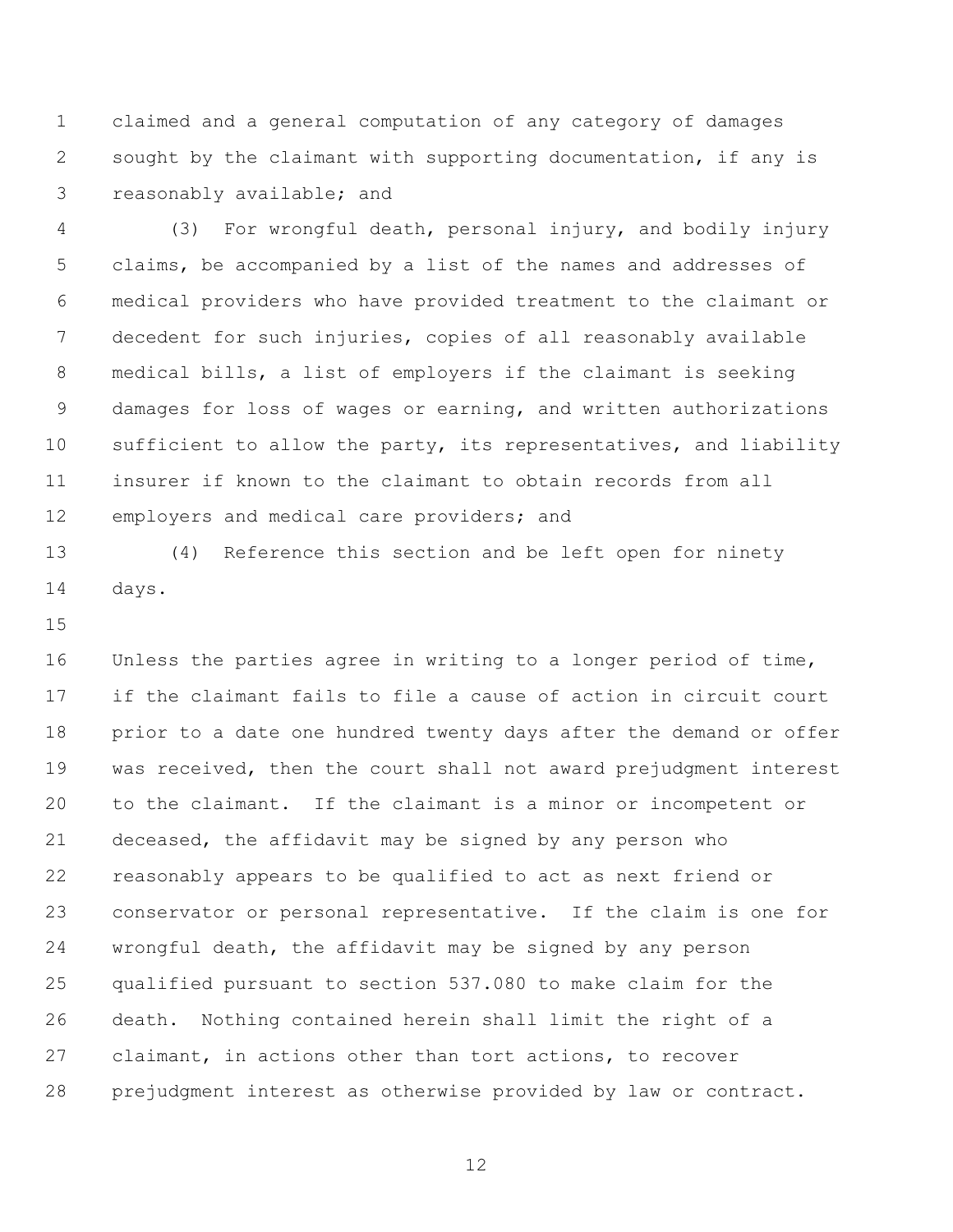claimed and a general computation of any category of damages sought by the claimant with supporting documentation, if any is reasonably available; and

 (3) For wrongful death, personal injury, and bodily injury claims, be accompanied by a list of the names and addresses of medical providers who have provided treatment to the claimant or decedent for such injuries, copies of all reasonably available medical bills, a list of employers if the claimant is seeking damages for loss of wages or earning, and written authorizations sufficient to allow the party, its representatives, and liability insurer if known to the claimant to obtain records from all 12 employers and medical care providers; and

 (4) Reference this section and be left open for ninety days.

 Unless the parties agree in writing to a longer period of time, if the claimant fails to file a cause of action in circuit court prior to a date one hundred twenty days after the demand or offer was received, then the court shall not award prejudgment interest to the claimant. If the claimant is a minor or incompetent or deceased, the affidavit may be signed by any person who reasonably appears to be qualified to act as next friend or conservator or personal representative. If the claim is one for wrongful death, the affidavit may be signed by any person qualified pursuant to section 537.080 to make claim for the death. Nothing contained herein shall limit the right of a claimant, in actions other than tort actions, to recover prejudgment interest as otherwise provided by law or contract.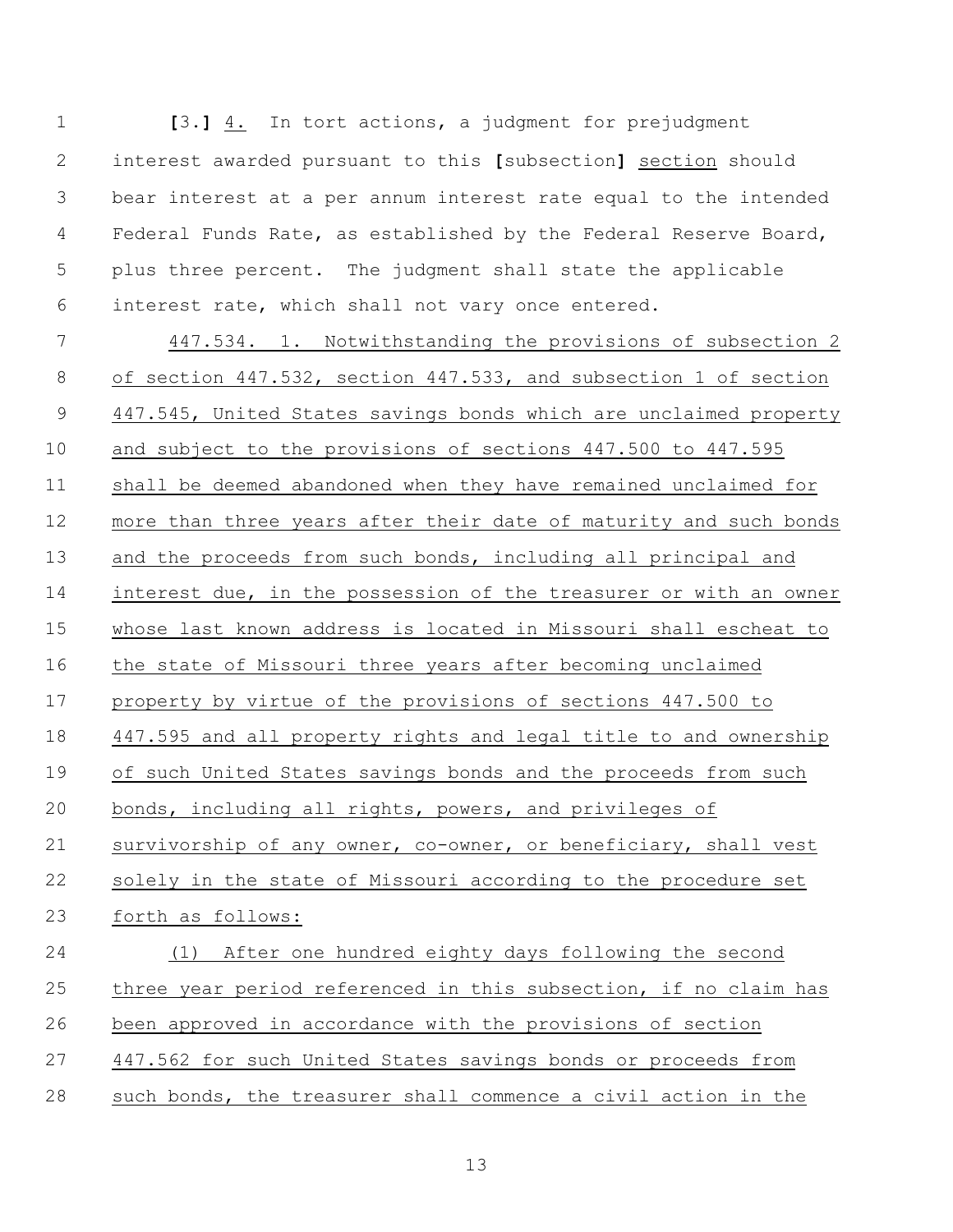| $\mathbf 1$  | [3.] 4. In tort actions, a judgment for prejudgment               |  |  |  |
|--------------|-------------------------------------------------------------------|--|--|--|
| $\mathbf{2}$ | interest awarded pursuant to this [subsection] section should     |  |  |  |
| 3            | bear interest at a per annum interest rate equal to the intended  |  |  |  |
| 4            | Federal Funds Rate, as established by the Federal Reserve Board,  |  |  |  |
| 5            | plus three percent. The judgment shall state the applicable       |  |  |  |
| 6            | interest rate, which shall not vary once entered.                 |  |  |  |
| 7            | 447.534. 1. Notwithstanding the provisions of subsection 2        |  |  |  |
| $8\,$        | of section 447.532, section 447.533, and subsection 1 of section  |  |  |  |
| 9            | 447.545, United States savings bonds which are unclaimed property |  |  |  |
| 10           | and subject to the provisions of sections 447.500 to 447.595      |  |  |  |
| 11           | shall be deemed abandoned when they have remained unclaimed for   |  |  |  |
| 12           | more than three years after their date of maturity and such bonds |  |  |  |
| 13           | and the proceeds from such bonds, including all principal and     |  |  |  |
| 14           | interest due, in the possession of the treasurer or with an owner |  |  |  |
| 15           | whose last known address is located in Missouri shall escheat to  |  |  |  |
| 16           | the state of Missouri three years after becoming unclaimed        |  |  |  |
| 17           | property by virtue of the provisions of sections 447.500 to       |  |  |  |
| 18           | 447.595 and all property rights and legal title to and ownership  |  |  |  |
| 19           | of such United States savings bonds and the proceeds from such    |  |  |  |
| 20           | bonds, including all rights, powers, and privileges of            |  |  |  |
| 21           | survivorship of any owner, co-owner, or beneficiary, shall vest   |  |  |  |
| 22           | solely in the state of Missouri according to the procedure set    |  |  |  |
| 23           | forth as follows:                                                 |  |  |  |
| 24           | (1) After one hundred eighty days following the second            |  |  |  |
| 25           | three year period referenced in this subsection, if no claim has  |  |  |  |
| 26           | been approved in accordance with the provisions of section        |  |  |  |
| 27           | 447.562 for such United States savings bonds or proceeds from     |  |  |  |
| 28           | such bonds, the treasurer shall commence a civil action in the    |  |  |  |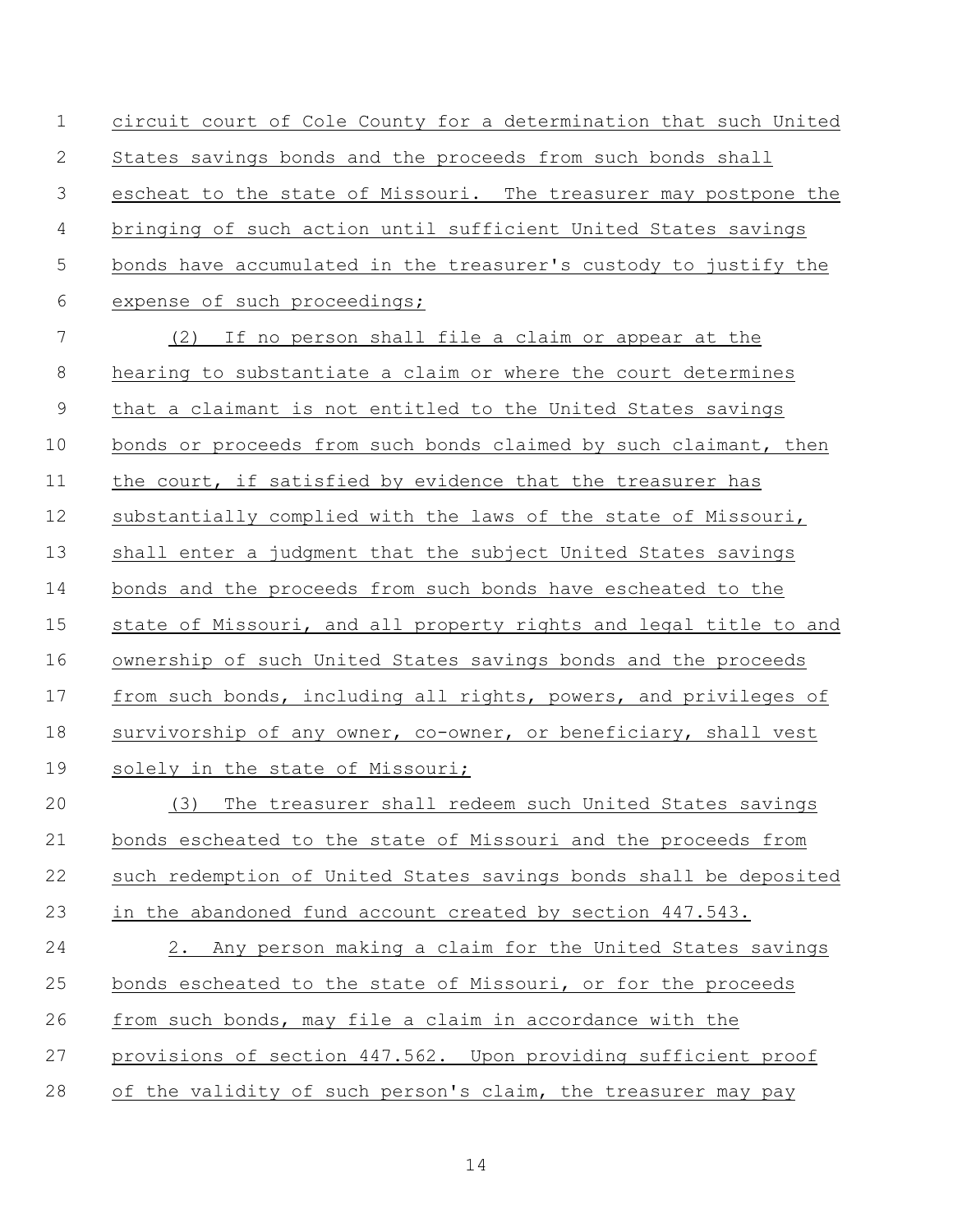circuit court of Cole County for a determination that such United States savings bonds and the proceeds from such bonds shall escheat to the state of Missouri. The treasurer may postpone the bringing of such action until sufficient United States savings bonds have accumulated in the treasurer's custody to justify the expense of such proceedings; (2) If no person shall file a claim or appear at the hearing to substantiate a claim or where the court determines that a claimant is not entitled to the United States savings bonds or proceeds from such bonds claimed by such claimant, then the court, if satisfied by evidence that the treasurer has substantially complied with the laws of the state of Missouri, shall enter a judgment that the subject United States savings bonds and the proceeds from such bonds have escheated to the state of Missouri, and all property rights and legal title to and ownership of such United States savings bonds and the proceeds from such bonds, including all rights, powers, and privileges of 18 survivorship of any owner, co-owner, or beneficiary, shall vest 19 solely in the state of Missouri; (3) The treasurer shall redeem such United States savings bonds escheated to the state of Missouri and the proceeds from such redemption of United States savings bonds shall be deposited in the abandoned fund account created by section 447.543. 2. Any person making a claim for the United States savings bonds escheated to the state of Missouri, or for the proceeds from such bonds, may file a claim in accordance with the provisions of section 447.562. Upon providing sufficient proof of the validity of such person's claim, the treasurer may pay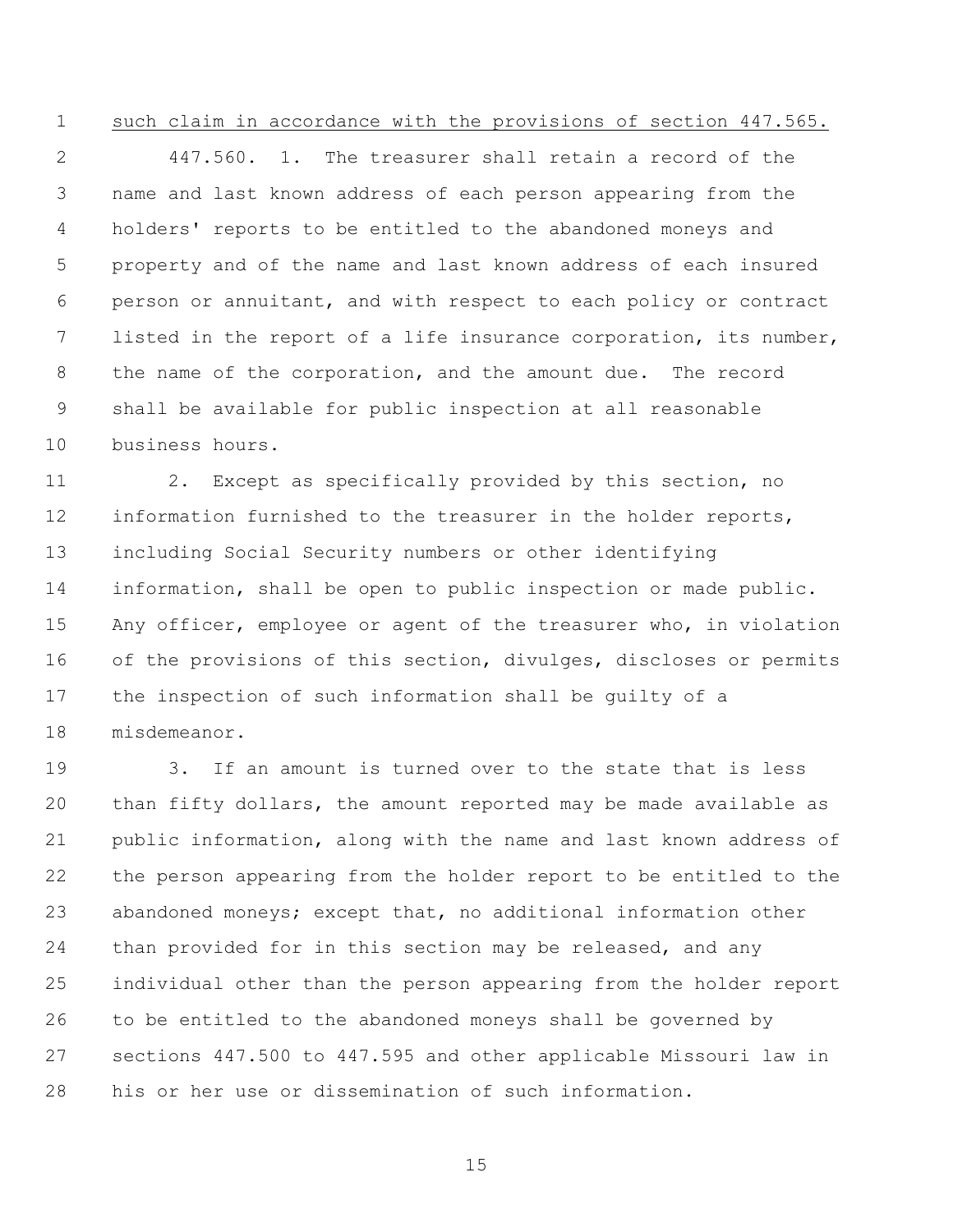## such claim in accordance with the provisions of section 447.565.

 447.560. 1. The treasurer shall retain a record of the name and last known address of each person appearing from the holders' reports to be entitled to the abandoned moneys and property and of the name and last known address of each insured person or annuitant, and with respect to each policy or contract listed in the report of a life insurance corporation, its number, the name of the corporation, and the amount due. The record shall be available for public inspection at all reasonable business hours.

 2. Except as specifically provided by this section, no information furnished to the treasurer in the holder reports, including Social Security numbers or other identifying information, shall be open to public inspection or made public. Any officer, employee or agent of the treasurer who, in violation 16 of the provisions of this section, divulges, discloses or permits the inspection of such information shall be guilty of a misdemeanor.

 3. If an amount is turned over to the state that is less than fifty dollars, the amount reported may be made available as public information, along with the name and last known address of the person appearing from the holder report to be entitled to the abandoned moneys; except that, no additional information other than provided for in this section may be released, and any individual other than the person appearing from the holder report to be entitled to the abandoned moneys shall be governed by sections 447.500 to 447.595 and other applicable Missouri law in his or her use or dissemination of such information.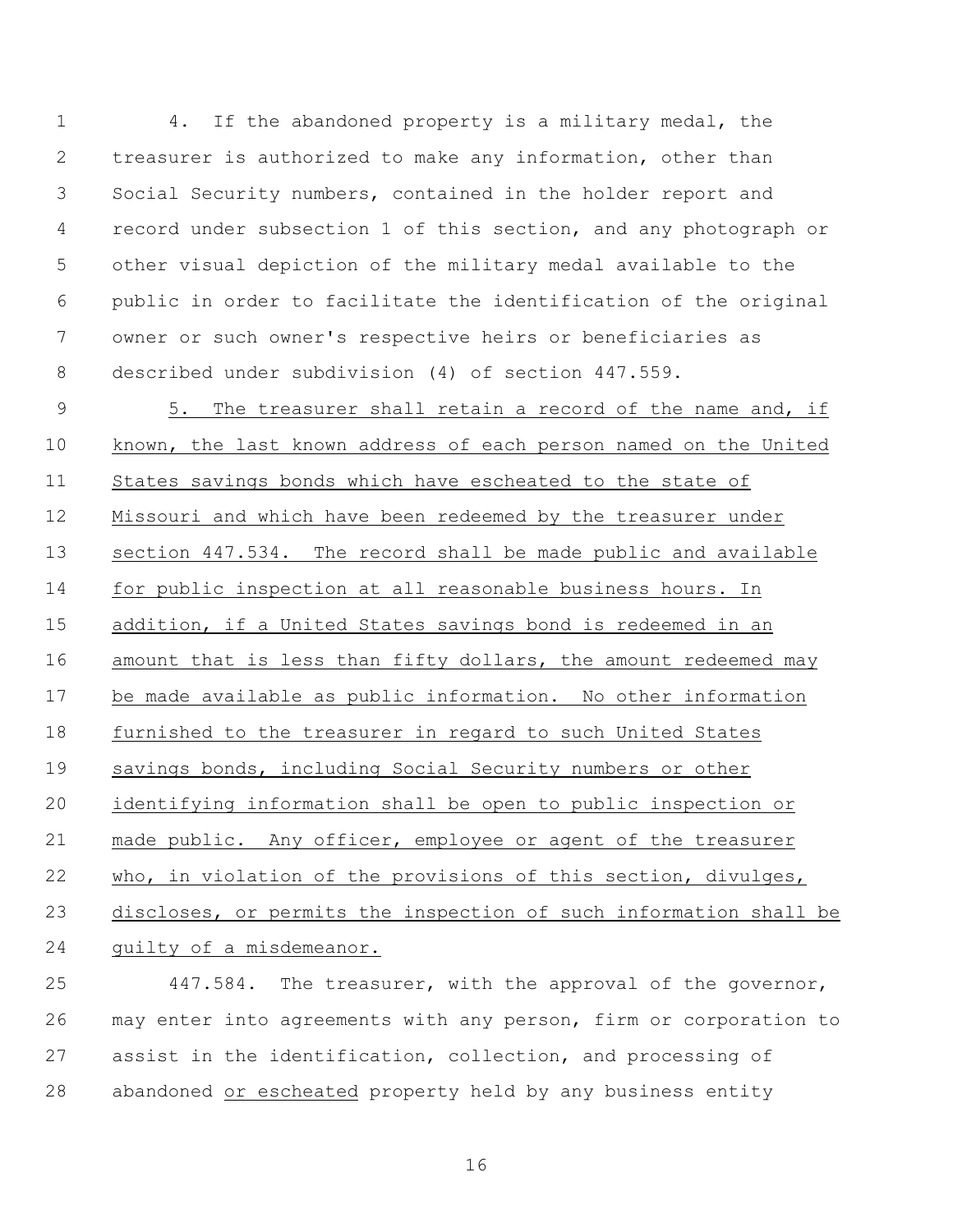4. If the abandoned property is a military medal, the treasurer is authorized to make any information, other than Social Security numbers, contained in the holder report and record under subsection 1 of this section, and any photograph or other visual depiction of the military medal available to the public in order to facilitate the identification of the original owner or such owner's respective heirs or beneficiaries as described under subdivision (4) of section 447.559.

 5. The treasurer shall retain a record of the name and, if known, the last known address of each person named on the United States savings bonds which have escheated to the state of Missouri and which have been redeemed by the treasurer under section 447.534. The record shall be made public and available for public inspection at all reasonable business hours. In addition, if a United States savings bond is redeemed in an amount that is less than fifty dollars, the amount redeemed may be made available as public information. No other information furnished to the treasurer in regard to such United States 19 savings bonds, including Social Security numbers or other identifying information shall be open to public inspection or made public. Any officer, employee or agent of the treasurer who, in violation of the provisions of this section, divulges, discloses, or permits the inspection of such information shall be guilty of a misdemeanor.

 447.584. The treasurer, with the approval of the governor, may enter into agreements with any person, firm or corporation to assist in the identification, collection, and processing of abandoned or escheated property held by any business entity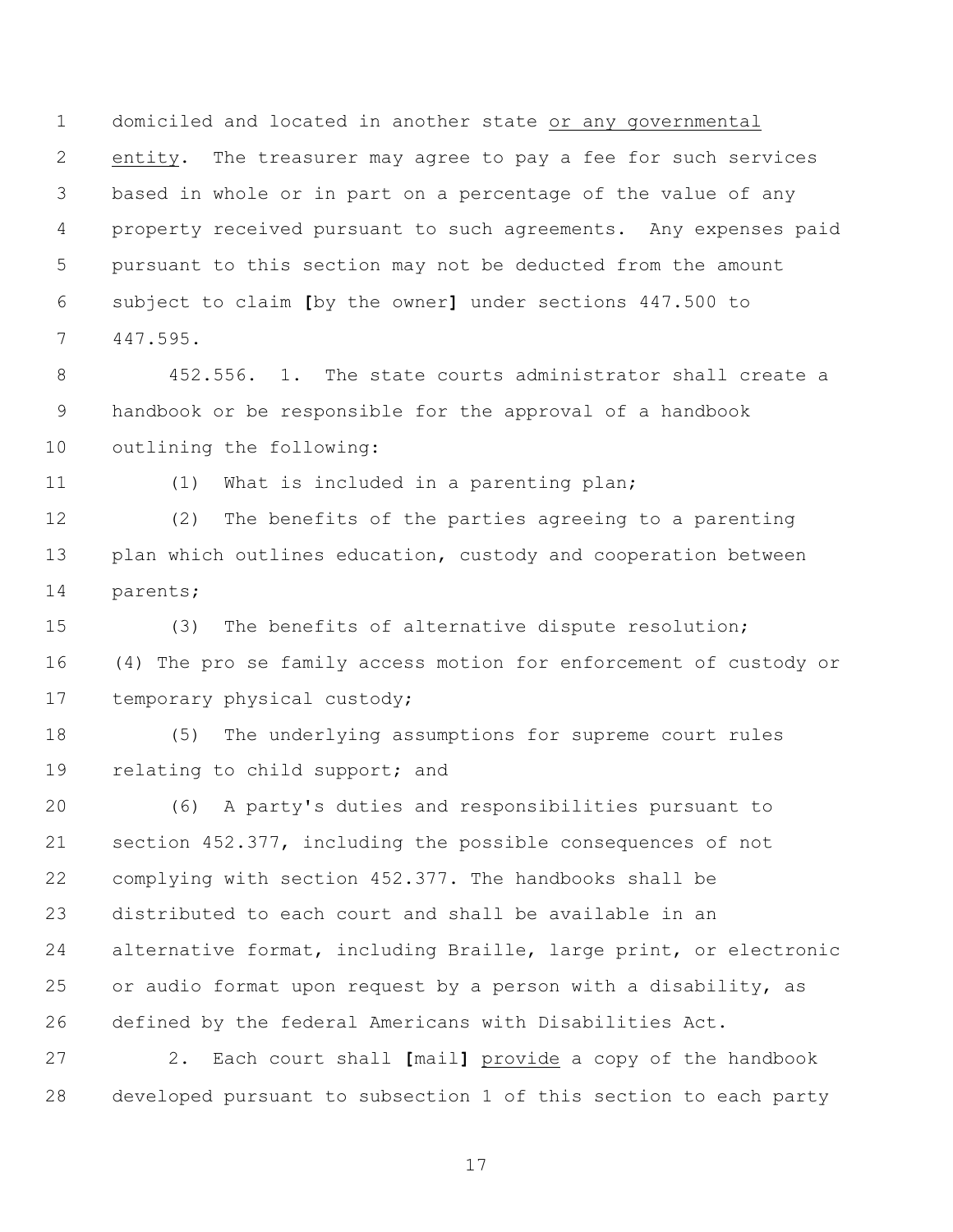domiciled and located in another state or any governmental entity. The treasurer may agree to pay a fee for such services based in whole or in part on a percentage of the value of any property received pursuant to such agreements. Any expenses paid pursuant to this section may not be deducted from the amount subject to claim **[**by the owner**]** under sections 447.500 to 447.595.

 452.556. 1. The state courts administrator shall create a handbook or be responsible for the approval of a handbook outlining the following:

(1) What is included in a parenting plan;

 (2) The benefits of the parties agreeing to a parenting 13 plan which outlines education, custody and cooperation between parents;

 (3) The benefits of alternative dispute resolution; (4) The pro se family access motion for enforcement of custody or temporary physical custody;

 (5) The underlying assumptions for supreme court rules relating to child support; and

 (6) A party's duties and responsibilities pursuant to section 452.377, including the possible consequences of not complying with section 452.377. The handbooks shall be distributed to each court and shall be available in an alternative format, including Braille, large print, or electronic or audio format upon request by a person with a disability, as defined by the federal Americans with Disabilities Act.

 2. Each court shall **[**mail**]** provide a copy of the handbook developed pursuant to subsection 1 of this section to each party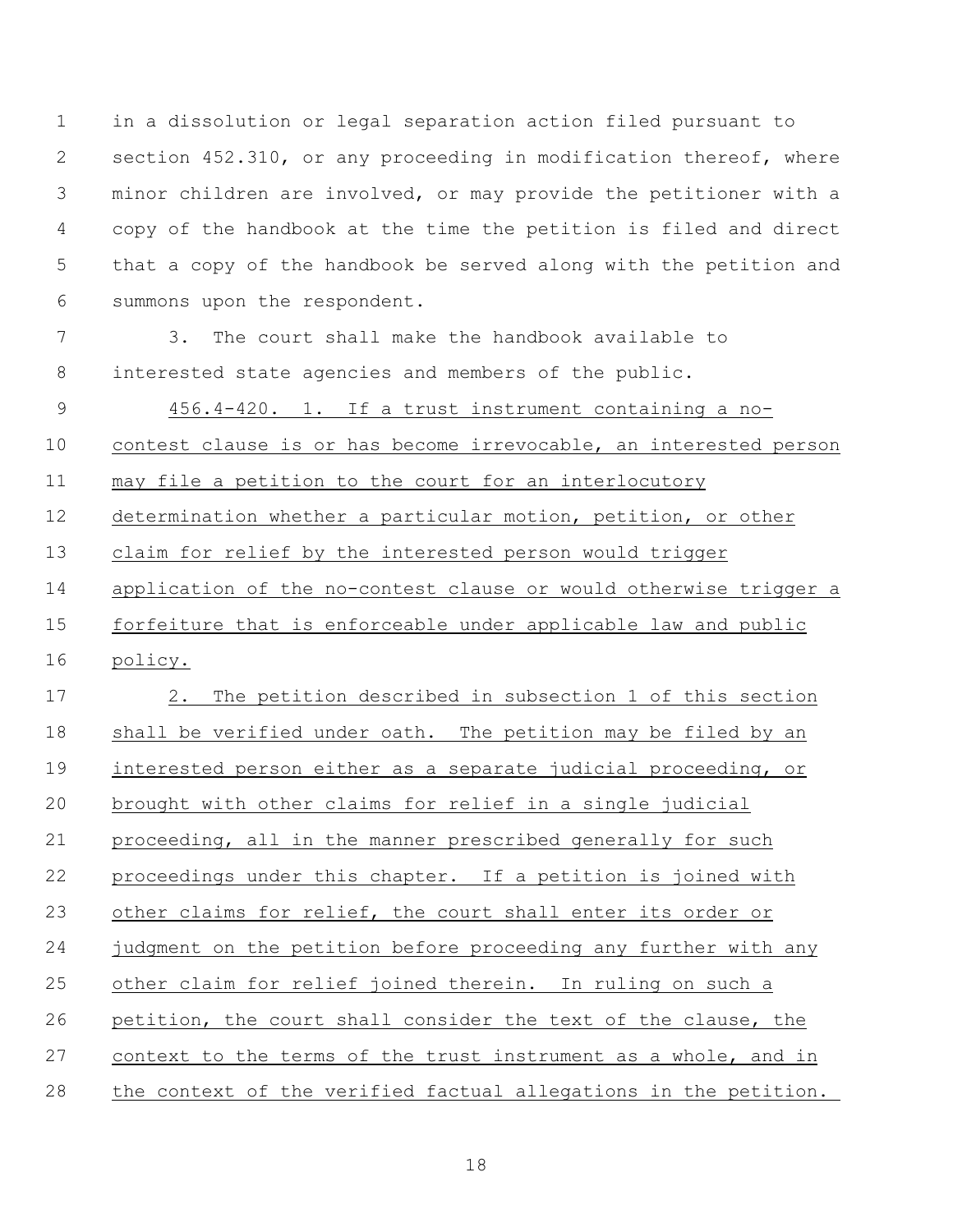in a dissolution or legal separation action filed pursuant to section 452.310, or any proceeding in modification thereof, where minor children are involved, or may provide the petitioner with a copy of the handbook at the time the petition is filed and direct that a copy of the handbook be served along with the petition and summons upon the respondent.

 3. The court shall make the handbook available to interested state agencies and members of the public.

 456.4-420. 1. If a trust instrument containing a no- contest clause is or has become irrevocable, an interested person 11 may file a petition to the court for an interlocutory determination whether a particular motion, petition, or other claim for relief by the interested person would trigger application of the no-contest clause or would otherwise trigger a forfeiture that is enforceable under applicable law and public policy.

 2. The petition described in subsection 1 of this section shall be verified under oath. The petition may be filed by an 19 interested person either as a separate judicial proceeding, or brought with other claims for relief in a single judicial proceeding, all in the manner prescribed generally for such proceedings under this chapter. If a petition is joined with other claims for relief, the court shall enter its order or judgment on the petition before proceeding any further with any other claim for relief joined therein. In ruling on such a petition, the court shall consider the text of the clause, the context to the terms of the trust instrument as a whole, and in the context of the verified factual allegations in the petition.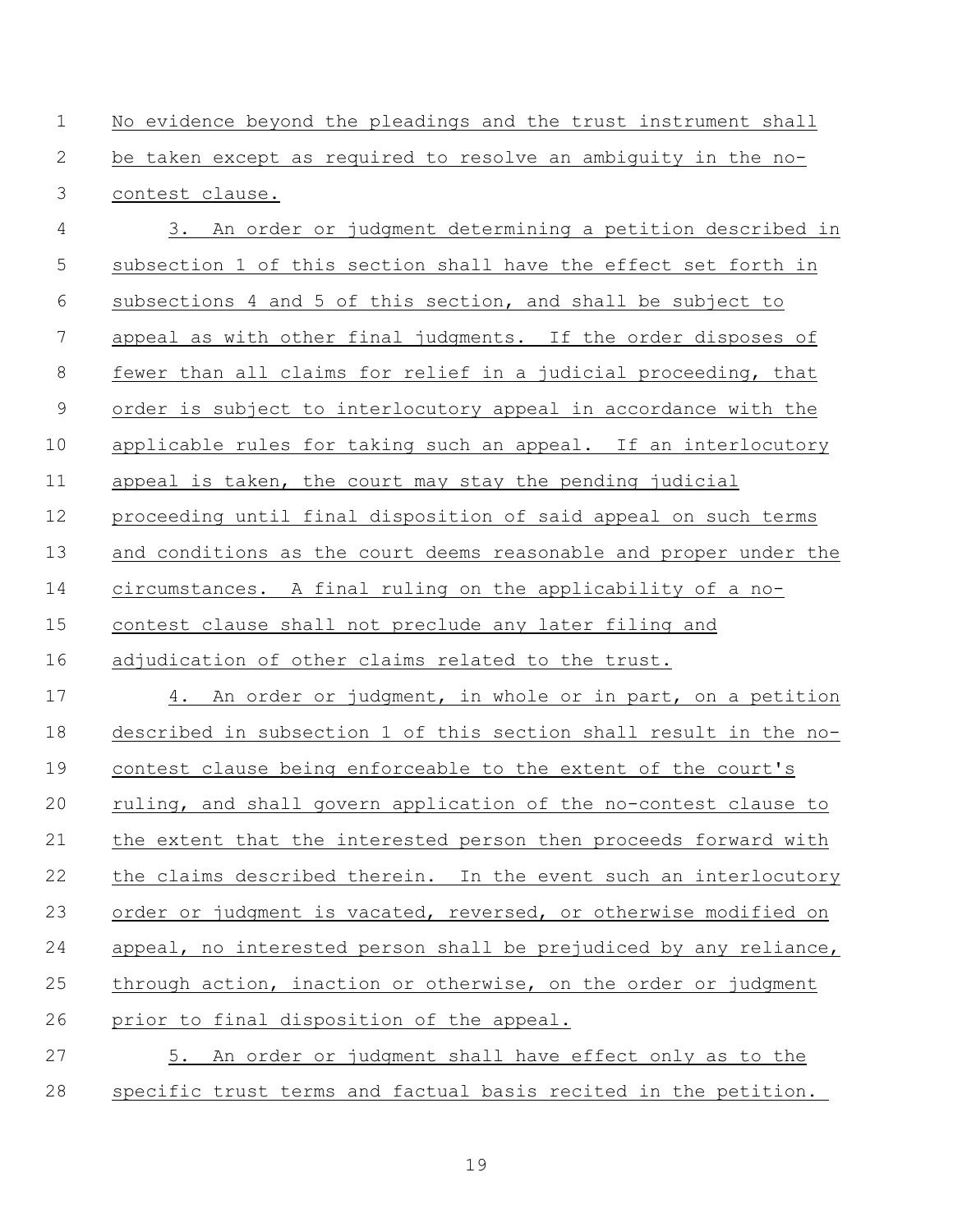No evidence beyond the pleadings and the trust instrument shall be taken except as required to resolve an ambiguity in the no-contest clause.

 3. An order or judgment determining a petition described in subsection 1 of this section shall have the effect set forth in subsections 4 and 5 of this section, and shall be subject to appeal as with other final judgments. If the order disposes of fewer than all claims for relief in a judicial proceeding, that order is subject to interlocutory appeal in accordance with the applicable rules for taking such an appeal. If an interlocutory 11 appeal is taken, the court may stay the pending judicial proceeding until final disposition of said appeal on such terms and conditions as the court deems reasonable and proper under the circumstances. A final ruling on the applicability of a no- contest clause shall not preclude any later filing and adjudication of other claims related to the trust. 4. An order or judgment, in whole or in part, on a petition described in subsection 1 of this section shall result in the no- contest clause being enforceable to the extent of the court's ruling, and shall govern application of the no-contest clause to the extent that the interested person then proceeds forward with the claims described therein. In the event such an interlocutory 23 order or judgment is vacated, reversed, or otherwise modified on appeal, no interested person shall be prejudiced by any reliance, through action, inaction or otherwise, on the order or judgment prior to final disposition of the appeal. 5. An order or judgment shall have effect only as to the

specific trust terms and factual basis recited in the petition.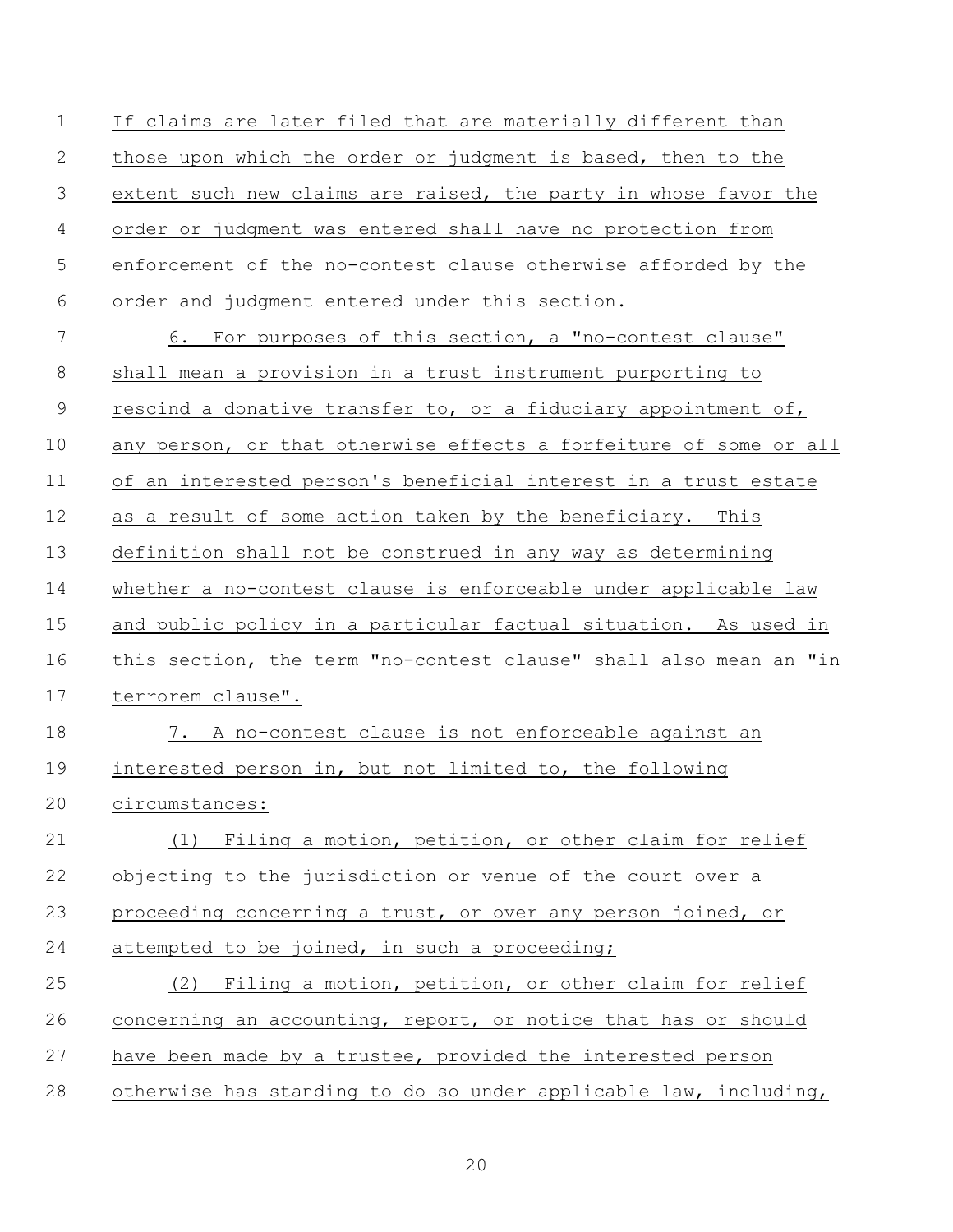If claims are later filed that are materially different than those upon which the order or judgment is based, then to the extent such new claims are raised, the party in whose favor the order or judgment was entered shall have no protection from enforcement of the no-contest clause otherwise afforded by the order and judgment entered under this section. 6. For purposes of this section, a "no-contest clause" 8 shall mean a provision in a trust instrument purporting to rescind a donative transfer to, or a fiduciary appointment of, any person, or that otherwise effects a forfeiture of some or all of an interested person's beneficial interest in a trust estate as a result of some action taken by the beneficiary. This definition shall not be construed in any way as determining whether a no-contest clause is enforceable under applicable law and public policy in a particular factual situation. As used in this section, the term "no-contest clause" shall also mean an "in terrorem clause".

 7. A no-contest clause is not enforceable against an interested person in, but not limited to, the following circumstances:

 (1) Filing a motion, petition, or other claim for relief objecting to the jurisdiction or venue of the court over a proceeding concerning a trust, or over any person joined, or 24 attempted to be joined, in such a proceeding; (2) Filing a motion, petition, or other claim for relief

 concerning an accounting, report, or notice that has or should have been made by a trustee, provided the interested person otherwise has standing to do so under applicable law, including,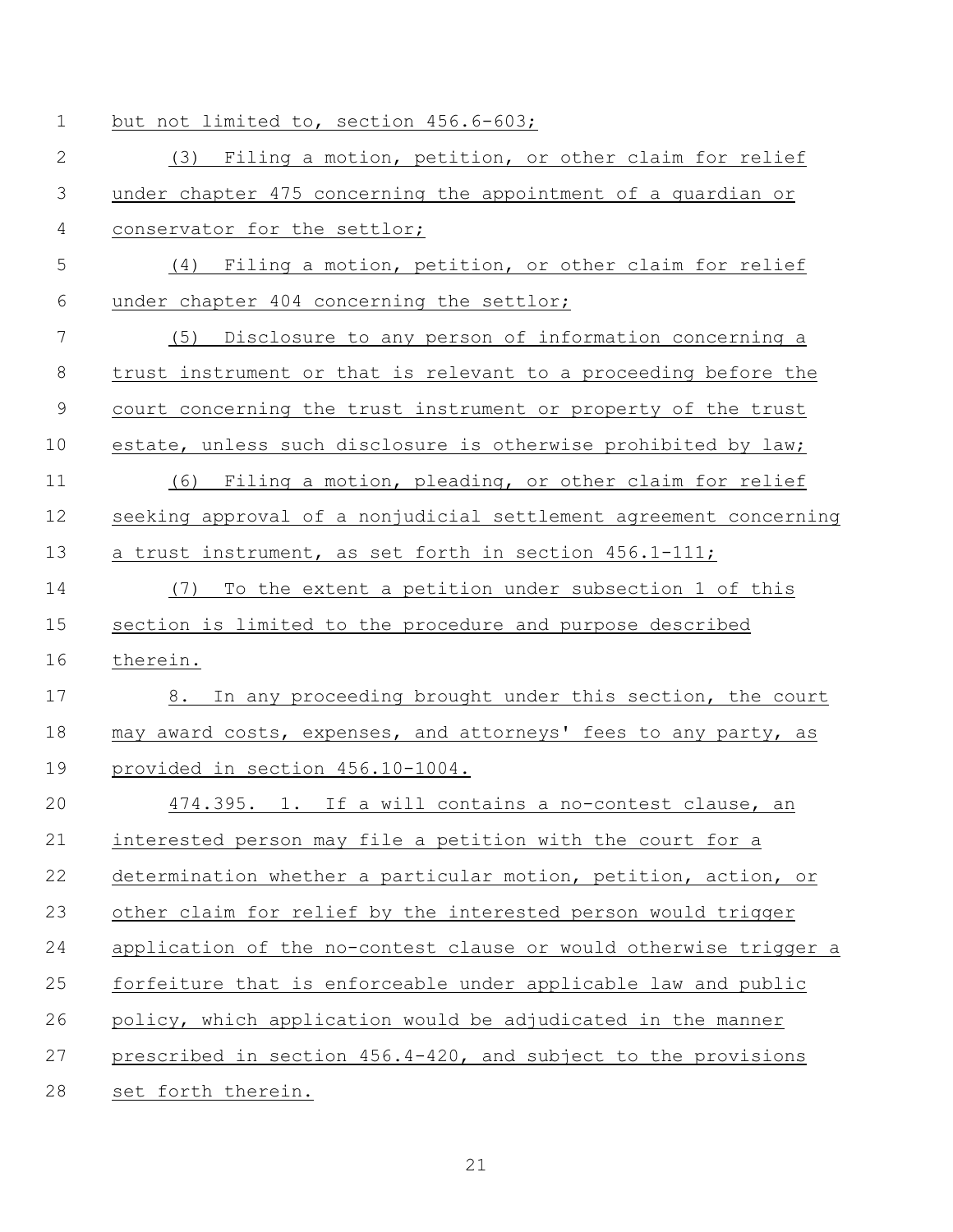| $\mathbf 1$  | but not limited to, section 456.6-603;                            |  |  |
|--------------|-------------------------------------------------------------------|--|--|
| $\mathbf{2}$ | (3) Filing a motion, petition, or other claim for relief          |  |  |
| 3            | under chapter 475 concerning the appointment of a guardian or     |  |  |
| 4            | conservator for the settlor;                                      |  |  |
| 5            | (4) Filing a motion, petition, or other claim for relief          |  |  |
| 6            | under chapter 404 concerning the settlor;                         |  |  |
| 7            | (5)<br>Disclosure to any person of information concerning a       |  |  |
| $\,8\,$      | trust instrument or that is relevant to a proceeding before the   |  |  |
| $\mathsf 9$  | court concerning the trust instrument or property of the trust    |  |  |
| 10           | estate, unless such disclosure is otherwise prohibited by law;    |  |  |
| 11           | Filing a motion, pleading, or other claim for relief<br>(6)       |  |  |
| 12           | seeking approval of a nonjudicial settlement agreement concerning |  |  |
| 13           | a trust instrument, as set forth in section 456.1-111;            |  |  |
| 14           | (7)<br>To the extent a petition under subsection 1 of this        |  |  |
| 15           | section is limited to the procedure and purpose described         |  |  |
| 16           | therein.                                                          |  |  |
| 17           | In any proceeding brought under this section, the court<br>8.     |  |  |
| 18           | may award costs, expenses, and attorneys' fees to any party, as   |  |  |
| 19           | provided in section 456.10-1004.                                  |  |  |
| 20           | 474.395. 1. If a will contains a no-contest clause, an            |  |  |
| 21           | interested person may file a petition with the court for a        |  |  |
| 22           | determination whether a particular motion, petition, action, or   |  |  |
| 23           | other claim for relief by the interested person would trigger     |  |  |
| 24           | application of the no-contest clause or would otherwise trigger a |  |  |
| 25           | forfeiture that is enforceable under applicable law and public    |  |  |
| 26           | policy, which application would be adjudicated in the manner      |  |  |
| 27           | prescribed in section 456.4-420, and subject to the provisions    |  |  |
| 28           | set forth therein.                                                |  |  |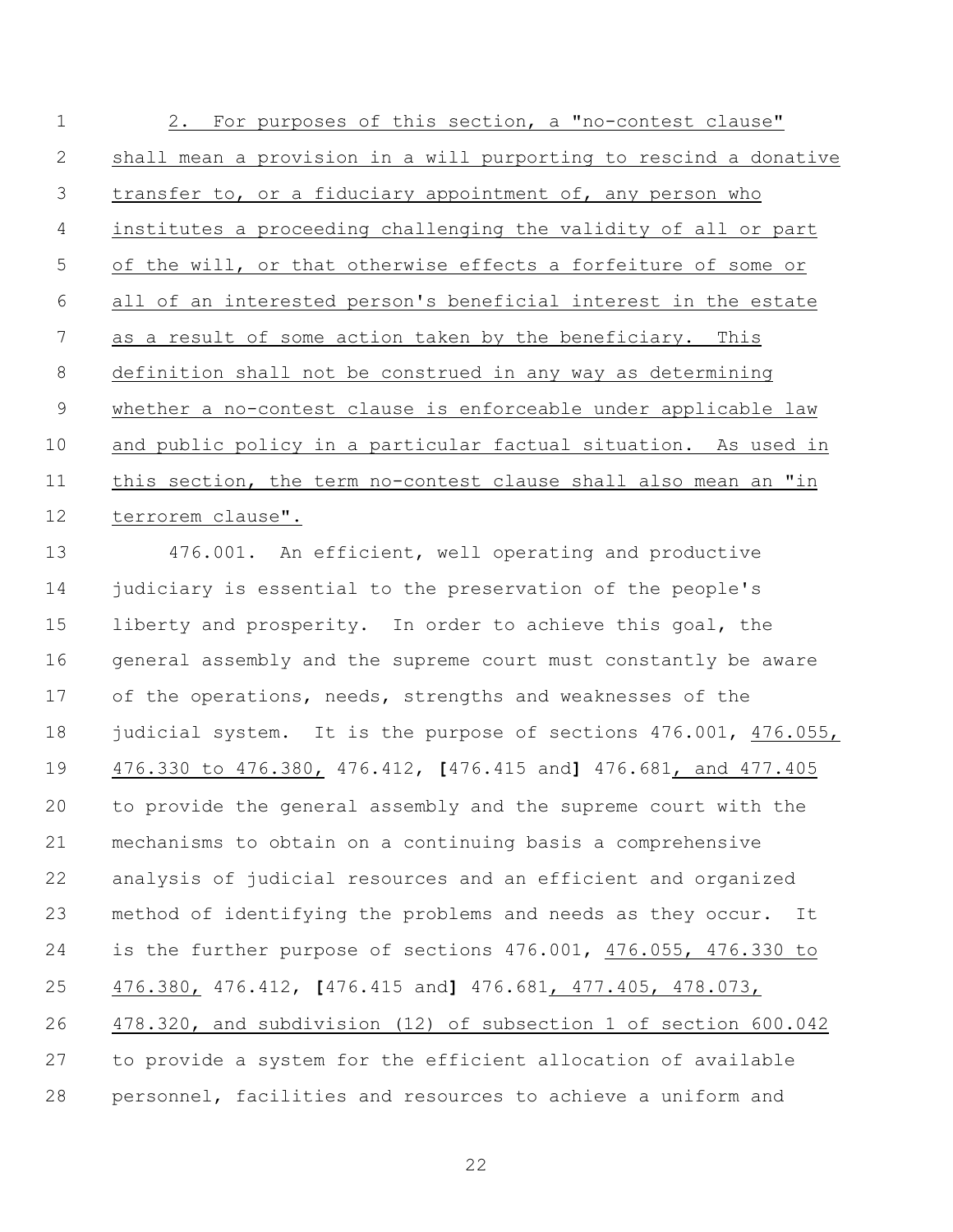2. For purposes of this section, a "no-contest clause" shall mean a provision in a will purporting to rescind a donative transfer to, or a fiduciary appointment of, any person who institutes a proceeding challenging the validity of all or part of the will, or that otherwise effects a forfeiture of some or all of an interested person's beneficial interest in the estate as a result of some action taken by the beneficiary. This definition shall not be construed in any way as determining whether a no-contest clause is enforceable under applicable law and public policy in a particular factual situation. As used in this section, the term no-contest clause shall also mean an "in terrorem clause".

 476.001. An efficient, well operating and productive 14 judiciary is essential to the preservation of the people's liberty and prosperity. In order to achieve this goal, the general assembly and the supreme court must constantly be aware of the operations, needs, strengths and weaknesses of the 18 judicial system. It is the purpose of sections 476.001, 476.055, 476.330 to 476.380, 476.412, **[**476.415 and**]** 476.681, and 477.405 to provide the general assembly and the supreme court with the mechanisms to obtain on a continuing basis a comprehensive analysis of judicial resources and an efficient and organized method of identifying the problems and needs as they occur. It is the further purpose of sections 476.001, 476.055, 476.330 to 476.380, 476.412, **[**476.415 and**]** 476.681, 477.405, 478.073, 478.320, and subdivision (12) of subsection 1 of section 600.042 to provide a system for the efficient allocation of available personnel, facilities and resources to achieve a uniform and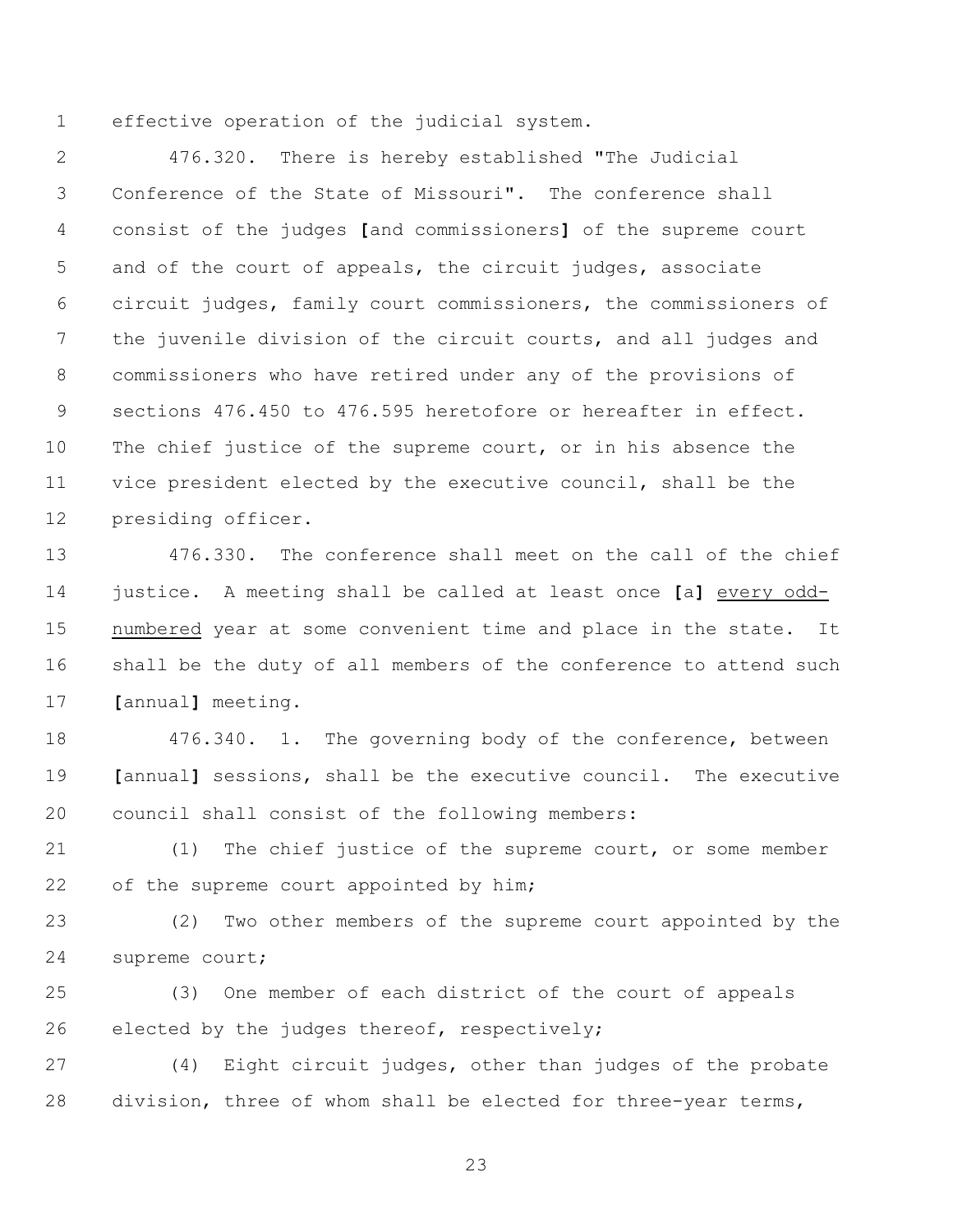effective operation of the judicial system.

 476.320. There is hereby established "The Judicial Conference of the State of Missouri". The conference shall consist of the judges **[**and commissioners**]** of the supreme court and of the court of appeals, the circuit judges, associate circuit judges, family court commissioners, the commissioners of the juvenile division of the circuit courts, and all judges and commissioners who have retired under any of the provisions of sections 476.450 to 476.595 heretofore or hereafter in effect. The chief justice of the supreme court, or in his absence the vice president elected by the executive council, shall be the presiding officer.

 476.330. The conference shall meet on the call of the chief justice. A meeting shall be called at least once **[**a**]** every odd- numbered year at some convenient time and place in the state. It shall be the duty of all members of the conference to attend such **[**annual**]** meeting.

 476.340. 1. The governing body of the conference, between **[**annual**]** sessions, shall be the executive council. The executive council shall consist of the following members:

 (1) The chief justice of the supreme court, or some member 22 of the supreme court appointed by him;

 (2) Two other members of the supreme court appointed by the supreme court;

 (3) One member of each district of the court of appeals elected by the judges thereof, respectively;

 (4) Eight circuit judges, other than judges of the probate division, three of whom shall be elected for three-year terms,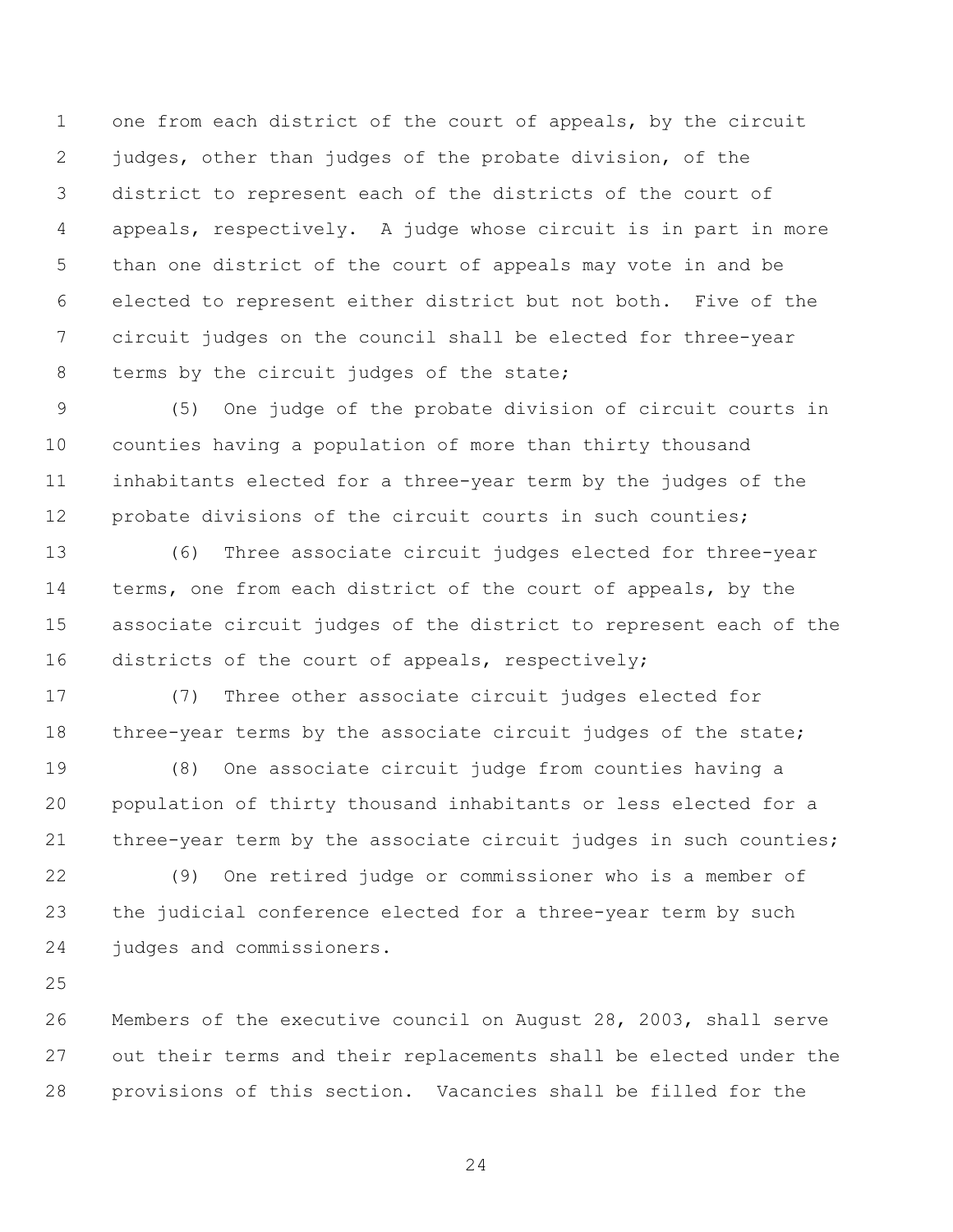one from each district of the court of appeals, by the circuit judges, other than judges of the probate division, of the district to represent each of the districts of the court of appeals, respectively. A judge whose circuit is in part in more than one district of the court of appeals may vote in and be elected to represent either district but not both. Five of the circuit judges on the council shall be elected for three-year 8 terms by the circuit judges of the state;

 (5) One judge of the probate division of circuit courts in counties having a population of more than thirty thousand inhabitants elected for a three-year term by the judges of the 12 probate divisions of the circuit courts in such counties;

 (6) Three associate circuit judges elected for three-year terms, one from each district of the court of appeals, by the associate circuit judges of the district to represent each of the districts of the court of appeals, respectively;

 (7) Three other associate circuit judges elected for 18 three-year terms by the associate circuit judges of the state;

 (8) One associate circuit judge from counties having a population of thirty thousand inhabitants or less elected for a three-year term by the associate circuit judges in such counties;

 (9) One retired judge or commissioner who is a member of the judicial conference elected for a three-year term by such judges and commissioners.

 Members of the executive council on August 28, 2003, shall serve out their terms and their replacements shall be elected under the provisions of this section. Vacancies shall be filled for the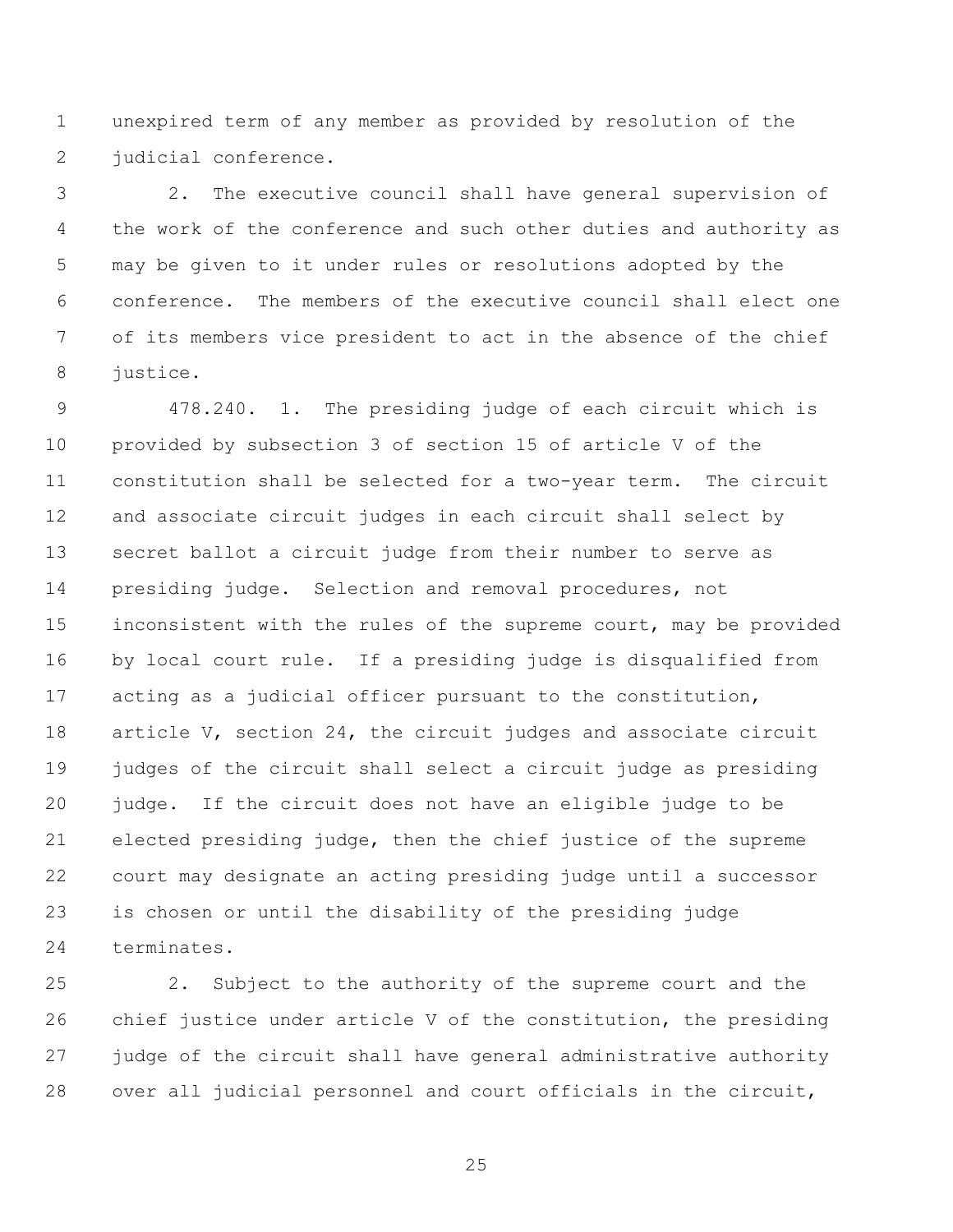unexpired term of any member as provided by resolution of the judicial conference.

 2. The executive council shall have general supervision of the work of the conference and such other duties and authority as may be given to it under rules or resolutions adopted by the conference. The members of the executive council shall elect one of its members vice president to act in the absence of the chief justice.

 478.240. 1. The presiding judge of each circuit which is provided by subsection 3 of section 15 of article V of the constitution shall be selected for a two-year term. The circuit and associate circuit judges in each circuit shall select by secret ballot a circuit judge from their number to serve as presiding judge. Selection and removal procedures, not inconsistent with the rules of the supreme court, may be provided by local court rule. If a presiding judge is disqualified from acting as a judicial officer pursuant to the constitution, 18 article V, section 24, the circuit judges and associate circuit judges of the circuit shall select a circuit judge as presiding judge. If the circuit does not have an eligible judge to be elected presiding judge, then the chief justice of the supreme court may designate an acting presiding judge until a successor is chosen or until the disability of the presiding judge terminates.

 2. Subject to the authority of the supreme court and the chief justice under article V of the constitution, the presiding judge of the circuit shall have general administrative authority over all judicial personnel and court officials in the circuit,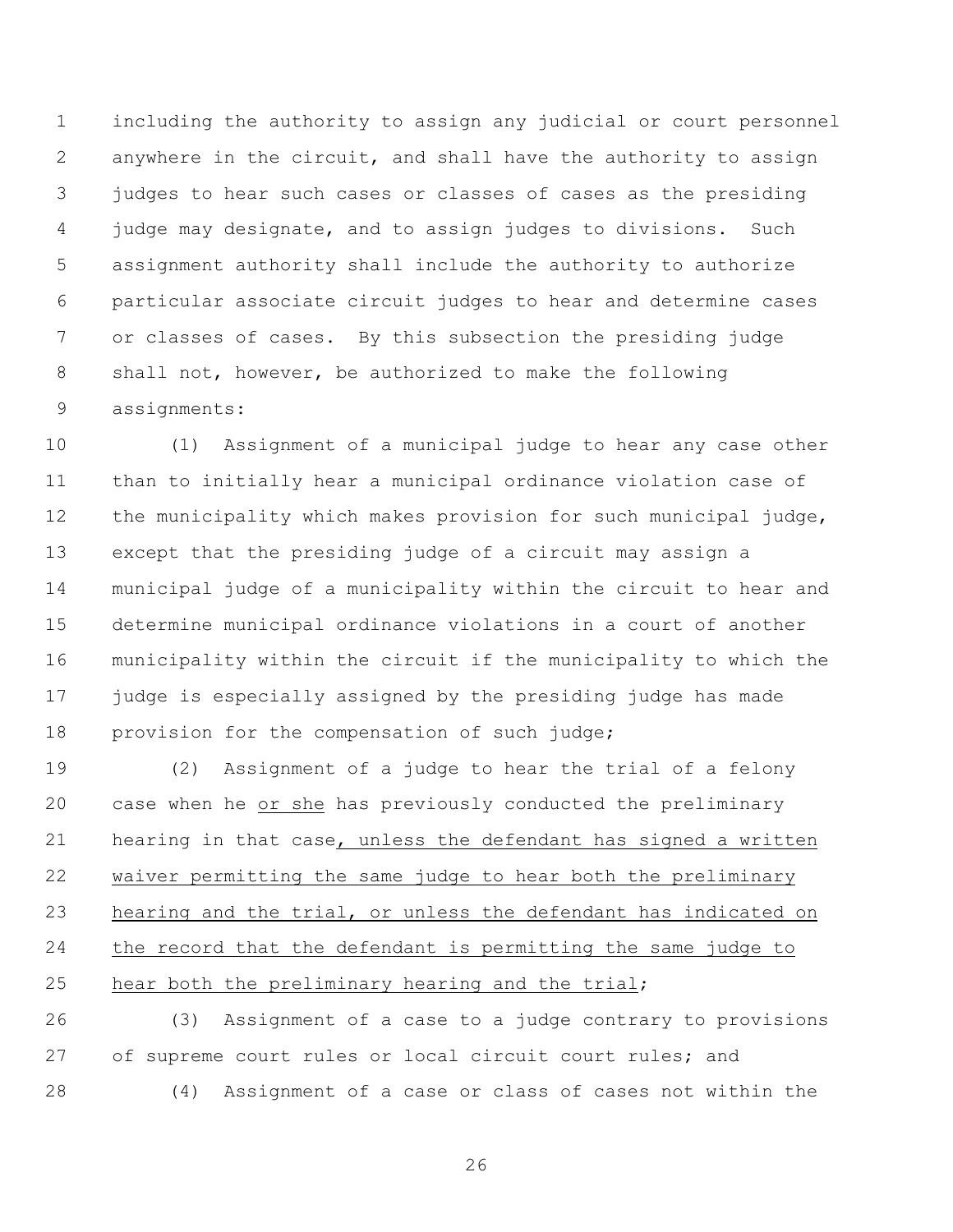including the authority to assign any judicial or court personnel anywhere in the circuit, and shall have the authority to assign judges to hear such cases or classes of cases as the presiding judge may designate, and to assign judges to divisions. Such assignment authority shall include the authority to authorize particular associate circuit judges to hear and determine cases or classes of cases. By this subsection the presiding judge shall not, however, be authorized to make the following assignments:

 (1) Assignment of a municipal judge to hear any case other than to initially hear a municipal ordinance violation case of the municipality which makes provision for such municipal judge, except that the presiding judge of a circuit may assign a municipal judge of a municipality within the circuit to hear and determine municipal ordinance violations in a court of another municipality within the circuit if the municipality to which the judge is especially assigned by the presiding judge has made provision for the compensation of such judge;

 (2) Assignment of a judge to hear the trial of a felony case when he or she has previously conducted the preliminary hearing in that case, unless the defendant has signed a written waiver permitting the same judge to hear both the preliminary hearing and the trial, or unless the defendant has indicated on the record that the defendant is permitting the same judge to hear both the preliminary hearing and the trial;

 (3) Assignment of a case to a judge contrary to provisions of supreme court rules or local circuit court rules; and (4) Assignment of a case or class of cases not within the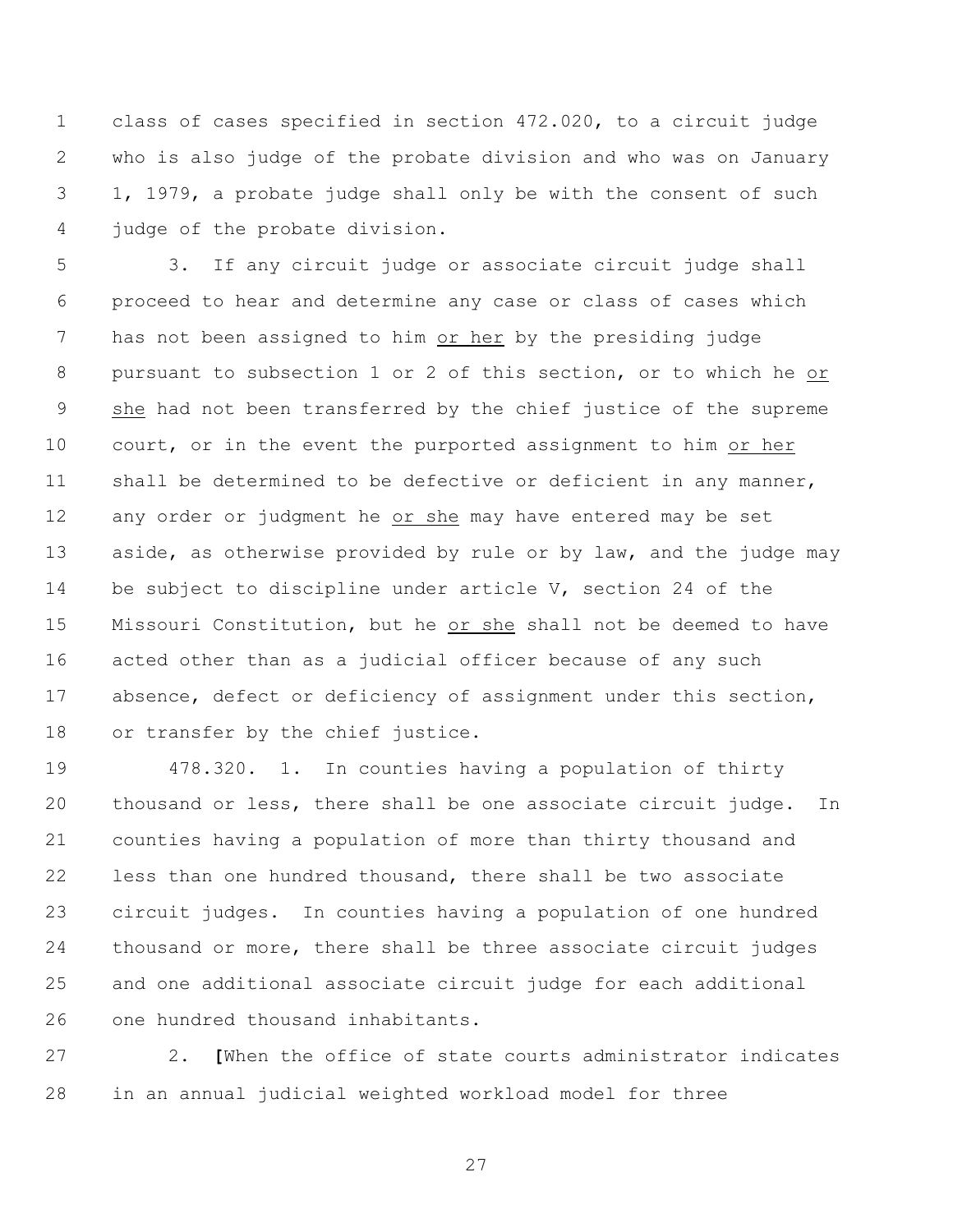class of cases specified in section 472.020, to a circuit judge who is also judge of the probate division and who was on January 1, 1979, a probate judge shall only be with the consent of such judge of the probate division.

 3. If any circuit judge or associate circuit judge shall proceed to hear and determine any case or class of cases which has not been assigned to him or her by the presiding judge pursuant to subsection 1 or 2 of this section, or to which he or she had not been transferred by the chief justice of the supreme court, or in the event the purported assignment to him or her shall be determined to be defective or deficient in any manner, any order or judgment he or she may have entered may be set 13 aside, as otherwise provided by rule or by law, and the judge may 14 be subject to discipline under article V, section 24 of the Missouri Constitution, but he or she shall not be deemed to have acted other than as a judicial officer because of any such absence, defect or deficiency of assignment under this section, 18 or transfer by the chief justice.

 478.320. 1. In counties having a population of thirty thousand or less, there shall be one associate circuit judge. In counties having a population of more than thirty thousand and less than one hundred thousand, there shall be two associate circuit judges. In counties having a population of one hundred thousand or more, there shall be three associate circuit judges and one additional associate circuit judge for each additional one hundred thousand inhabitants.

 2. **[**When the office of state courts administrator indicates in an annual judicial weighted workload model for three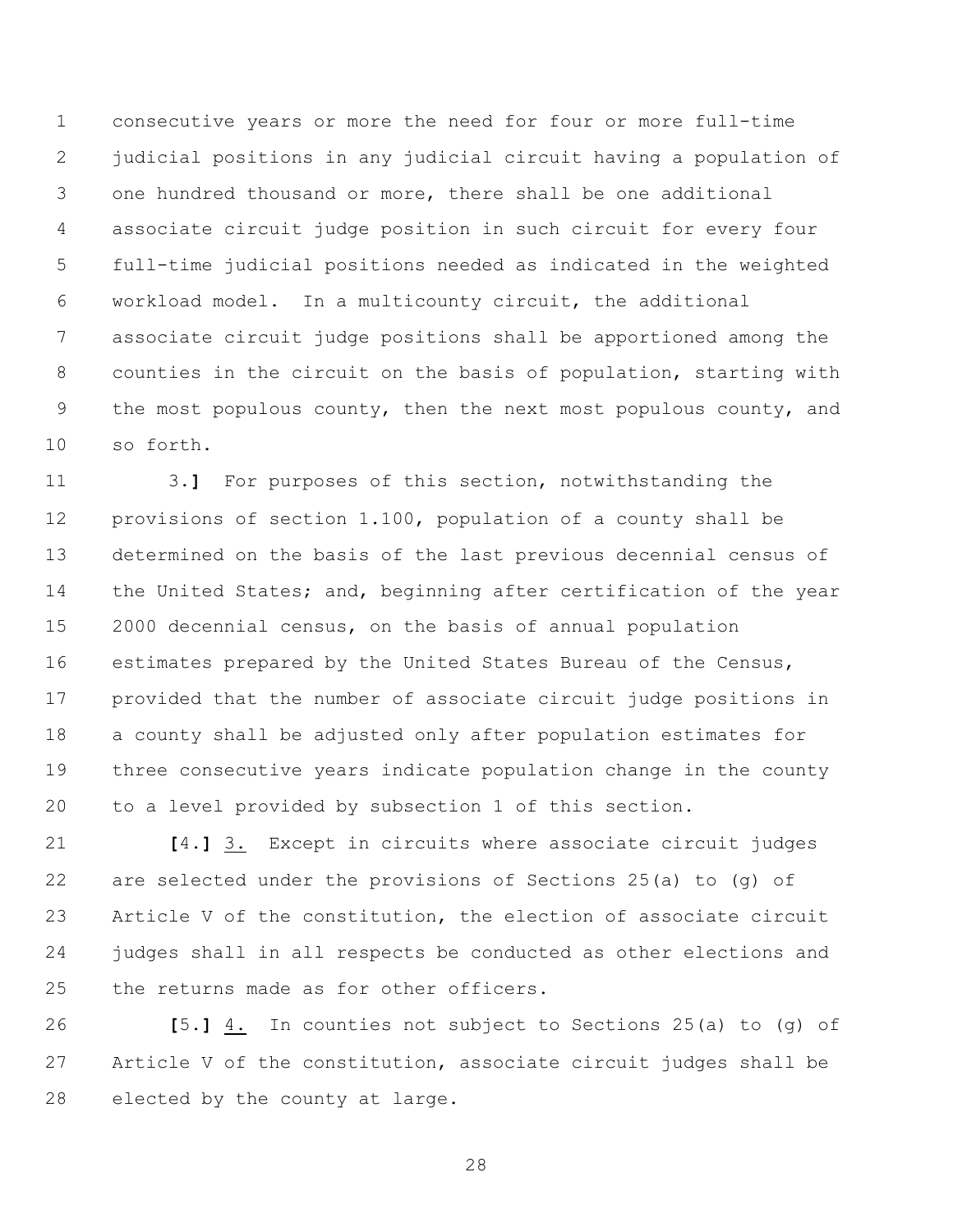consecutive years or more the need for four or more full-time judicial positions in any judicial circuit having a population of one hundred thousand or more, there shall be one additional associate circuit judge position in such circuit for every four full-time judicial positions needed as indicated in the weighted workload model. In a multicounty circuit, the additional associate circuit judge positions shall be apportioned among the counties in the circuit on the basis of population, starting with 9 the most populous county, then the next most populous county, and so forth.

 3.**]** For purposes of this section, notwithstanding the provisions of section 1.100, population of a county shall be determined on the basis of the last previous decennial census of 14 the United States; and, beginning after certification of the year 2000 decennial census, on the basis of annual population estimates prepared by the United States Bureau of the Census, provided that the number of associate circuit judge positions in a county shall be adjusted only after population estimates for three consecutive years indicate population change in the county to a level provided by subsection 1 of this section.

 **[**4.**]** 3. Except in circuits where associate circuit judges are selected under the provisions of Sections 25(a) to (g) of Article V of the constitution, the election of associate circuit judges shall in all respects be conducted as other elections and the returns made as for other officers.

 **[**5.**]** 4. In counties not subject to Sections 25(a) to (g) of Article V of the constitution, associate circuit judges shall be elected by the county at large.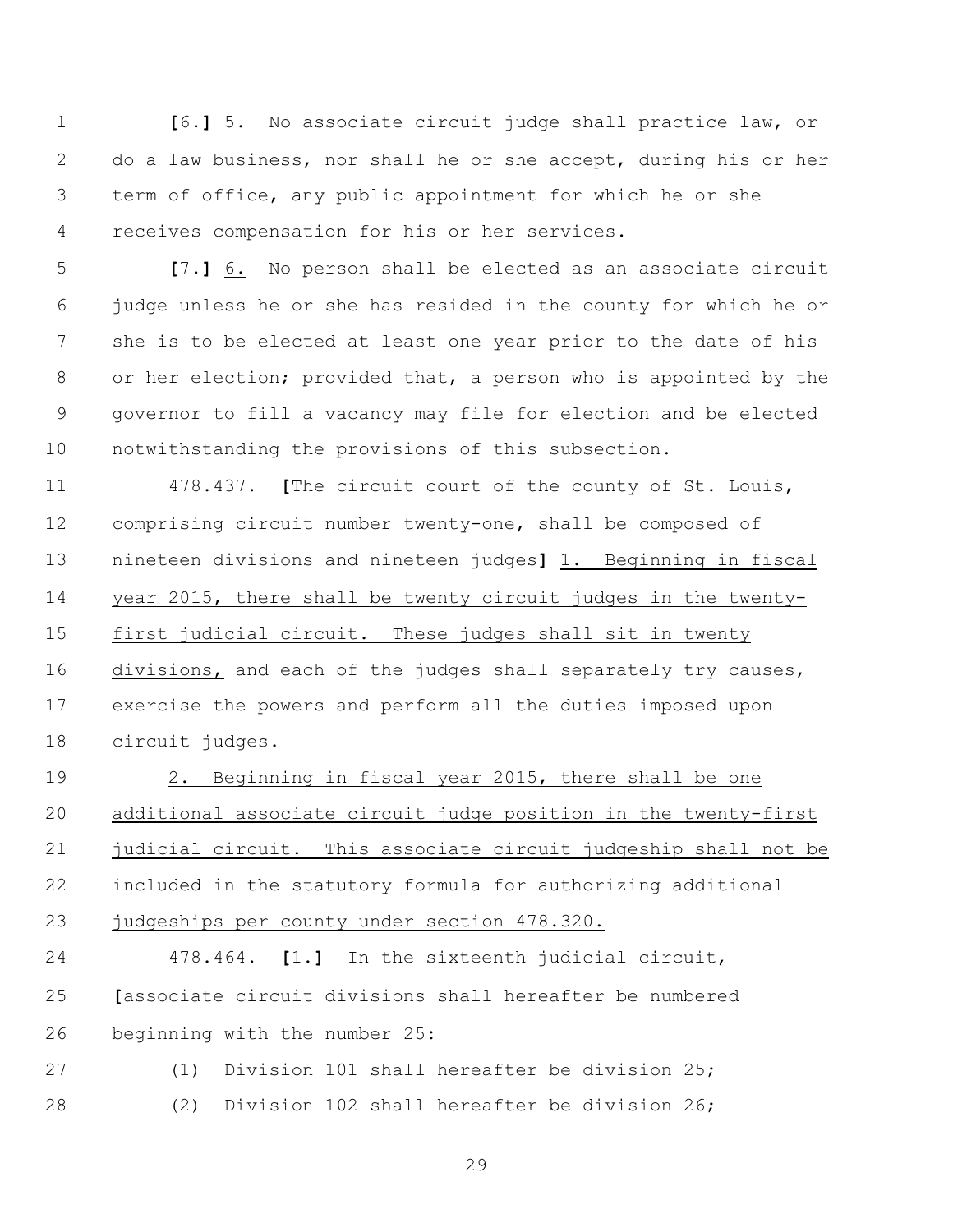**[**6.**]** 5. No associate circuit judge shall practice law, or do a law business, nor shall he or she accept, during his or her term of office, any public appointment for which he or she receives compensation for his or her services.

 **[**7.**]** 6. No person shall be elected as an associate circuit judge unless he or she has resided in the county for which he or she is to be elected at least one year prior to the date of his or her election; provided that, a person who is appointed by the governor to fill a vacancy may file for election and be elected notwithstanding the provisions of this subsection.

 478.437. **[**The circuit court of the county of St. Louis, comprising circuit number twenty-one, shall be composed of nineteen divisions and nineteen judges**]** 1. Beginning in fiscal year 2015, there shall be twenty circuit judges in the twenty- first judicial circuit. These judges shall sit in twenty divisions, and each of the judges shall separately try causes, exercise the powers and perform all the duties imposed upon circuit judges.

 2. Beginning in fiscal year 2015, there shall be one additional associate circuit judge position in the twenty-first judicial circuit. This associate circuit judgeship shall not be included in the statutory formula for authorizing additional judgeships per county under section 478.320.

 478.464. **[**1.**]** In the sixteenth judicial circuit, **[**associate circuit divisions shall hereafter be numbered beginning with the number 25:

 (1) Division 101 shall hereafter be division 25; (2) Division 102 shall hereafter be division 26;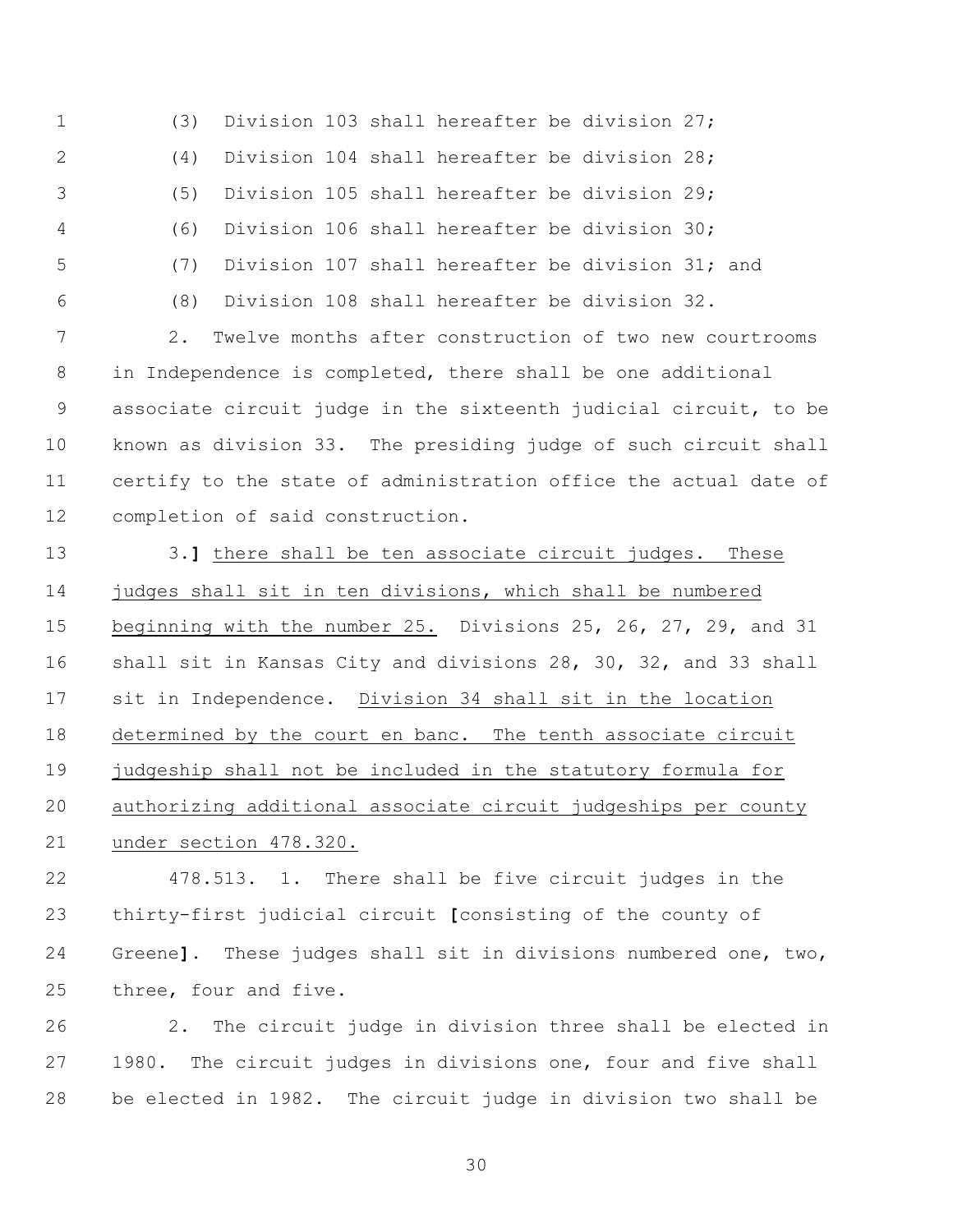(3) Division 103 shall hereafter be division 27; (4) Division 104 shall hereafter be division 28; (5) Division 105 shall hereafter be division 29; (6) Division 106 shall hereafter be division 30; (7) Division 107 shall hereafter be division 31; and (8) Division 108 shall hereafter be division 32. 2. Twelve months after construction of two new courtrooms in Independence is completed, there shall be one additional associate circuit judge in the sixteenth judicial circuit, to be

 known as division 33. The presiding judge of such circuit shall certify to the state of administration office the actual date of completion of said construction.

 3.**]** there shall be ten associate circuit judges. These judges shall sit in ten divisions, which shall be numbered beginning with the number 25. Divisions 25, 26, 27, 29, and 31 shall sit in Kansas City and divisions 28, 30, 32, and 33 shall sit in Independence. Division 34 shall sit in the location determined by the court en banc. The tenth associate circuit judgeship shall not be included in the statutory formula for authorizing additional associate circuit judgeships per county under section 478.320.

 478.513. 1. There shall be five circuit judges in the thirty-first judicial circuit **[**consisting of the county of Greene**]**. These judges shall sit in divisions numbered one, two, three, four and five.

 2. The circuit judge in division three shall be elected in 1980. The circuit judges in divisions one, four and five shall be elected in 1982. The circuit judge in division two shall be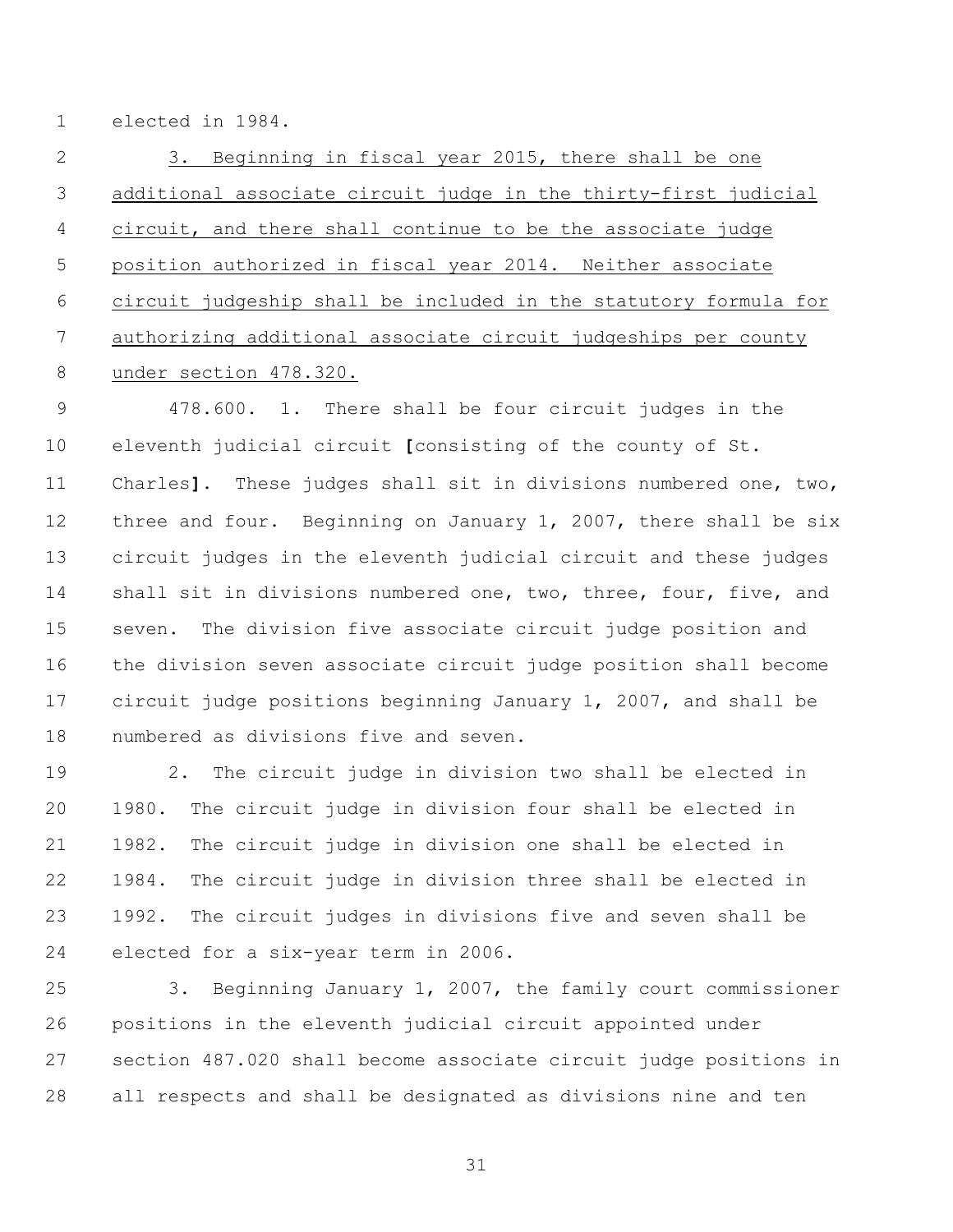elected in 1984.

 3. Beginning in fiscal year 2015, there shall be one additional associate circuit judge in the thirty-first judicial circuit, and there shall continue to be the associate judge position authorized in fiscal year 2014. Neither associate circuit judgeship shall be included in the statutory formula for authorizing additional associate circuit judgeships per county under section 478.320.

 478.600. 1. There shall be four circuit judges in the eleventh judicial circuit **[**consisting of the county of St. Charles**]**. These judges shall sit in divisions numbered one, two, 12 three and four. Beginning on January 1, 2007, there shall be six circuit judges in the eleventh judicial circuit and these judges 14 shall sit in divisions numbered one, two, three, four, five, and seven. The division five associate circuit judge position and the division seven associate circuit judge position shall become circuit judge positions beginning January 1, 2007, and shall be numbered as divisions five and seven.

 2. The circuit judge in division two shall be elected in 1980. The circuit judge in division four shall be elected in 1982. The circuit judge in division one shall be elected in 1984. The circuit judge in division three shall be elected in 1992. The circuit judges in divisions five and seven shall be elected for a six-year term in 2006.

 3. Beginning January 1, 2007, the family court commissioner positions in the eleventh judicial circuit appointed under section 487.020 shall become associate circuit judge positions in all respects and shall be designated as divisions nine and ten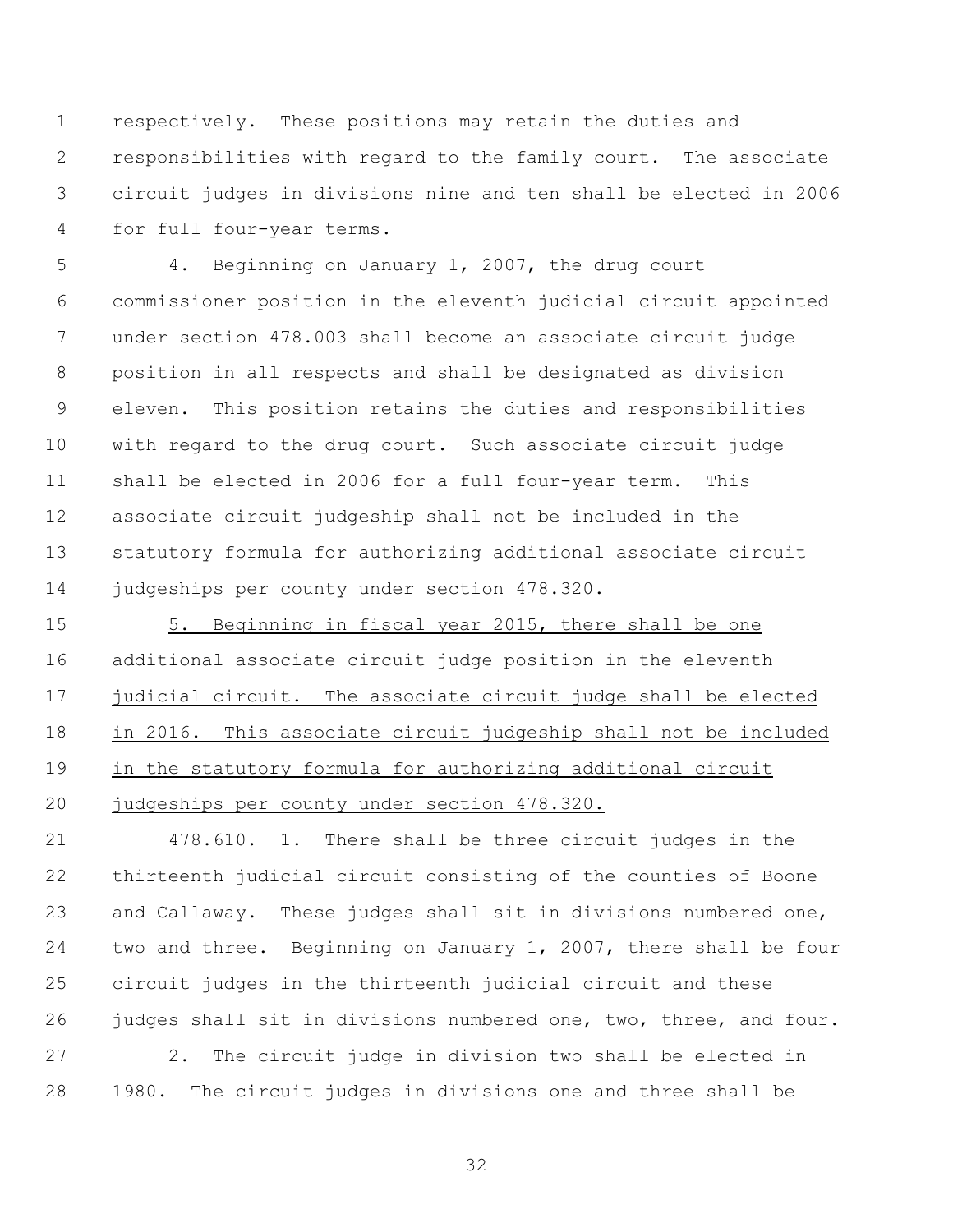respectively. These positions may retain the duties and responsibilities with regard to the family court. The associate circuit judges in divisions nine and ten shall be elected in 2006 for full four-year terms.

 4. Beginning on January 1, 2007, the drug court commissioner position in the eleventh judicial circuit appointed under section 478.003 shall become an associate circuit judge position in all respects and shall be designated as division eleven. This position retains the duties and responsibilities with regard to the drug court. Such associate circuit judge shall be elected in 2006 for a full four-year term. This associate circuit judgeship shall not be included in the statutory formula for authorizing additional associate circuit judgeships per county under section 478.320.

 5. Beginning in fiscal year 2015, there shall be one additional associate circuit judge position in the eleventh judicial circuit. The associate circuit judge shall be elected in 2016. This associate circuit judgeship shall not be included in the statutory formula for authorizing additional circuit judgeships per county under section 478.320.

 478.610. 1. There shall be three circuit judges in the thirteenth judicial circuit consisting of the counties of Boone and Callaway. These judges shall sit in divisions numbered one, two and three. Beginning on January 1, 2007, there shall be four circuit judges in the thirteenth judicial circuit and these judges shall sit in divisions numbered one, two, three, and four.

 2. The circuit judge in division two shall be elected in 1980. The circuit judges in divisions one and three shall be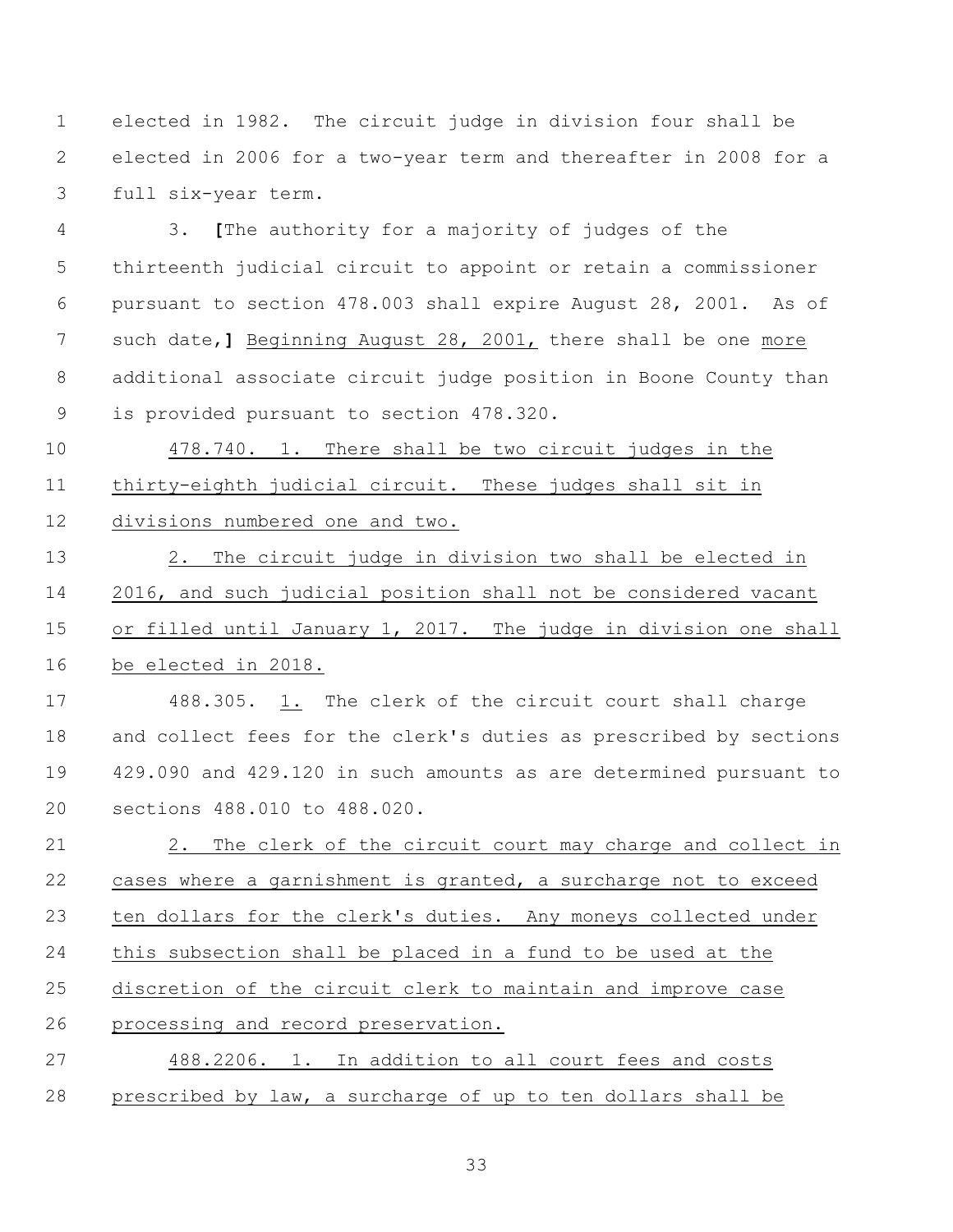elected in 1982. The circuit judge in division four shall be elected in 2006 for a two-year term and thereafter in 2008 for a full six-year term.

 3. **[**The authority for a majority of judges of the thirteenth judicial circuit to appoint or retain a commissioner pursuant to section 478.003 shall expire August 28, 2001. As of such date,**]** Beginning August 28, 2001, there shall be one more additional associate circuit judge position in Boone County than is provided pursuant to section 478.320.

 478.740. 1. There shall be two circuit judges in the thirty-eighth judicial circuit. These judges shall sit in divisions numbered one and two.

 2. The circuit judge in division two shall be elected in 2016, and such judicial position shall not be considered vacant or filled until January 1, 2017. The judge in division one shall be elected in 2018.

 488.305. 1. The clerk of the circuit court shall charge and collect fees for the clerk's duties as prescribed by sections 429.090 and 429.120 in such amounts as are determined pursuant to sections 488.010 to 488.020.

 2. The clerk of the circuit court may charge and collect in cases where a garnishment is granted, a surcharge not to exceed ten dollars for the clerk's duties. Any moneys collected under this subsection shall be placed in a fund to be used at the discretion of the circuit clerk to maintain and improve case processing and record preservation. 488.2206. 1. In addition to all court fees and costs

prescribed by law, a surcharge of up to ten dollars shall be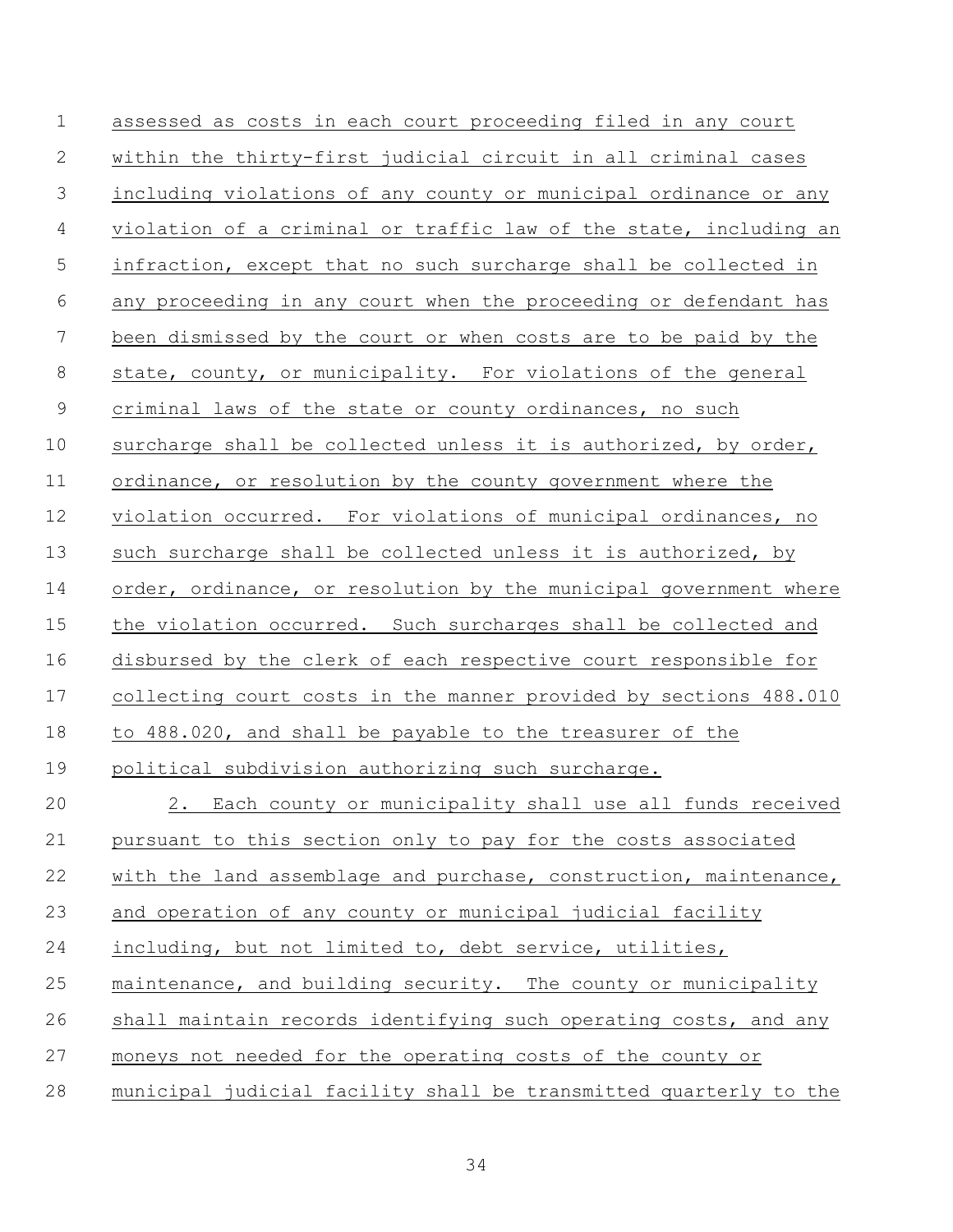assessed as costs in each court proceeding filed in any court within the thirty-first judicial circuit in all criminal cases including violations of any county or municipal ordinance or any violation of a criminal or traffic law of the state, including an infraction, except that no such surcharge shall be collected in any proceeding in any court when the proceeding or defendant has been dismissed by the court or when costs are to be paid by the state, county, or municipality. For violations of the general criminal laws of the state or county ordinances, no such surcharge shall be collected unless it is authorized, by order, ordinance, or resolution by the county government where the violation occurred. For violations of municipal ordinances, no such surcharge shall be collected unless it is authorized, by 14 order, ordinance, or resolution by the municipal government where the violation occurred. Such surcharges shall be collected and disbursed by the clerk of each respective court responsible for collecting court costs in the manner provided by sections 488.010 to 488.020, and shall be payable to the treasurer of the political subdivision authorizing such surcharge. 2. Each county or municipality shall use all funds received pursuant to this section only to pay for the costs associated 22 with the land assemblage and purchase, construction, maintenance, and operation of any county or municipal judicial facility including, but not limited to, debt service, utilities, maintenance, and building security. The county or municipality shall maintain records identifying such operating costs, and any moneys not needed for the operating costs of the county or municipal judicial facility shall be transmitted quarterly to the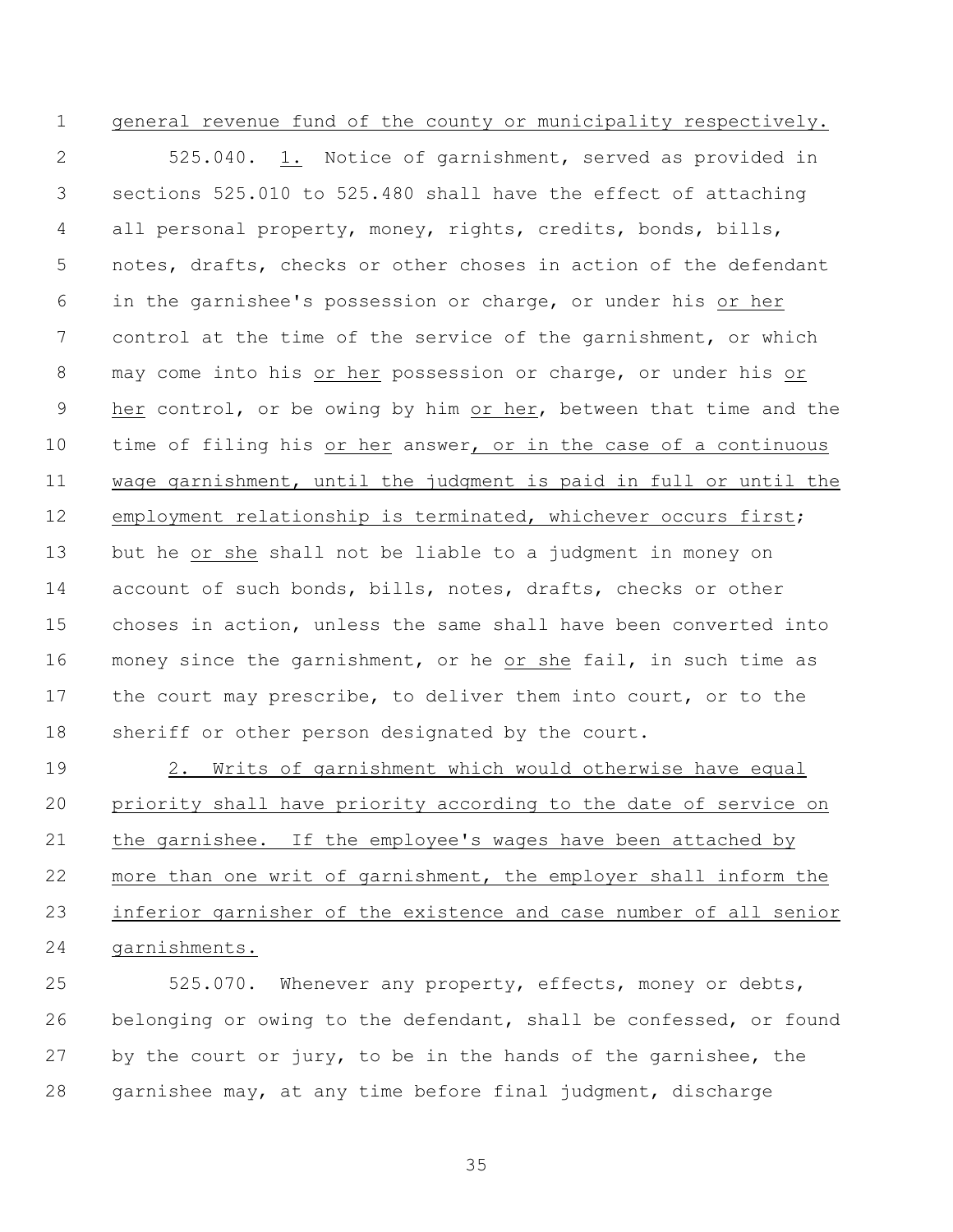# general revenue fund of the county or municipality respectively.

 525.040. 1. Notice of garnishment, served as provided in sections 525.010 to 525.480 shall have the effect of attaching all personal property, money, rights, credits, bonds, bills, notes, drafts, checks or other choses in action of the defendant in the garnishee's possession or charge, or under his or her control at the time of the service of the garnishment, or which may come into his or her possession or charge, or under his or 9 her control, or be owing by him or her, between that time and the time of filing his or her answer, or in the case of a continuous wage garnishment, until the judgment is paid in full or until the employment relationship is terminated, whichever occurs first; but he or she shall not be liable to a judgment in money on account of such bonds, bills, notes, drafts, checks or other choses in action, unless the same shall have been converted into money since the garnishment, or he or she fail, in such time as the court may prescribe, to deliver them into court, or to the 18 sheriff or other person designated by the court.

 2. Writs of garnishment which would otherwise have equal priority shall have priority according to the date of service on the garnishee. If the employee's wages have been attached by more than one writ of garnishment, the employer shall inform the inferior garnisher of the existence and case number of all senior garnishments.

 525.070. Whenever any property, effects, money or debts, belonging or owing to the defendant, shall be confessed, or found by the court or jury, to be in the hands of the garnishee, the garnishee may, at any time before final judgment, discharge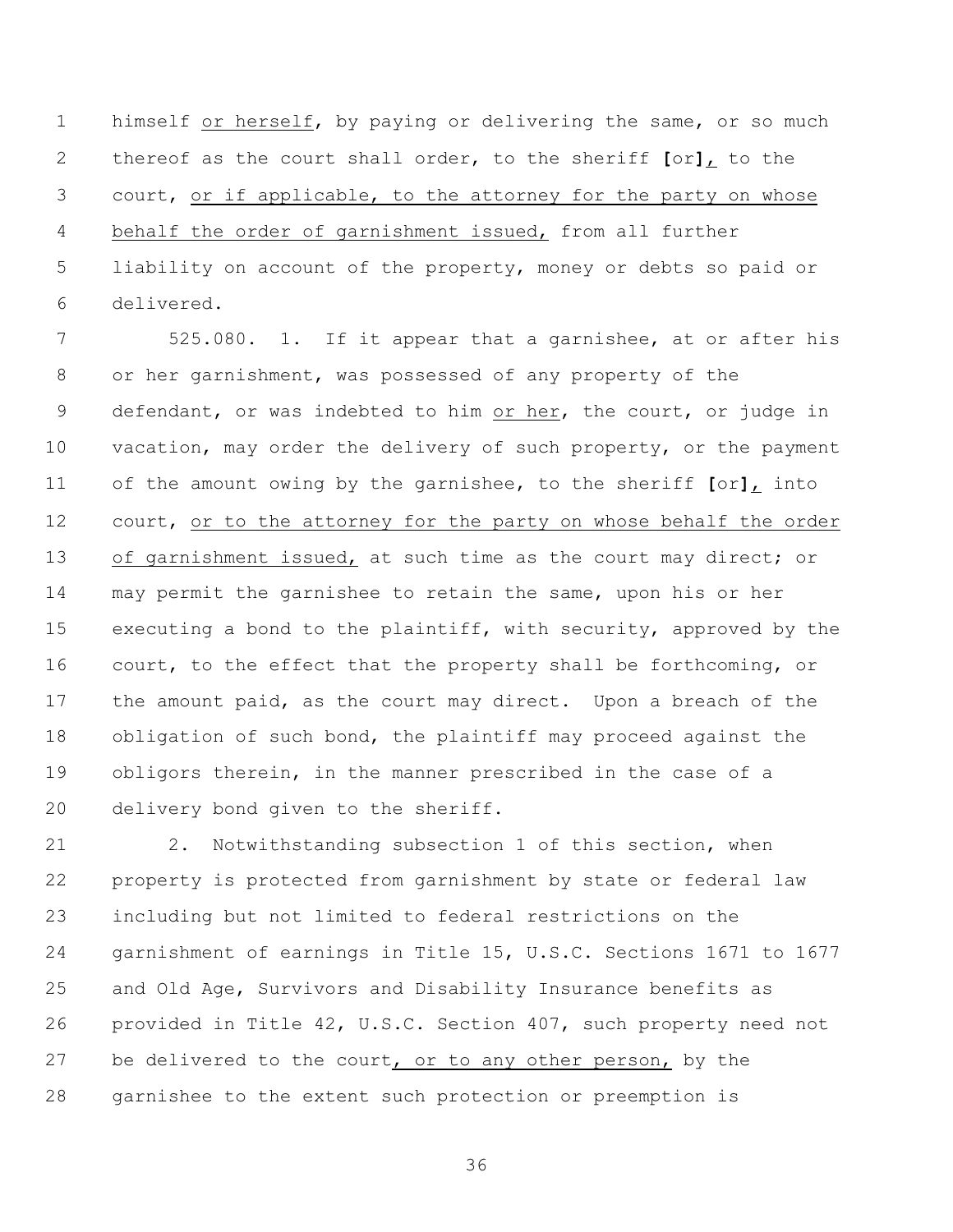himself or herself, by paying or delivering the same, or so much thereof as the court shall order, to the sheriff **[**or**]**, to the court, or if applicable, to the attorney for the party on whose behalf the order of garnishment issued, from all further liability on account of the property, money or debts so paid or delivered.

 525.080. 1. If it appear that a garnishee, at or after his or her garnishment, was possessed of any property of the 9 defendant, or was indebted to him or her, the court, or judge in 10 vacation, may order the delivery of such property, or the payment of the amount owing by the garnishee, to the sheriff **[**or**]**, into 12 court, or to the attorney for the party on whose behalf the order 13 of garnishment issued, at such time as the court may direct; or may permit the garnishee to retain the same, upon his or her executing a bond to the plaintiff, with security, approved by the court, to the effect that the property shall be forthcoming, or the amount paid, as the court may direct. Upon a breach of the obligation of such bond, the plaintiff may proceed against the obligors therein, in the manner prescribed in the case of a delivery bond given to the sheriff.

 2. Notwithstanding subsection 1 of this section, when property is protected from garnishment by state or federal law including but not limited to federal restrictions on the garnishment of earnings in Title 15, U.S.C. Sections 1671 to 1677 and Old Age, Survivors and Disability Insurance benefits as provided in Title 42, U.S.C. Section 407, such property need not 27 be delivered to the court, or to any other person, by the garnishee to the extent such protection or preemption is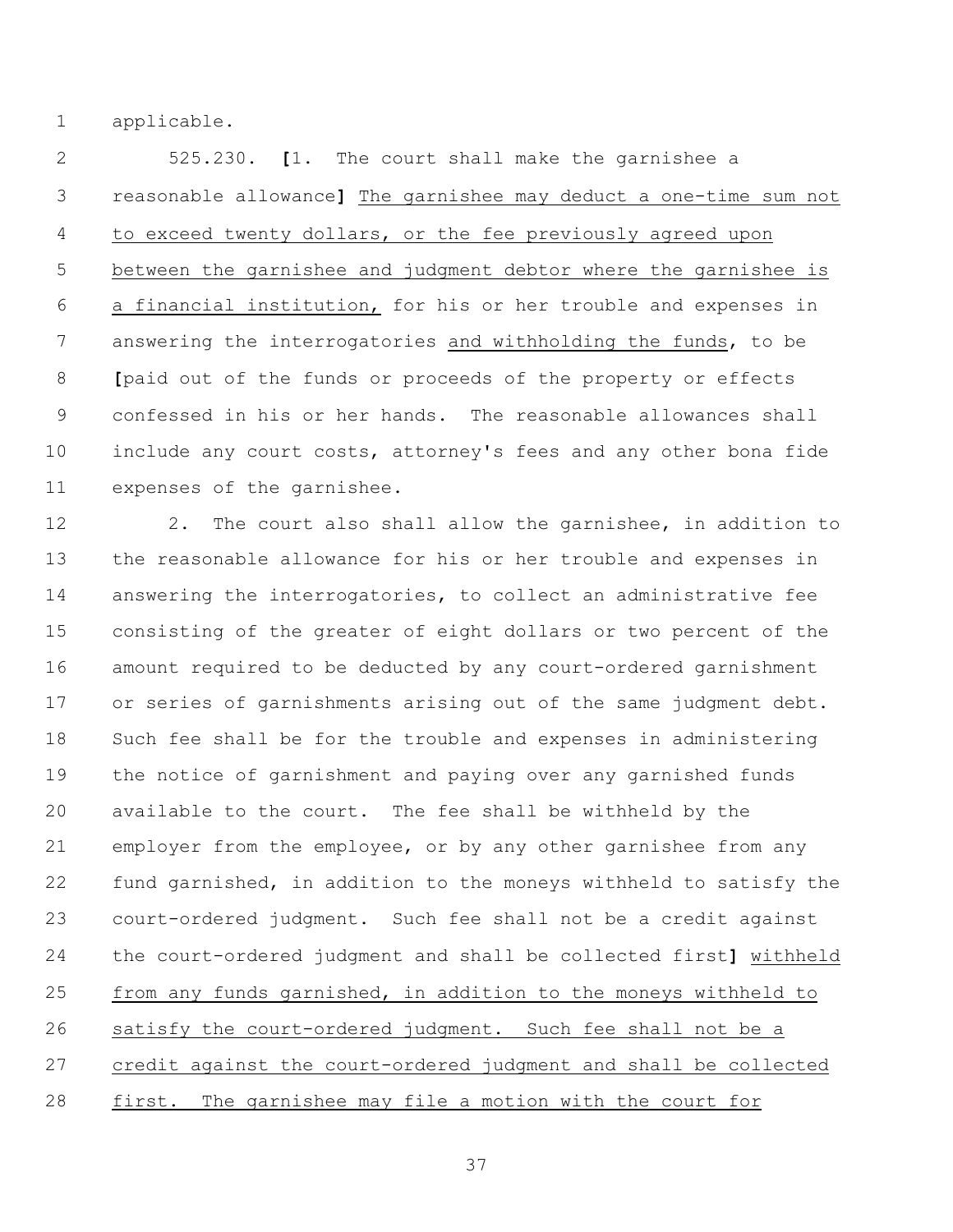applicable.

 525.230. **[**1. The court shall make the garnishee a reasonable allowance**]** The garnishee may deduct a one-time sum not to exceed twenty dollars, or the fee previously agreed upon between the garnishee and judgment debtor where the garnishee is a financial institution, for his or her trouble and expenses in answering the interrogatories and withholding the funds, to be **[**paid out of the funds or proceeds of the property or effects confessed in his or her hands. The reasonable allowances shall include any court costs, attorney's fees and any other bona fide expenses of the garnishee.

12 2. The court also shall allow the garnishee, in addition to the reasonable allowance for his or her trouble and expenses in answering the interrogatories, to collect an administrative fee consisting of the greater of eight dollars or two percent of the amount required to be deducted by any court-ordered garnishment or series of garnishments arising out of the same judgment debt. Such fee shall be for the trouble and expenses in administering the notice of garnishment and paying over any garnished funds available to the court. The fee shall be withheld by the employer from the employee, or by any other garnishee from any fund garnished, in addition to the moneys withheld to satisfy the court-ordered judgment. Such fee shall not be a credit against the court-ordered judgment and shall be collected first**]** withheld from any funds garnished, in addition to the moneys withheld to satisfy the court-ordered judgment. Such fee shall not be a credit against the court-ordered judgment and shall be collected 28 first. The garnishee may file a motion with the court for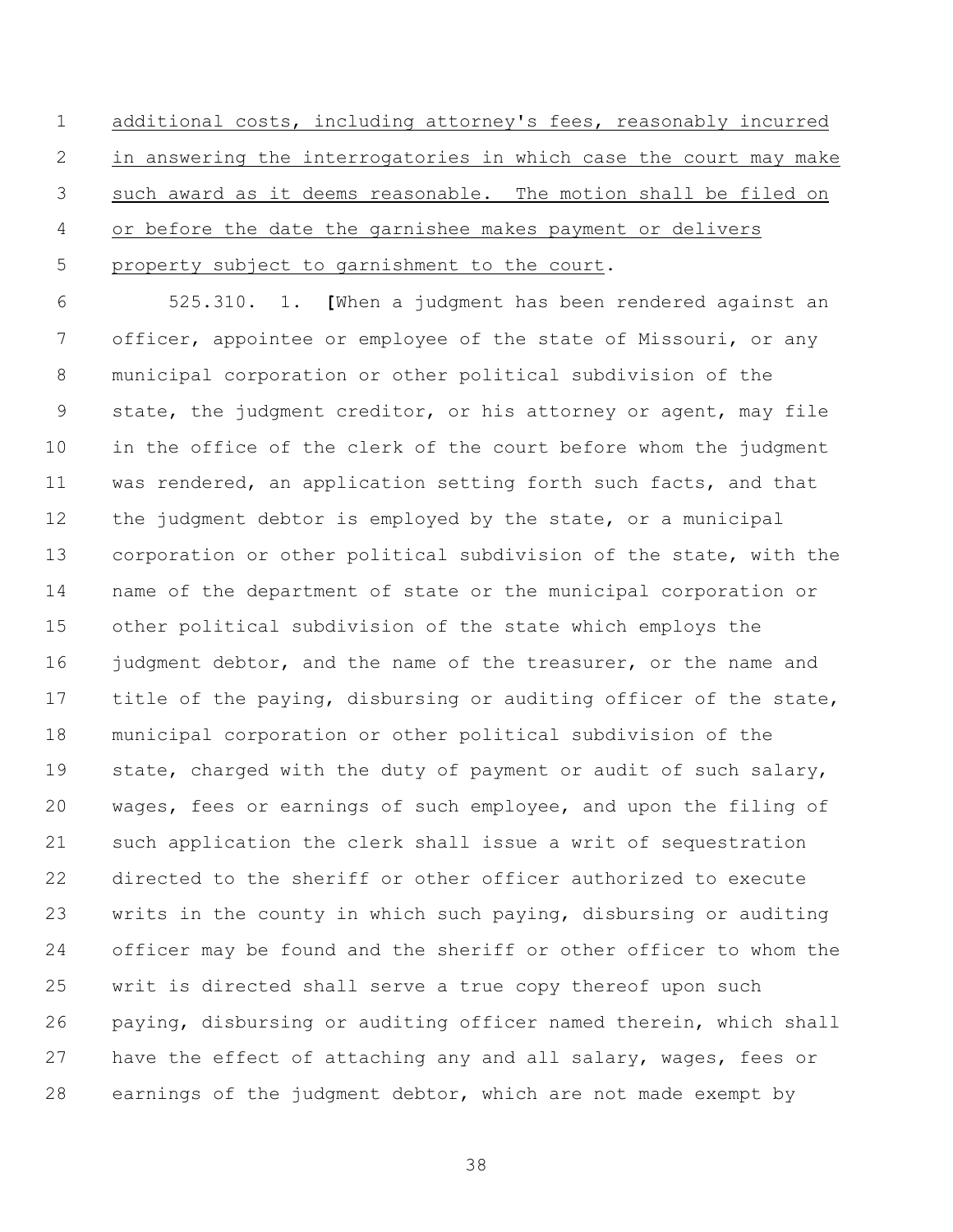additional costs, including attorney's fees, reasonably incurred in answering the interrogatories in which case the court may make such award as it deems reasonable. The motion shall be filed on or before the date the garnishee makes payment or delivers 5 property subject to garnishment to the court.

 525.310. 1. **[**When a judgment has been rendered against an officer, appointee or employee of the state of Missouri, or any municipal corporation or other political subdivision of the state, the judgment creditor, or his attorney or agent, may file in the office of the clerk of the court before whom the judgment was rendered, an application setting forth such facts, and that the judgment debtor is employed by the state, or a municipal corporation or other political subdivision of the state, with the name of the department of state or the municipal corporation or other political subdivision of the state which employs the 16 judgment debtor, and the name of the treasurer, or the name and 17 title of the paying, disbursing or auditing officer of the state, municipal corporation or other political subdivision of the state, charged with the duty of payment or audit of such salary, wages, fees or earnings of such employee, and upon the filing of such application the clerk shall issue a writ of sequestration directed to the sheriff or other officer authorized to execute writs in the county in which such paying, disbursing or auditing officer may be found and the sheriff or other officer to whom the writ is directed shall serve a true copy thereof upon such paying, disbursing or auditing officer named therein, which shall have the effect of attaching any and all salary, wages, fees or earnings of the judgment debtor, which are not made exempt by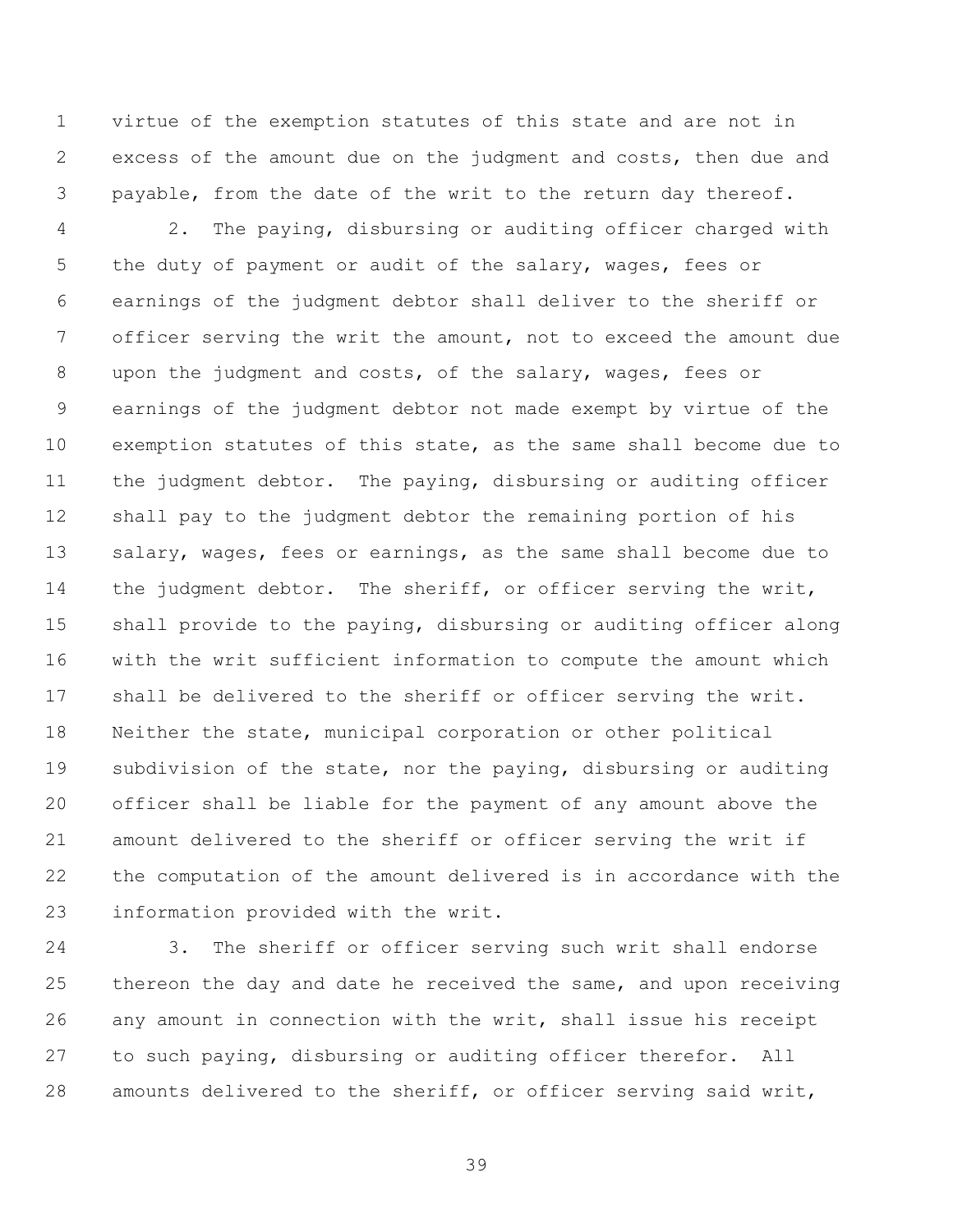virtue of the exemption statutes of this state and are not in excess of the amount due on the judgment and costs, then due and payable, from the date of the writ to the return day thereof.

 2. The paying, disbursing or auditing officer charged with 5 the duty of payment or audit of the salary, wages, fees or earnings of the judgment debtor shall deliver to the sheriff or officer serving the writ the amount, not to exceed the amount due upon the judgment and costs, of the salary, wages, fees or earnings of the judgment debtor not made exempt by virtue of the exemption statutes of this state, as the same shall become due to the judgment debtor. The paying, disbursing or auditing officer shall pay to the judgment debtor the remaining portion of his salary, wages, fees or earnings, as the same shall become due to 14 the judgment debtor. The sheriff, or officer serving the writ, shall provide to the paying, disbursing or auditing officer along with the writ sufficient information to compute the amount which shall be delivered to the sheriff or officer serving the writ. Neither the state, municipal corporation or other political subdivision of the state, nor the paying, disbursing or auditing officer shall be liable for the payment of any amount above the amount delivered to the sheriff or officer serving the writ if the computation of the amount delivered is in accordance with the information provided with the writ.

 3. The sheriff or officer serving such writ shall endorse thereon the day and date he received the same, and upon receiving any amount in connection with the writ, shall issue his receipt to such paying, disbursing or auditing officer therefor. All amounts delivered to the sheriff, or officer serving said writ,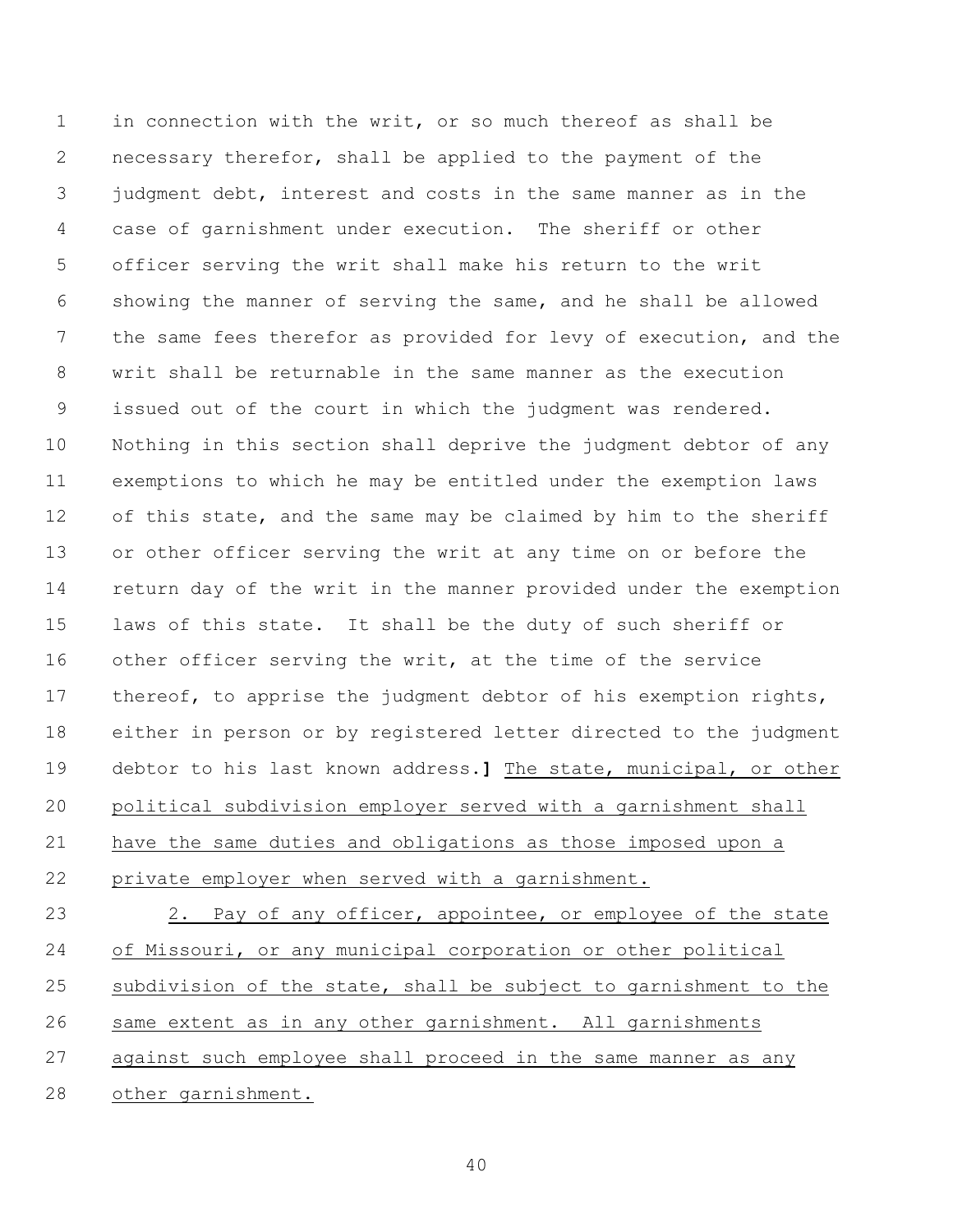in connection with the writ, or so much thereof as shall be necessary therefor, shall be applied to the payment of the judgment debt, interest and costs in the same manner as in the case of garnishment under execution. The sheriff or other officer serving the writ shall make his return to the writ showing the manner of serving the same, and he shall be allowed the same fees therefor as provided for levy of execution, and the writ shall be returnable in the same manner as the execution issued out of the court in which the judgment was rendered. Nothing in this section shall deprive the judgment debtor of any exemptions to which he may be entitled under the exemption laws 12 of this state, and the same may be claimed by him to the sheriff or other officer serving the writ at any time on or before the return day of the writ in the manner provided under the exemption laws of this state. It shall be the duty of such sheriff or other officer serving the writ, at the time of the service 17 thereof, to apprise the judgment debtor of his exemption rights, either in person or by registered letter directed to the judgment debtor to his last known address.**]** The state, municipal, or other political subdivision employer served with a garnishment shall have the same duties and obligations as those imposed upon a private employer when served with a garnishment. 23 2. Pay of any officer, appointee, or employee of the state of Missouri, or any municipal corporation or other political subdivision of the state, shall be subject to garnishment to the

same extent as in any other garnishment. All garnishments

 against such employee shall proceed in the same manner as any other garnishment.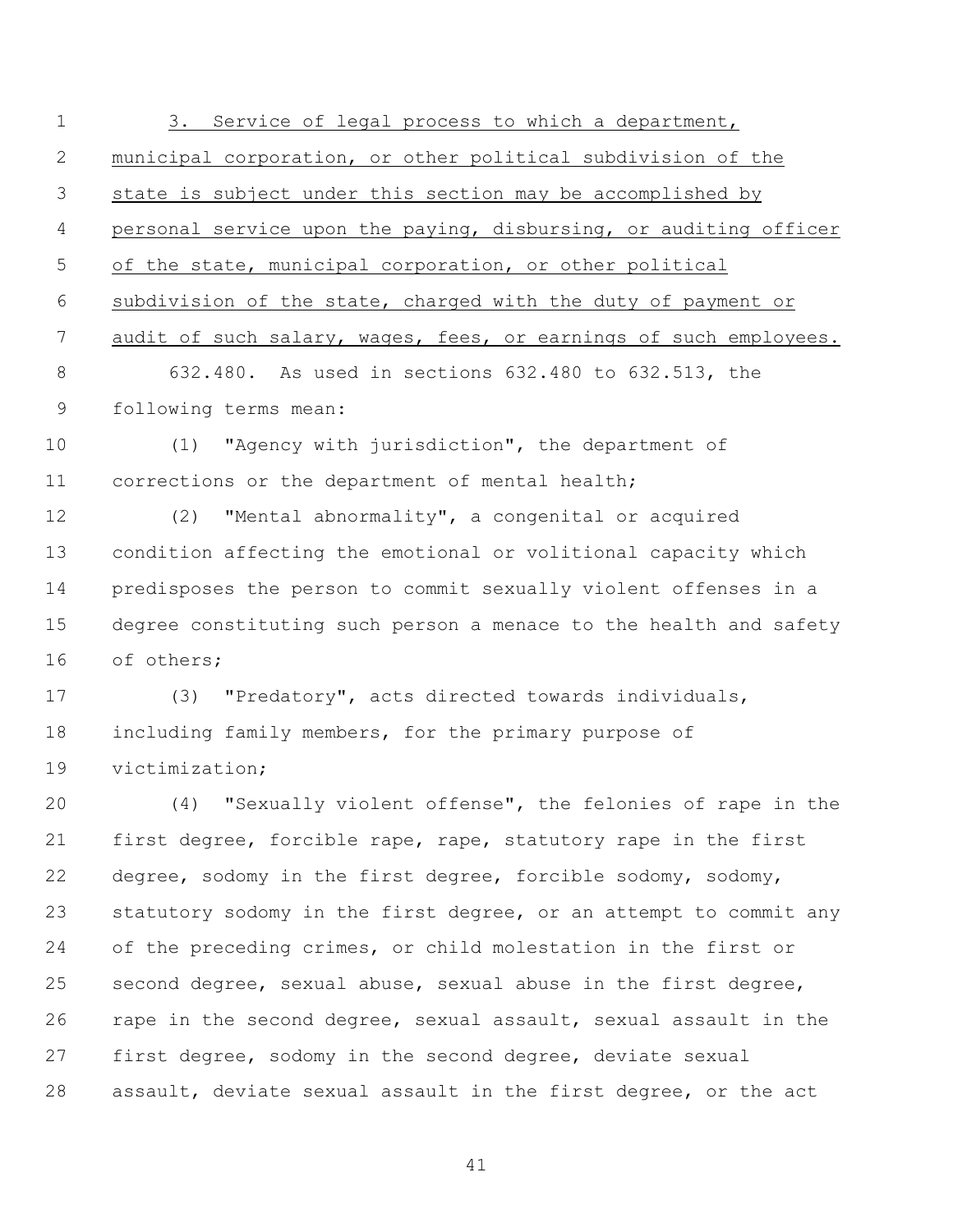3. Service of legal process to which a department, municipal corporation, or other political subdivision of the state is subject under this section may be accomplished by personal service upon the paying, disbursing, or auditing officer of the state, municipal corporation, or other political subdivision of the state, charged with the duty of payment or 7 audit of such salary, wages, fees, or earnings of such employees. 632.480. As used in sections 632.480 to 632.513, the following terms mean: (1) "Agency with jurisdiction", the department of corrections or the department of mental health; (2) "Mental abnormality", a congenital or acquired condition affecting the emotional or volitional capacity which predisposes the person to commit sexually violent offenses in a degree constituting such person a menace to the health and safety of others; (3) "Predatory", acts directed towards individuals, including family members, for the primary purpose of victimization; (4) "Sexually violent offense", the felonies of rape in the first degree, forcible rape, rape, statutory rape in the first degree, sodomy in the first degree, forcible sodomy, sodomy, 23 statutory sodomy in the first degree, or an attempt to commit any of the preceding crimes, or child molestation in the first or second degree, sexual abuse, sexual abuse in the first degree, rape in the second degree, sexual assault, sexual assault in the first degree, sodomy in the second degree, deviate sexual assault, deviate sexual assault in the first degree, or the act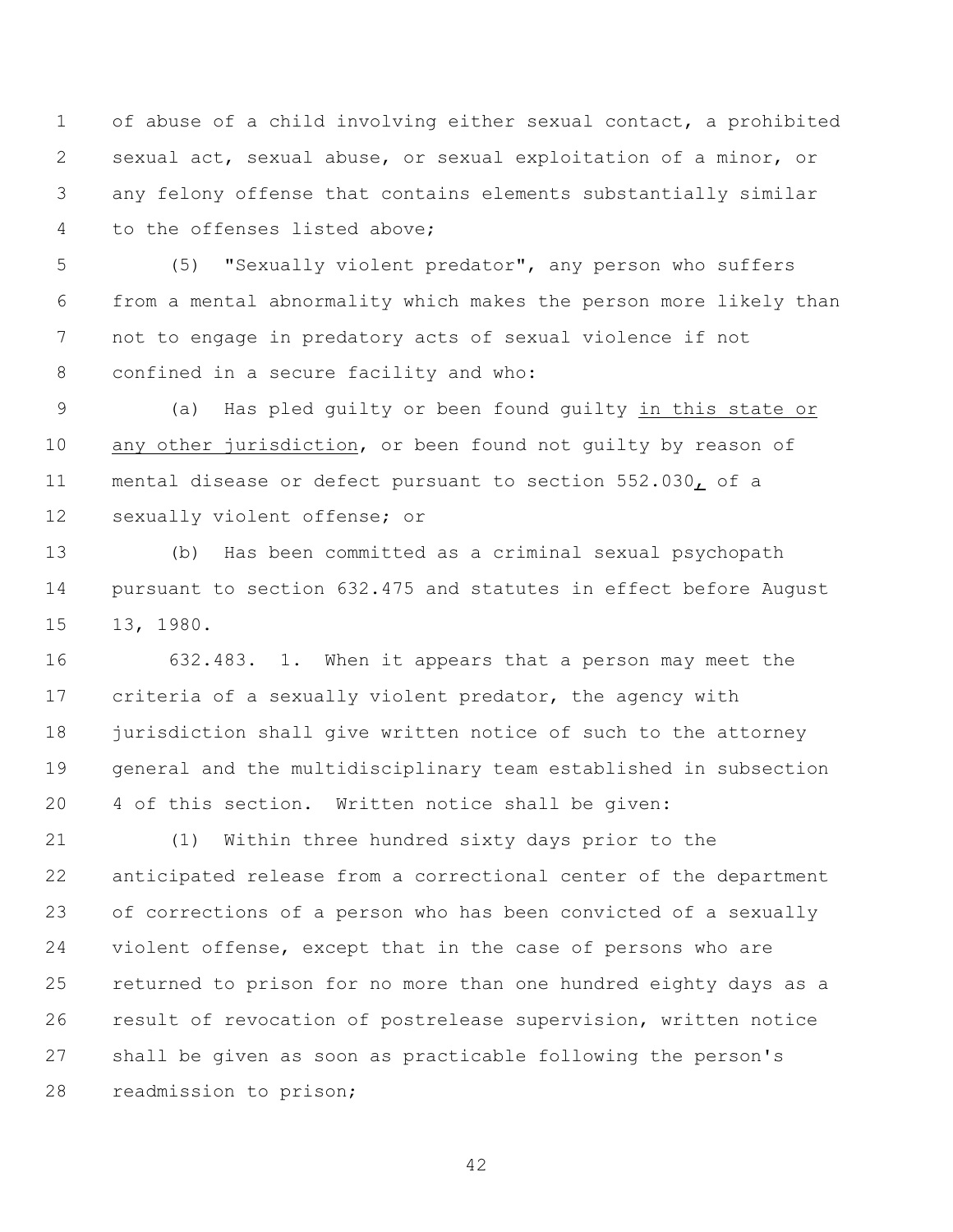of abuse of a child involving either sexual contact, a prohibited sexual act, sexual abuse, or sexual exploitation of a minor, or any felony offense that contains elements substantially similar to the offenses listed above;

 (5) "Sexually violent predator", any person who suffers from a mental abnormality which makes the person more likely than not to engage in predatory acts of sexual violence if not confined in a secure facility and who:

 (a) Has pled guilty or been found guilty in this state or any other jurisdiction, or been found not guilty by reason of mental disease or defect pursuant to section 552.030, of a sexually violent offense; or

 (b) Has been committed as a criminal sexual psychopath pursuant to section 632.475 and statutes in effect before August 13, 1980.

 632.483. 1. When it appears that a person may meet the criteria of a sexually violent predator, the agency with jurisdiction shall give written notice of such to the attorney general and the multidisciplinary team established in subsection 4 of this section. Written notice shall be given:

 (1) Within three hundred sixty days prior to the anticipated release from a correctional center of the department of corrections of a person who has been convicted of a sexually violent offense, except that in the case of persons who are returned to prison for no more than one hundred eighty days as a result of revocation of postrelease supervision, written notice shall be given as soon as practicable following the person's readmission to prison;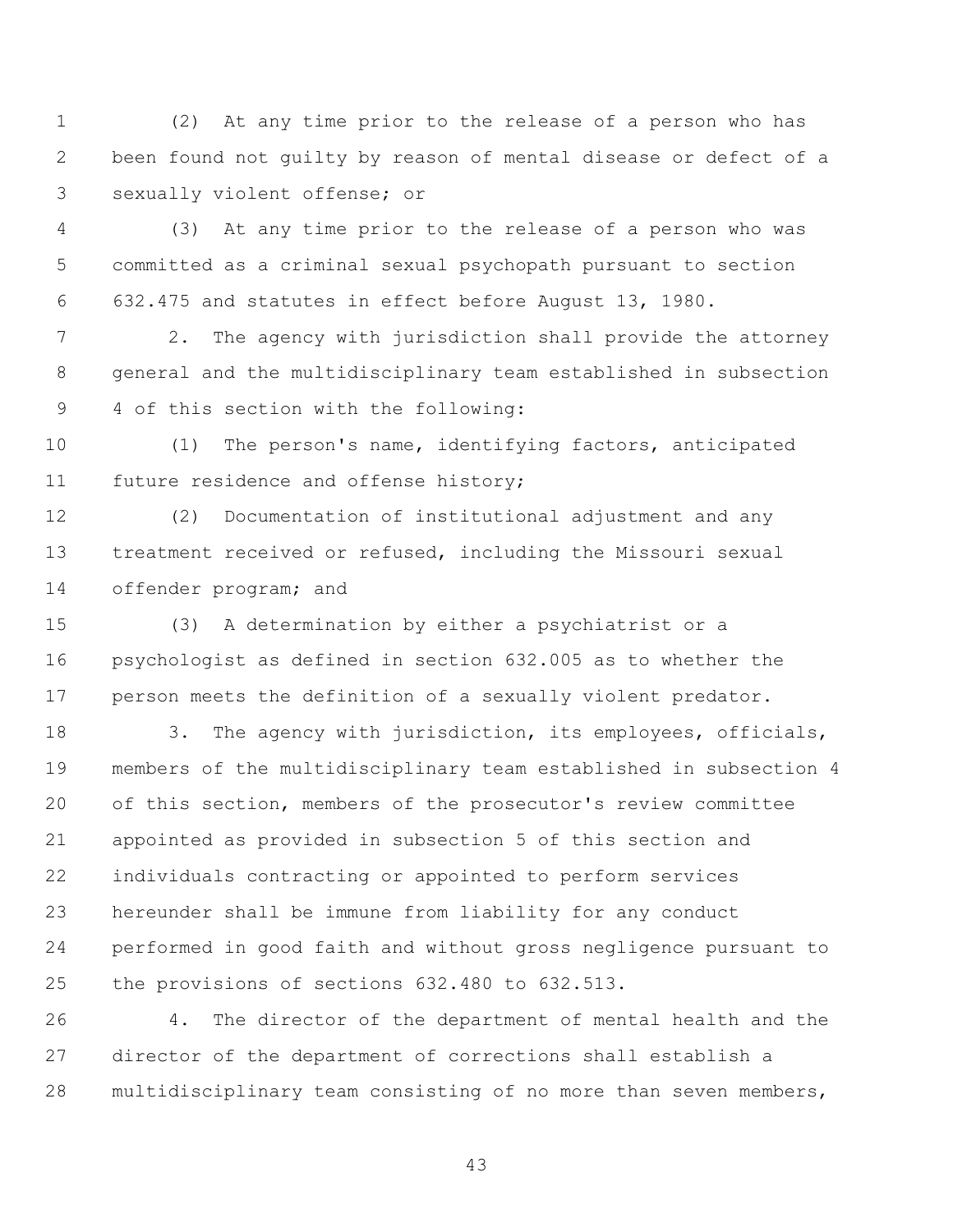(2) At any time prior to the release of a person who has been found not guilty by reason of mental disease or defect of a sexually violent offense; or

 (3) At any time prior to the release of a person who was committed as a criminal sexual psychopath pursuant to section 632.475 and statutes in effect before August 13, 1980.

 2. The agency with jurisdiction shall provide the attorney general and the multidisciplinary team established in subsection 4 of this section with the following:

 (1) The person's name, identifying factors, anticipated future residence and offense history;

 (2) Documentation of institutional adjustment and any treatment received or refused, including the Missouri sexual offender program; and

 (3) A determination by either a psychiatrist or a psychologist as defined in section 632.005 as to whether the person meets the definition of a sexually violent predator.

18 3. The agency with jurisdiction, its employees, officials, members of the multidisciplinary team established in subsection 4 of this section, members of the prosecutor's review committee appointed as provided in subsection 5 of this section and individuals contracting or appointed to perform services hereunder shall be immune from liability for any conduct performed in good faith and without gross negligence pursuant to the provisions of sections 632.480 to 632.513.

 4. The director of the department of mental health and the director of the department of corrections shall establish a multidisciplinary team consisting of no more than seven members,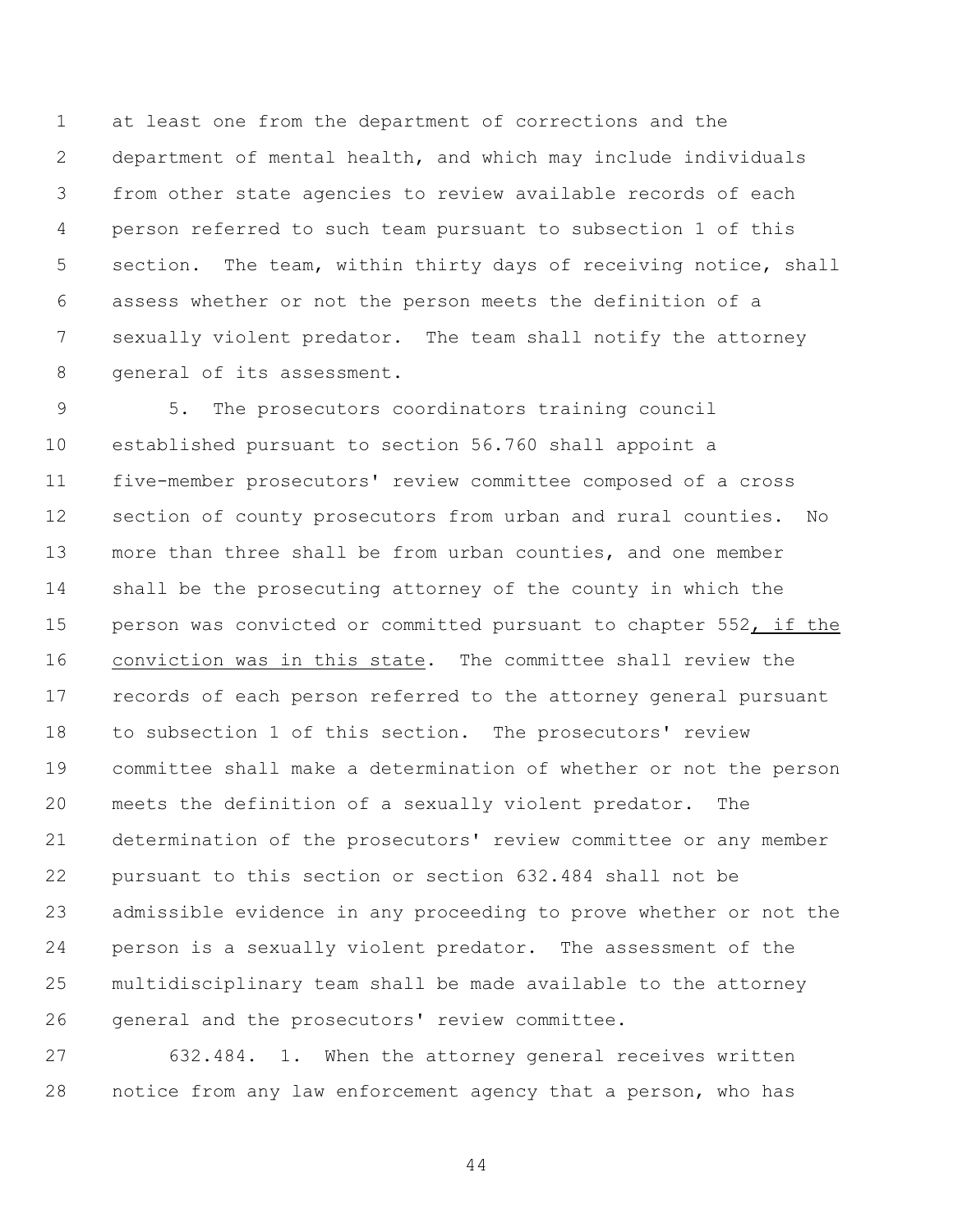at least one from the department of corrections and the department of mental health, and which may include individuals from other state agencies to review available records of each person referred to such team pursuant to subsection 1 of this section. The team, within thirty days of receiving notice, shall assess whether or not the person meets the definition of a sexually violent predator. The team shall notify the attorney general of its assessment.

 5. The prosecutors coordinators training council established pursuant to section 56.760 shall appoint a five-member prosecutors' review committee composed of a cross section of county prosecutors from urban and rural counties. No more than three shall be from urban counties, and one member shall be the prosecuting attorney of the county in which the person was convicted or committed pursuant to chapter 552, if the conviction was in this state. The committee shall review the records of each person referred to the attorney general pursuant to subsection 1 of this section. The prosecutors' review committee shall make a determination of whether or not the person meets the definition of a sexually violent predator. The determination of the prosecutors' review committee or any member pursuant to this section or section 632.484 shall not be admissible evidence in any proceeding to prove whether or not the person is a sexually violent predator. The assessment of the multidisciplinary team shall be made available to the attorney general and the prosecutors' review committee.

 632.484. 1. When the attorney general receives written notice from any law enforcement agency that a person, who has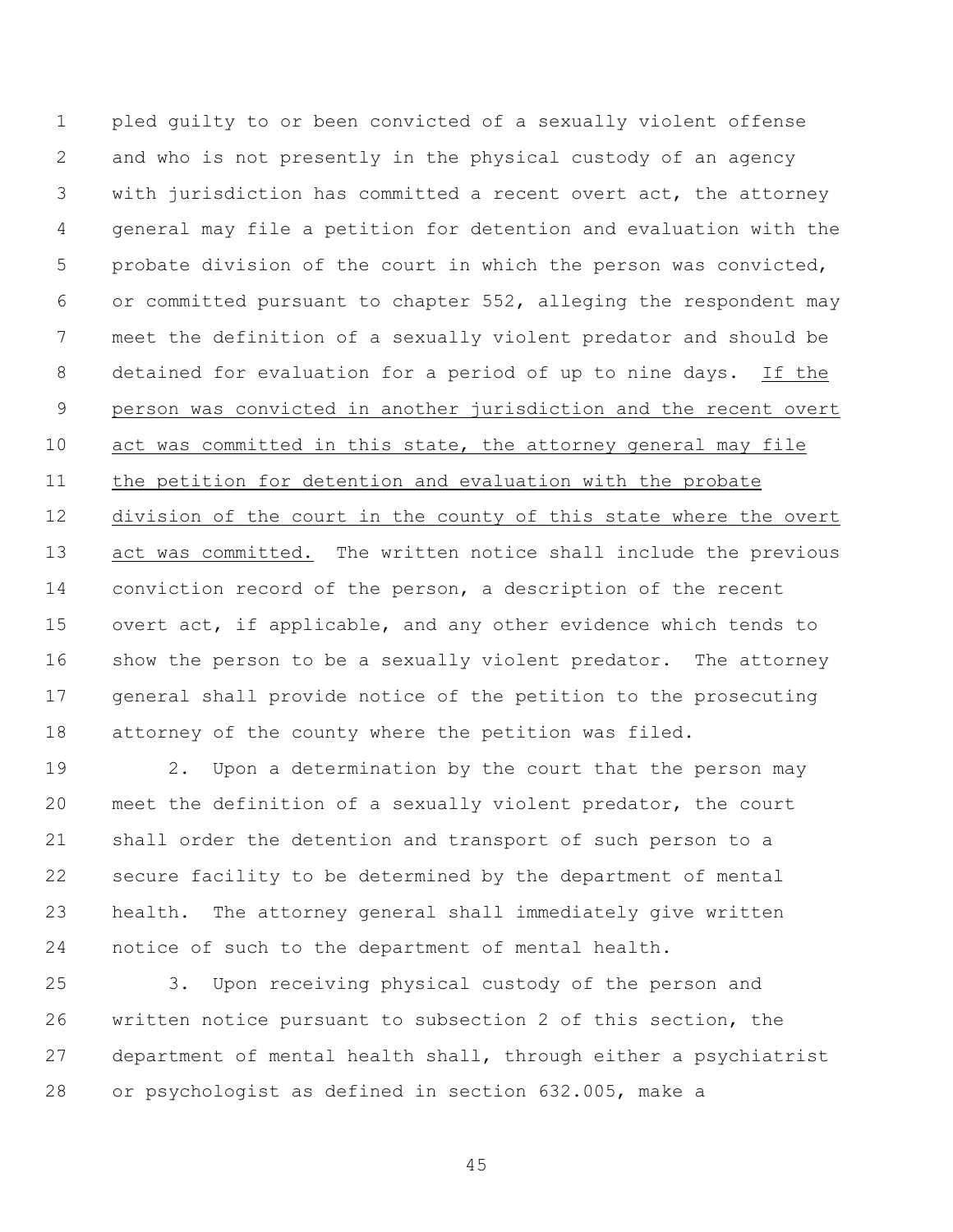pled guilty to or been convicted of a sexually violent offense and who is not presently in the physical custody of an agency with jurisdiction has committed a recent overt act, the attorney general may file a petition for detention and evaluation with the probate division of the court in which the person was convicted, or committed pursuant to chapter 552, alleging the respondent may meet the definition of a sexually violent predator and should be detained for evaluation for a period of up to nine days. If the person was convicted in another jurisdiction and the recent overt act was committed in this state, the attorney general may file the petition for detention and evaluation with the probate division of the court in the county of this state where the overt 13 act was committed. The written notice shall include the previous conviction record of the person, a description of the recent overt act, if applicable, and any other evidence which tends to show the person to be a sexually violent predator. The attorney general shall provide notice of the petition to the prosecuting attorney of the county where the petition was filed.

 2. Upon a determination by the court that the person may meet the definition of a sexually violent predator, the court shall order the detention and transport of such person to a secure facility to be determined by the department of mental health. The attorney general shall immediately give written notice of such to the department of mental health.

 3. Upon receiving physical custody of the person and written notice pursuant to subsection 2 of this section, the department of mental health shall, through either a psychiatrist or psychologist as defined in section 632.005, make a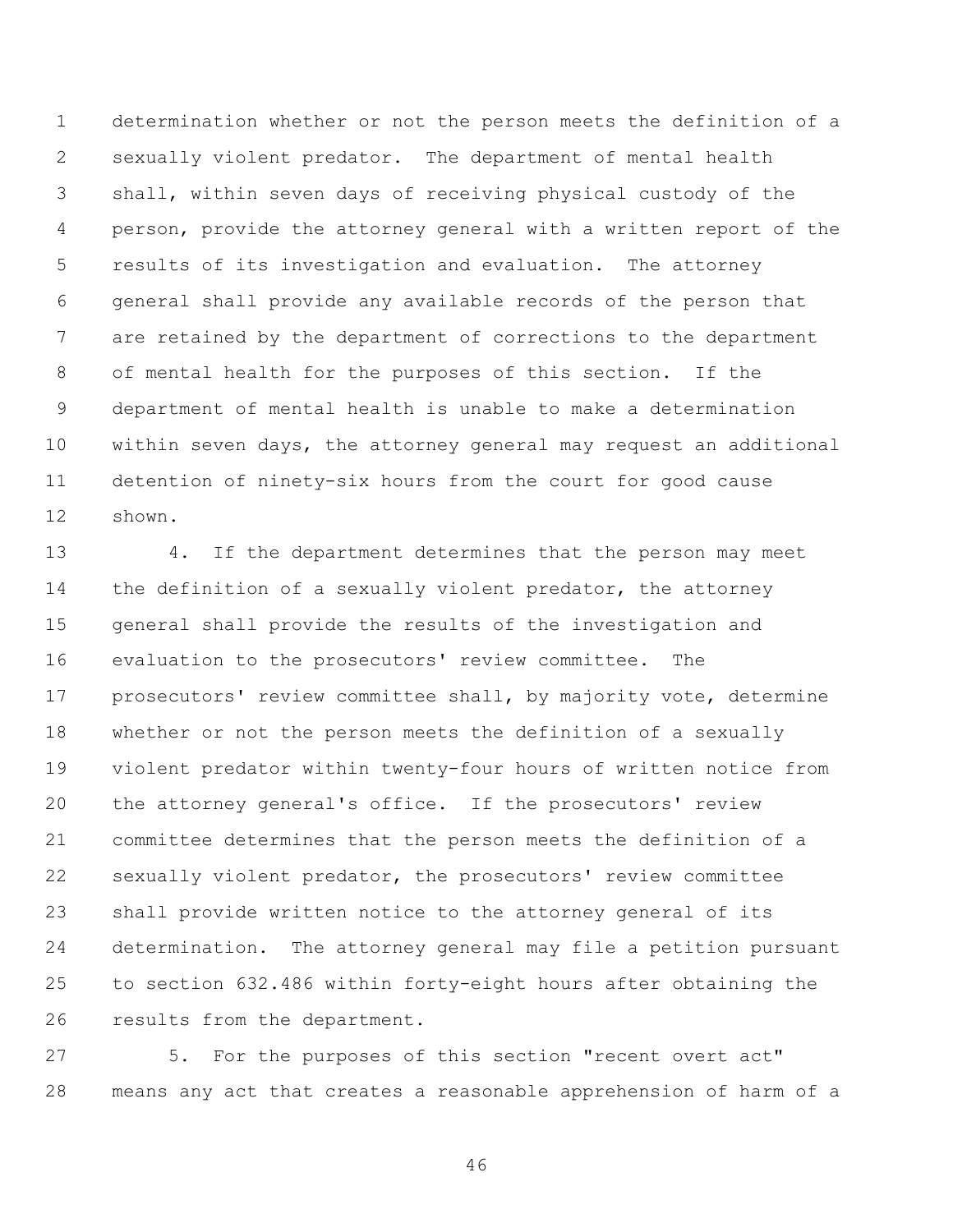determination whether or not the person meets the definition of a sexually violent predator. The department of mental health shall, within seven days of receiving physical custody of the person, provide the attorney general with a written report of the results of its investigation and evaluation. The attorney general shall provide any available records of the person that are retained by the department of corrections to the department of mental health for the purposes of this section. If the department of mental health is unable to make a determination within seven days, the attorney general may request an additional detention of ninety-six hours from the court for good cause shown.

 4. If the department determines that the person may meet 14 the definition of a sexually violent predator, the attorney general shall provide the results of the investigation and evaluation to the prosecutors' review committee. The prosecutors' review committee shall, by majority vote, determine whether or not the person meets the definition of a sexually violent predator within twenty-four hours of written notice from the attorney general's office. If the prosecutors' review committee determines that the person meets the definition of a sexually violent predator, the prosecutors' review committee shall provide written notice to the attorney general of its determination. The attorney general may file a petition pursuant to section 632.486 within forty-eight hours after obtaining the results from the department.

 5. For the purposes of this section "recent overt act" means any act that creates a reasonable apprehension of harm of a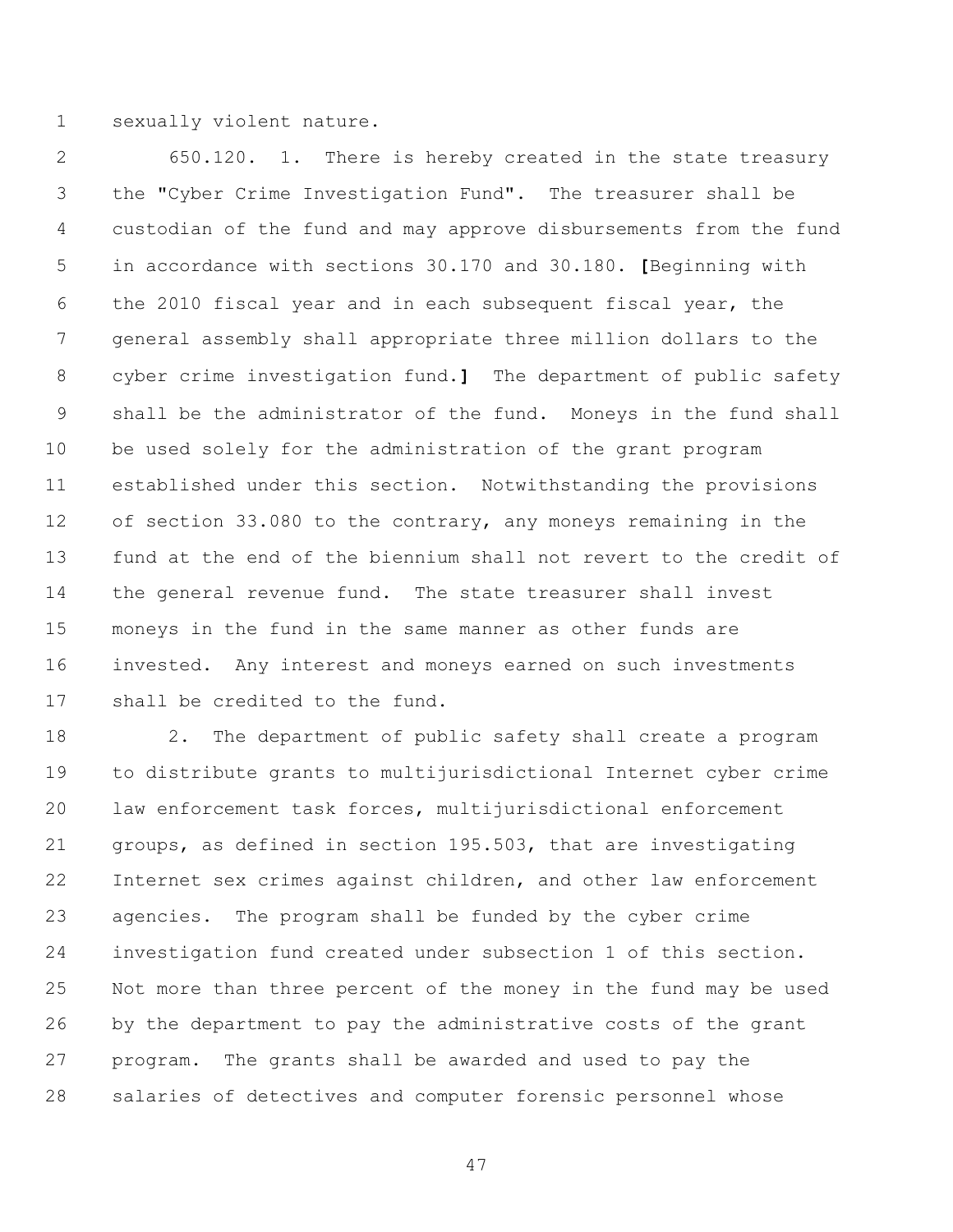sexually violent nature.

 650.120. 1. There is hereby created in the state treasury the "Cyber Crime Investigation Fund". The treasurer shall be custodian of the fund and may approve disbursements from the fund in accordance with sections 30.170 and 30.180. **[**Beginning with the 2010 fiscal year and in each subsequent fiscal year, the general assembly shall appropriate three million dollars to the cyber crime investigation fund.**]** The department of public safety shall be the administrator of the fund. Moneys in the fund shall be used solely for the administration of the grant program established under this section. Notwithstanding the provisions of section 33.080 to the contrary, any moneys remaining in the fund at the end of the biennium shall not revert to the credit of the general revenue fund. The state treasurer shall invest moneys in the fund in the same manner as other funds are invested. Any interest and moneys earned on such investments shall be credited to the fund.

 2. The department of public safety shall create a program to distribute grants to multijurisdictional Internet cyber crime law enforcement task forces, multijurisdictional enforcement groups, as defined in section 195.503, that are investigating Internet sex crimes against children, and other law enforcement agencies. The program shall be funded by the cyber crime investigation fund created under subsection 1 of this section. Not more than three percent of the money in the fund may be used by the department to pay the administrative costs of the grant program. The grants shall be awarded and used to pay the salaries of detectives and computer forensic personnel whose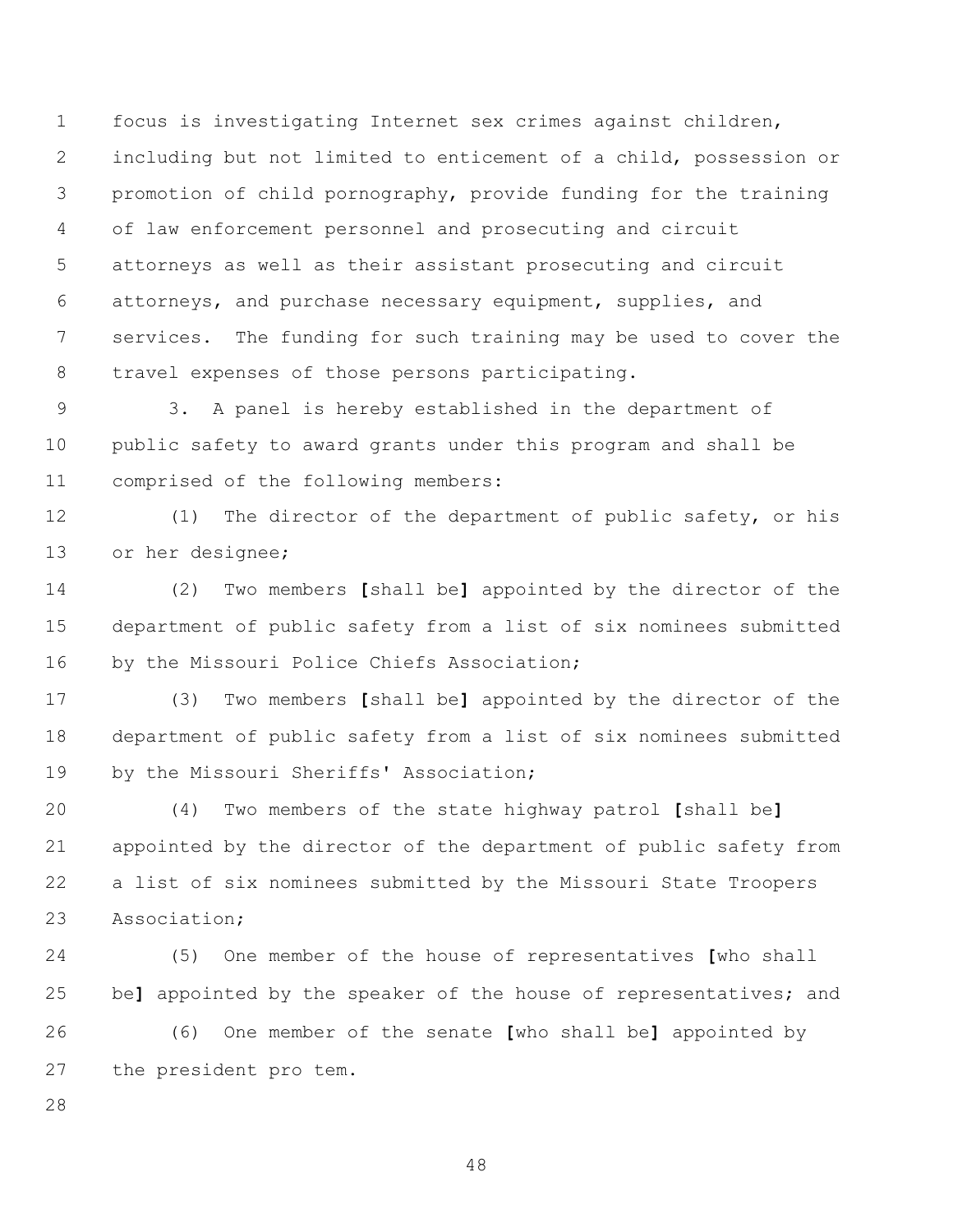focus is investigating Internet sex crimes against children, including but not limited to enticement of a child, possession or promotion of child pornography, provide funding for the training of law enforcement personnel and prosecuting and circuit attorneys as well as their assistant prosecuting and circuit attorneys, and purchase necessary equipment, supplies, and services. The funding for such training may be used to cover the travel expenses of those persons participating.

 3. A panel is hereby established in the department of public safety to award grants under this program and shall be comprised of the following members:

 (1) The director of the department of public safety, or his or her designee;

 (2) Two members **[**shall be**]** appointed by the director of the department of public safety from a list of six nominees submitted 16 by the Missouri Police Chiefs Association;

 (3) Two members **[**shall be**]** appointed by the director of the department of public safety from a list of six nominees submitted 19 by the Missouri Sheriffs' Association;

 (4) Two members of the state highway patrol **[**shall be**]** appointed by the director of the department of public safety from a list of six nominees submitted by the Missouri State Troopers Association;

 (5) One member of the house of representatives **[**who shall be**]** appointed by the speaker of the house of representatives; and (6) One member of the senate **[**who shall be**]** appointed by the president pro tem.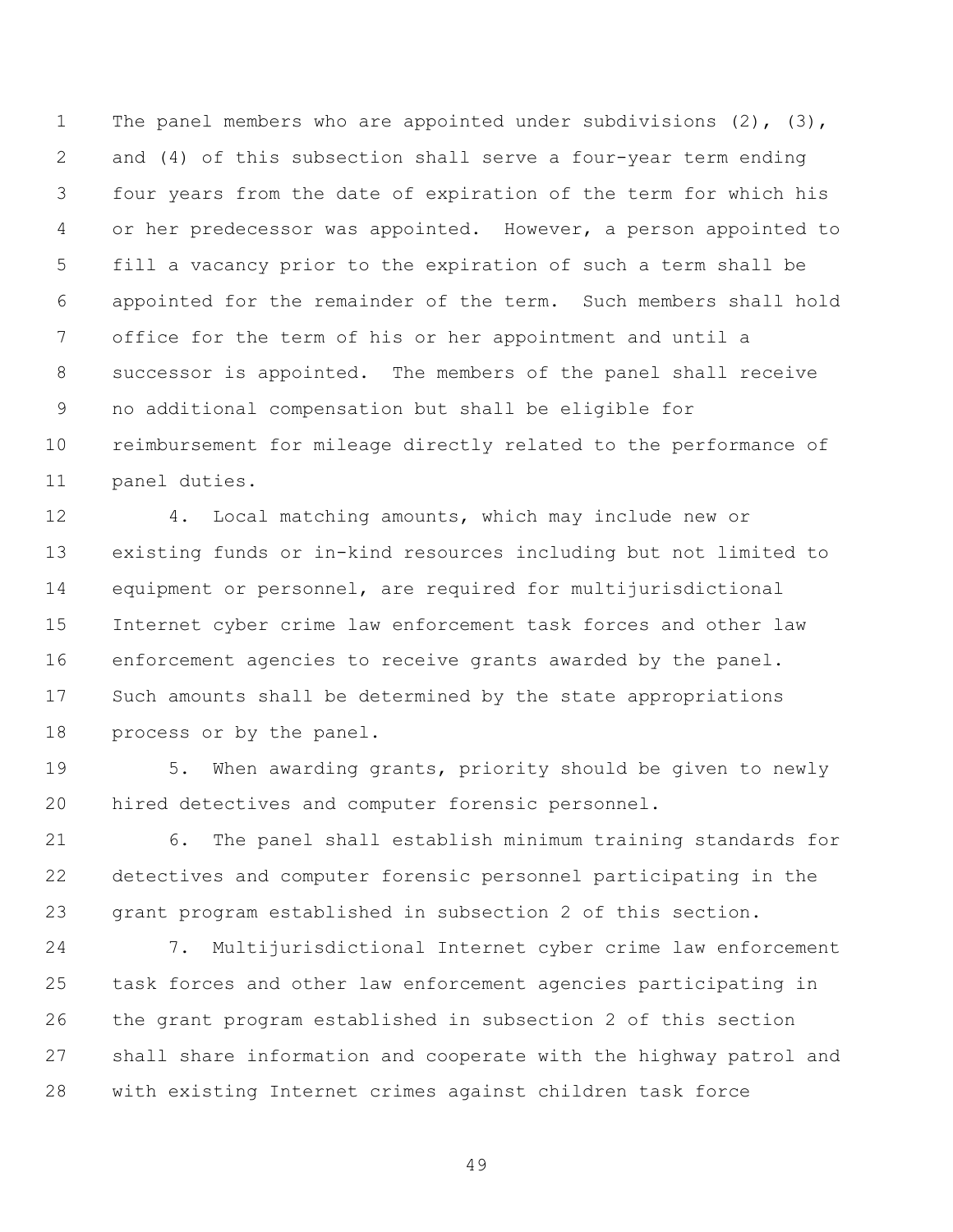The panel members who are appointed under subdivisions (2), (3), and (4) of this subsection shall serve a four-year term ending four years from the date of expiration of the term for which his or her predecessor was appointed. However, a person appointed to fill a vacancy prior to the expiration of such a term shall be appointed for the remainder of the term. Such members shall hold office for the term of his or her appointment and until a successor is appointed. The members of the panel shall receive no additional compensation but shall be eligible for reimbursement for mileage directly related to the performance of panel duties.

 4. Local matching amounts, which may include new or existing funds or in-kind resources including but not limited to equipment or personnel, are required for multijurisdictional Internet cyber crime law enforcement task forces and other law enforcement agencies to receive grants awarded by the panel. Such amounts shall be determined by the state appropriations process or by the panel.

 5. When awarding grants, priority should be given to newly hired detectives and computer forensic personnel.

 6. The panel shall establish minimum training standards for detectives and computer forensic personnel participating in the grant program established in subsection 2 of this section.

 7. Multijurisdictional Internet cyber crime law enforcement task forces and other law enforcement agencies participating in the grant program established in subsection 2 of this section shall share information and cooperate with the highway patrol and with existing Internet crimes against children task force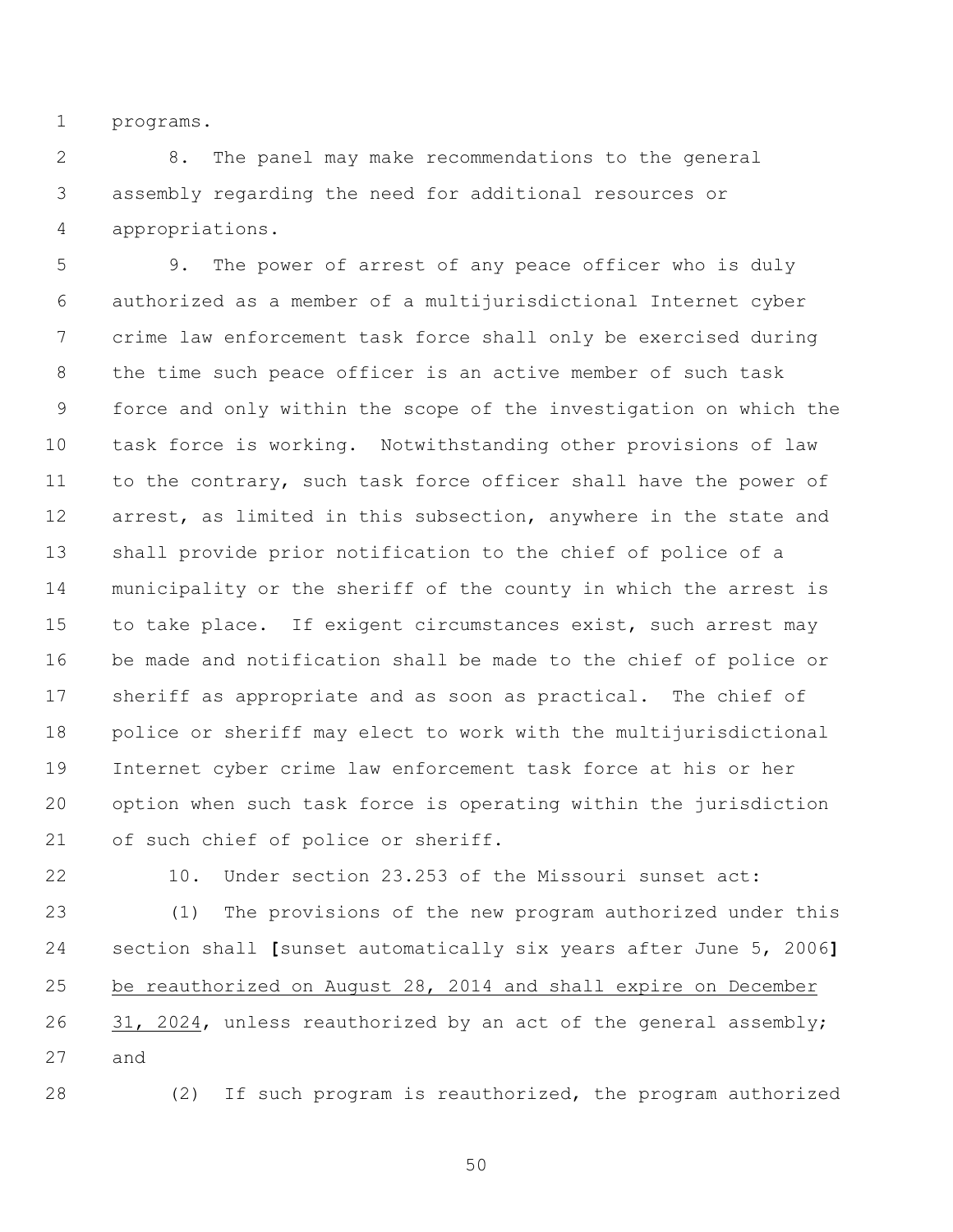programs.

 8. The panel may make recommendations to the general assembly regarding the need for additional resources or appropriations.

 9. The power of arrest of any peace officer who is duly authorized as a member of a multijurisdictional Internet cyber crime law enforcement task force shall only be exercised during the time such peace officer is an active member of such task force and only within the scope of the investigation on which the task force is working. Notwithstanding other provisions of law to the contrary, such task force officer shall have the power of 12 arrest, as limited in this subsection, anywhere in the state and shall provide prior notification to the chief of police of a municipality or the sheriff of the county in which the arrest is 15 to take place. If exigent circumstances exist, such arrest may be made and notification shall be made to the chief of police or sheriff as appropriate and as soon as practical. The chief of police or sheriff may elect to work with the multijurisdictional Internet cyber crime law enforcement task force at his or her option when such task force is operating within the jurisdiction of such chief of police or sheriff.

10. Under section 23.253 of the Missouri sunset act:

 (1) The provisions of the new program authorized under this section shall **[**sunset automatically six years after June 5, 2006**]** be reauthorized on August 28, 2014 and shall expire on December 26 31, 2024, unless reauthorized by an act of the general assembly; and

(2) If such program is reauthorized, the program authorized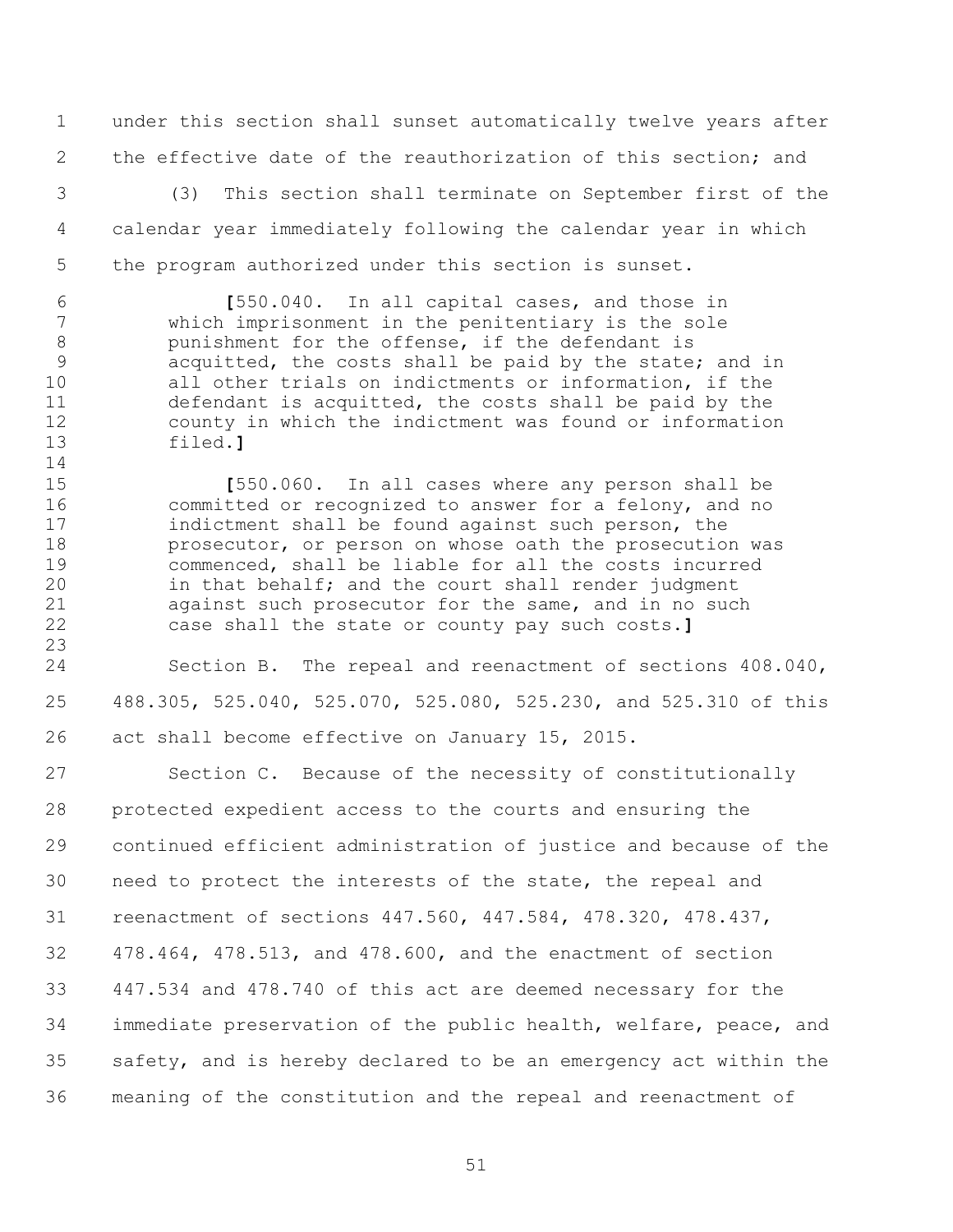under this section shall sunset automatically twelve years after 2 the effective date of the reauthorization of this section; and

 (3) This section shall terminate on September first of the calendar year immediately following the calendar year in which the program authorized under this section is sunset.

 **[**550.040. In all capital cases, and those in which imprisonment in the penitentiary is the sole punishment for the offense, if the defendant is acquitted, the costs shall be paid by the state; and in all other trials on indictments or information, if the defendant is acquitted, the costs shall be paid by the county in which the indictment was found or information filed.**]**

 **[**550.060. In all cases where any person shall be 16 committed or recognized to answer for a felony, and no<br>17 indictment shall be found against such person, the indictment shall be found against such person, the **prosecutor, or person on whose oath the prosecution was**  commenced, shall be liable for all the costs incurred in that behalf; and the court shall render judgment against such prosecutor for the same, and in no such case shall the state or county pay such costs.**]**

 Section B. The repeal and reenactment of sections 408.040, 488.305, 525.040, 525.070, 525.080, 525.230, and 525.310 of this act shall become effective on January 15, 2015.

27 Section C. Because of the necessity of constitutionally protected expedient access to the courts and ensuring the continued efficient administration of justice and because of the need to protect the interests of the state, the repeal and reenactment of sections 447.560, 447.584, 478.320, 478.437, 478.464, 478.513, and 478.600, and the enactment of section 447.534 and 478.740 of this act are deemed necessary for the immediate preservation of the public health, welfare, peace, and safety, and is hereby declared to be an emergency act within the meaning of the constitution and the repeal and reenactment of